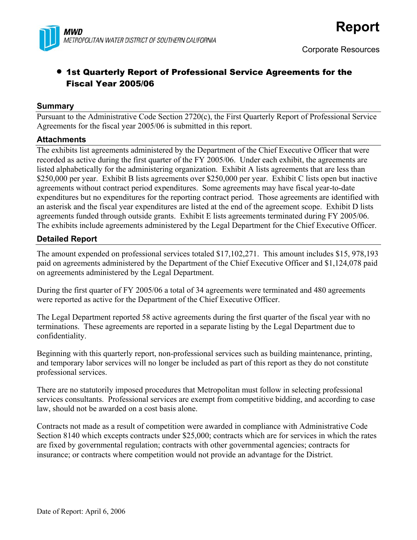

# • 1st Quarterly Report of Professional Service Agreements for the Fiscal Year 2005/06

### **Summary**

Pursuant to the Administrative Code Section 2720(c), the First Quarterly Report of Professional Service Agreements for the fiscal year 2005/06 is submitted in this report.

### **Attachments**

The exhibits list agreements administered by the Department of the Chief Executive Officer that were recorded as active during the first quarter of the FY 2005/06. Under each exhibit, the agreements are listed alphabetically for the administering organization. Exhibit A lists agreements that are less than \$250,000 per year. Exhibit B lists agreements over \$250,000 per year. Exhibit C lists open but inactive agreements without contract period expenditures. Some agreements may have fiscal year-to-date expenditures but no expenditures for the reporting contract period. Those agreements are identified with an asterisk and the fiscal year expenditures are listed at the end of the agreement scope. Exhibit D lists agreements funded through outside grants. Exhibit E lists agreements terminated during FY 2005/06. The exhibits include agreements administered by the Legal Department for the Chief Executive Officer.

### **Detailed Report**

The amount expended on professional services totaled \$17,102,271. This amount includes \$15, 978,193 paid on agreements administered by the Department of the Chief Executive Officer and \$1,124,078 paid on agreements administered by the Legal Department.

During the first quarter of FY 2005/06 a total of 34 agreements were terminated and 480 agreements were reported as active for the Department of the Chief Executive Officer.

The Legal Department reported 58 active agreements during the first quarter of the fiscal year with no terminations. These agreements are reported in a separate listing by the Legal Department due to confidentiality.

Beginning with this quarterly report, non-professional services such as building maintenance, printing, and temporary labor services will no longer be included as part of this report as they do not constitute professional services.

There are no statutorily imposed procedures that Metropolitan must follow in selecting professional services consultants. Professional services are exempt from competitive bidding, and according to case law, should not be awarded on a cost basis alone.

Contracts not made as a result of competition were awarded in compliance with Administrative Code Section 8140 which excepts contracts under \$25,000; contracts which are for services in which the rates are fixed by governmental regulation; contracts with other governmental agencies; contracts for insurance; or contracts where competition would not provide an advantage for the District.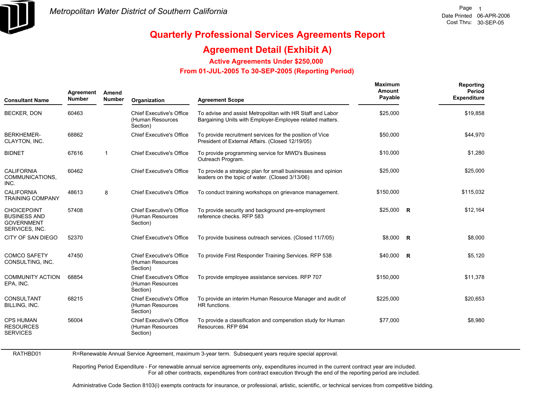

RATHBD01

# **Quarterly Professional Services Agreements Report**

## **Agreement Detail (Exhibit A)**

**Active Agreements Under \$250,000** 

 **From 01-JUL-2005 To 30-SEP-2005 (Reporting Period)** 

| <b>Consultant Name</b>                                                           | Agreement<br><b>Number</b> | Amend<br><b>Number</b> | Organization                                                    | <b>Agreement Scope</b>                                                                                                | Maximum<br>Amount<br>Payable |                | Reporting<br>Period<br><b>Expenditure</b> |
|----------------------------------------------------------------------------------|----------------------------|------------------------|-----------------------------------------------------------------|-----------------------------------------------------------------------------------------------------------------------|------------------------------|----------------|-------------------------------------------|
| <b>BECKER, DON</b>                                                               | 60463                      |                        | <b>Chief Executive's Office</b><br>(Human Resources<br>Section) | To advise and assist Metropolitan with HR Staff and Labor<br>Bargaining Units with Employer-Employee related matters. | \$25,000                     |                | \$19,858                                  |
| <b>BERKHEMER-</b><br>CLAYTON, INC.                                               | 68862                      |                        | <b>Chief Executive's Office</b>                                 | To provide recruitment services for the position of Vice<br>President of External Affairs. (Closed 12/19/05)          | \$50,000                     |                | \$44,970                                  |
| <b>BIDNET</b>                                                                    | 67616                      | $\mathbf{1}$           | <b>Chief Executive's Office</b>                                 | To provide programming service for MWD's Business<br>Outreach Program.                                                | \$10,000                     |                | \$1,280                                   |
| <b>CALIFORNIA</b><br>COMMUNICATIONS,<br>INC.                                     | 60462                      |                        | <b>Chief Executive's Office</b>                                 | To provide a strategic plan for small businesses and opinion<br>leaders on the topic of water. (Closed 3/13/06)       | \$25,000                     |                | \$25,000                                  |
| <b>CALIFORNIA</b><br><b>TRAINING COMPANY</b>                                     | 48613                      | 8                      | <b>Chief Executive's Office</b>                                 | To conduct training workshops on grievance management.                                                                | \$150,000                    |                | \$115,032                                 |
| <b>CHOICEPOINT</b><br><b>BUSINESS AND</b><br><b>GOVERNMENT</b><br>SERVICES, INC. | 57408                      |                        | <b>Chief Executive's Office</b><br>(Human Resources<br>Section) | To provide security and background pre-employment<br>reference checks. RFP 583                                        | $$25,000$ R                  |                | \$12,164                                  |
| CITY OF SAN DIEGO                                                                | 52370                      |                        | <b>Chief Executive's Office</b>                                 | To provide business outreach services. (Closed 11/7/05)                                                               | \$8,000                      | $\overline{R}$ | \$8,000                                   |
| <b>COMCO SAFETY</b><br>CONSULTING, INC.                                          | 47450                      |                        | <b>Chief Executive's Office</b><br>(Human Resources<br>Section) | To provide First Responder Training Services. RFP 538                                                                 | \$40,000 R                   |                | \$5,120                                   |
| <b>COMMUNITY ACTION</b><br>EPA, INC.                                             | 68854                      |                        | <b>Chief Executive's Office</b><br>(Human Resources<br>Section) | To provide employee assistance services. RFP 707                                                                      | \$150,000                    |                | \$11,378                                  |
| <b>CONSULTANT</b><br>BILLING, INC.                                               | 68215                      |                        | <b>Chief Executive's Office</b><br>(Human Resources<br>Section) | To provide an interim Human Resource Manager and audit of<br>HR functions.                                            | \$225,000                    |                | \$20,653                                  |
| <b>CPS HUMAN</b><br><b>RESOURCES</b><br><b>SERVICES</b>                          | 56004                      |                        | <b>Chief Executive's Office</b><br>(Human Resources<br>Section) | To provide a classification and compenstion study for Human<br>Resources. RFP 694                                     | \$77,000                     |                | \$8,980                                   |

R=Renewable Annual Service Agreement, maximum 3-year term. Subsequent years require special approval.

Reporting Period Expenditure - For renewable annual service agreements only, expenditures incurred in the current contract year are included. For all other contracts, expenditures from contract execution through the end of the reporting period are included.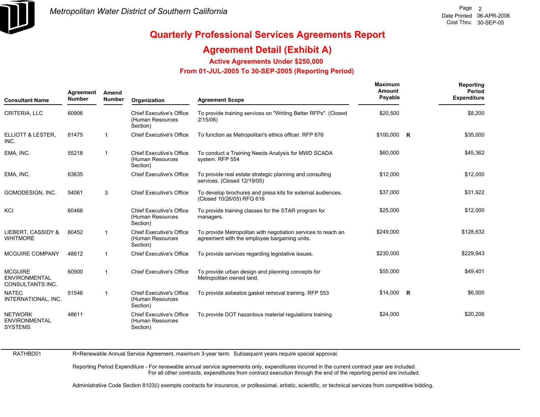

## **Agreement Detail (Exhibit A)**

**Active Agreements Under \$250,000** 

 **From 01-JUL-2005 To 30-SEP-2005 (Reporting Period)** 

| <b>Consultant Name</b>                                            | Agreement<br><b>Number</b> | Amend<br>Number | Organization                                                    | <b>Agreement Scope</b>                                                                                         | Maximum<br>Amount<br>Payable | Reporting<br>Period<br><b>Expenditure</b> |
|-------------------------------------------------------------------|----------------------------|-----------------|-----------------------------------------------------------------|----------------------------------------------------------------------------------------------------------------|------------------------------|-------------------------------------------|
| CRITERIA, LLC                                                     | 60906                      |                 | <b>Chief Executive's Office</b><br>(Human Resources<br>Section) | To provide training services on "Writing Better RFPs". (Closed<br>2/15/06                                      | \$20,500                     | \$8,200                                   |
| ELLIOTT & LESTER.<br>INC.                                         | 61475                      |                 | <b>Chief Executive's Office</b>                                 | To function as Metropolitan's ethics officer. RFP 676                                                          | $$100,000$ R                 | \$35,000                                  |
| EMA, INC.                                                         | 55218                      | -1              | <b>Chief Executive's Office</b><br>(Human Resources<br>Section) | To conduct a Training Needs Analysis for MWD SCADA<br>system. RFP 554                                          | \$60,000                     | \$45,362                                  |
| EMA, INC.                                                         | 63635                      |                 | <b>Chief Executive's Office</b>                                 | To provide real estate strategic planning and consulting<br>services. (Closed 12/19/05)                        | \$12,000                     | \$12,000                                  |
| GOMODESIGN, INC.                                                  | 54061                      | 3               | <b>Chief Executive's Office</b>                                 | To develop brochures and press kits for external audiences.<br>(Closed 10/26/05) RFQ 616                       | \$37,000                     | \$31,922                                  |
| KCI                                                               | 60466                      |                 | <b>Chief Executive's Office</b><br>(Human Resources<br>Section) | To provide training classes for the STAR program for<br>managers.                                              | \$25,000                     | \$12,000                                  |
| LIEBERT, CASSIDY &<br><b>WHITMORE</b>                             | 60452                      | -1              | <b>Chief Executive's Office</b><br>(Human Resources<br>Section) | To provide Metropolitan with negotiation services to reach an<br>agreement with the employee bargaining units. | \$249,000                    | \$128,632                                 |
| <b>MCGUIRE COMPANY</b>                                            | 48612                      | -1              | <b>Chief Executive's Office</b>                                 | To provide services regarding legislative issues.                                                              | \$230,000                    | \$229,943                                 |
| <b>MCGUIRE</b><br><b>ENVIRONMENTAL</b><br><b>CONSULTANTS INC.</b> | 60900                      | -1              | <b>Chief Executive's Office</b>                                 | To provide urban design and planning concepts for<br>Metropolitan owned land.                                  | \$55,000                     | \$49,401                                  |
| <b>NATEC</b><br>INTERNATIONAL, INC.                               | 51546                      | -1              | <b>Chief Executive's Office</b><br>(Human Resources<br>Section) | To provide asbestos gasket removal training. RFP 553                                                           | $$14,000$ R                  | \$6,000                                   |
| <b>NETWORK</b><br><b>ENVIRONMENTAL</b><br><b>SYSTEMS</b>          | 48611                      |                 | <b>Chief Executive's Office</b><br>(Human Resources<br>Section) | To provide DOT hazardous material regulations training.                                                        | \$24,000                     | \$20,206                                  |

RATHBD01

R=Renewable Annual Service Agreement, maximum 3-year term. Subsequent years require special approval.

Reporting Period Expenditure - For renewable annual service agreements only, expenditures incurred in the current contract year are included. For all other contracts, expenditures from contract execution through the end of the reporting period are included.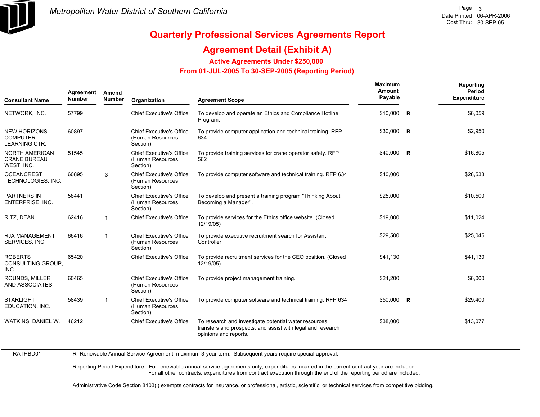

## **Agreement Detail (Exhibit A)**

**Active Agreements Under \$250,000** 

 **From 01-JUL-2005 To 30-SEP-2005 (Reporting Period)** 

| <b>Consultant Name</b>                                         | Agreement<br><b>Number</b> | Amend<br><b>Number</b> | Organization                                                    | <b>Agreement Scope</b>                                                                                                                         | Maximum<br><b>Amount</b><br>Payable |                         | Reporting<br>Period<br><b>Expenditure</b> |
|----------------------------------------------------------------|----------------------------|------------------------|-----------------------------------------------------------------|------------------------------------------------------------------------------------------------------------------------------------------------|-------------------------------------|-------------------------|-------------------------------------------|
| NETWORK, INC.                                                  | 57799                      |                        | <b>Chief Executive's Office</b>                                 | To develop and operate an Ethics and Compliance Hotline<br>Program.                                                                            | \$10,000                            | <b>R</b>                | \$6,059                                   |
| <b>NEW HORIZONS</b><br><b>COMPUTER</b><br><b>LEARNING CTR.</b> | 60897                      |                        | <b>Chief Executive's Office</b><br>(Human Resources<br>Section) | To provide computer application and technical training. RFP<br>634                                                                             | \$30,000                            | $\overline{\mathbf{R}}$ | \$2,950                                   |
| <b>NORTH AMERICAN</b><br><b>CRANE BUREAU</b><br>WEST, INC.     | 51545                      |                        | <b>Chief Executive's Office</b><br>(Human Resources<br>Section) | To provide training services for crane operator safety. RFP<br>562                                                                             | $$40,000$ R                         |                         | \$16,805                                  |
| <b>OCEANCREST</b><br>TECHNOLOGIES, INC.                        | 60895                      | 3                      | <b>Chief Executive's Office</b><br>(Human Resources<br>Section) | To provide computer software and technical training. RFP 634                                                                                   | \$40,000                            |                         | \$28,538                                  |
| <b>PARTNERS IN</b><br><b>ENTERPRISE, INC.</b>                  | 58441                      |                        | <b>Chief Executive's Office</b><br>(Human Resources<br>Section) | To develop and present a training program "Thinking About<br>Becoming a Manager".                                                              | \$25,000                            |                         | \$10,500                                  |
| RITZ, DEAN                                                     | 62416                      | $\mathbf{1}$           | <b>Chief Executive's Office</b>                                 | To provide services for the Ethics office website. (Closed<br>12/19/05)                                                                        | \$19,000                            |                         | \$11,024                                  |
| <b>RJA MANAGEMENT</b><br>SERVICES, INC.                        | 66416                      | 1                      | <b>Chief Executive's Office</b><br>(Human Resources<br>Section) | To provide executive recruitment search for Assistant<br>Controller.                                                                           | \$29,500                            |                         | \$25,045                                  |
| <b>ROBERTS</b><br>CONSULTING GROUP,<br><b>INC</b>              | 65420                      |                        | <b>Chief Executive's Office</b>                                 | To provide recruitment services for the CEO position. (Closed<br>12/19/05)                                                                     | \$41,130                            |                         | \$41,130                                  |
| <b>ROUNDS. MILLER</b><br>AND ASSOCIATES                        | 60465                      |                        | <b>Chief Executive's Office</b><br>(Human Resources<br>Section) | To provide project management training.                                                                                                        | \$24,200                            |                         | \$6,000                                   |
| <b>STARLIGHT</b><br>EDUCATION, INC.                            | 58439                      | $\overline{1}$         | <b>Chief Executive's Office</b><br>(Human Resources<br>Section) | To provide computer software and technical training. RFP 634                                                                                   | \$50,000 R                          |                         | \$29,400                                  |
| WATKINS, DANIEL W.                                             | 46212                      |                        | <b>Chief Executive's Office</b>                                 | To research and investigate potential water resources,<br>transfers and prospects, and assist with legal and research<br>opinions and reports. | \$38,000                            |                         | \$13,077                                  |

RATHBD01 R=Renewable Annual Service Agreement, maximum 3-year term. Subsequent years require special approval.

> Reporting Period Expenditure - For renewable annual service agreements only, expenditures incurred in the current contract year are included. For all other contracts, expenditures from contract execution through the end of the reporting period are included.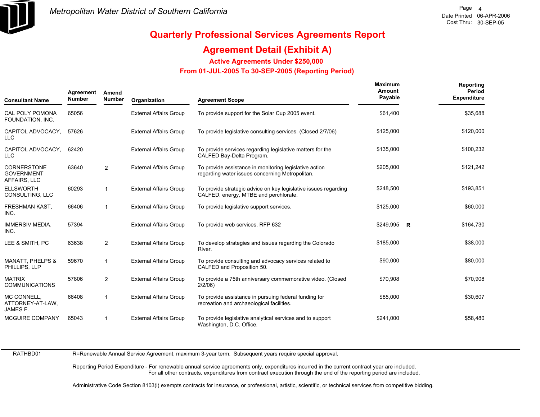

## **Agreement Detail (Exhibit A)**

**Active Agreements Under \$250,000** 

 **From 01-JUL-2005 To 30-SEP-2005 (Reporting Period)** 

| <b>Consultant Name</b>                                  | Agreement<br><b>Number</b> | Amend<br><b>Number</b> | Organization                  | <b>Agreement Scope</b>                                                                                    | Maximum<br>Amount<br>Payable | Reporting<br>Period<br><b>Expenditure</b> |
|---------------------------------------------------------|----------------------------|------------------------|-------------------------------|-----------------------------------------------------------------------------------------------------------|------------------------------|-------------------------------------------|
| <b>CAL POLY POMONA</b><br>FOUNDATION, INC.              | 65056                      |                        | <b>External Affairs Group</b> | To provide support for the Solar Cup 2005 event.                                                          | \$61,400                     | \$35,688                                  |
| CAPITOL ADVOCACY,<br><b>LLC</b>                         | 57626                      |                        | <b>External Affairs Group</b> | To provide legislative consulting services. (Closed 2/7/06)                                               | \$125,000                    | \$120,000                                 |
| CAPITOL ADVOCACY,<br><b>LLC</b>                         | 62420                      |                        | <b>External Affairs Group</b> | To provide services regarding legislative matters for the<br>CALFED Bay-Delta Program.                    | \$135,000                    | \$100,232                                 |
| <b>CORNERSTONE</b><br><b>GOVERNMENT</b><br>AFFAIRS, LLC | 63640                      | $\overline{2}$         | <b>External Affairs Group</b> | To provide assistance in monitoring legislative action<br>regarding water issues concerning Metropolitan. | \$205,000                    | \$121,242                                 |
| <b>ELLSWORTH</b><br>CONSULTING, LLC                     | 60293                      | $\mathbf{1}$           | <b>External Affairs Group</b> | To provide strategic advice on key legislative issues regarding<br>CALFED, energy, MTBE and perchlorate.  | \$248,500                    | \$193,851                                 |
| FRESHMAN KAST,<br>INC.                                  | 66406                      | $\mathbf 1$            | <b>External Affairs Group</b> | To provide legislative support services.                                                                  | \$125,000                    | \$60,000                                  |
| <b>IMMERSIV MEDIA,</b><br>INC.                          | 57394                      |                        | <b>External Affairs Group</b> | To provide web services. RFP 632                                                                          | \$249,995 R                  | \$164,730                                 |
| LEE & SMITH, PC                                         | 63638                      | $\overline{2}$         | <b>External Affairs Group</b> | To develop strategies and issues regarding the Colorado<br>River.                                         | \$185,000                    | \$38,000                                  |
| <b>MANATT, PHELPS &amp;</b><br>PHILLIPS, LLP            | 59670                      | -1                     | <b>External Affairs Group</b> | To provide consulting and advocacy services related to<br>CALFED and Proposition 50.                      | \$90,000                     | \$80,000                                  |
| <b>MATRIX</b><br><b>COMMUNICATIONS</b>                  | 57806                      | $\overline{2}$         | <b>External Affairs Group</b> | To provide a 75th anniversary commemorative video. (Closed<br>$2/2/06$ )                                  | \$70,908                     | \$70,908                                  |
| MC CONNELL,<br>ATTORNEY-AT-LAW,<br>JAMES F.             | 66408                      | $\mathbf{1}$           | <b>External Affairs Group</b> | To provide assistance in pursuing federal funding for<br>recreation and archaeological facilities.        | \$85,000                     | \$30,607                                  |
| MCGUIRE COMPANY                                         | 65043                      | -1                     | <b>External Affairs Group</b> | To provide legislative analytical services and to support<br>Washington, D.C. Office.                     | \$241,000                    | \$58,480                                  |

RATHBD01

R=Renewable Annual Service Agreement, maximum 3-year term. Subsequent years require special approval.

Reporting Period Expenditure - For renewable annual service agreements only, expenditures incurred in the current contract year are included. For all other contracts, expenditures from contract execution through the end of the reporting period are included.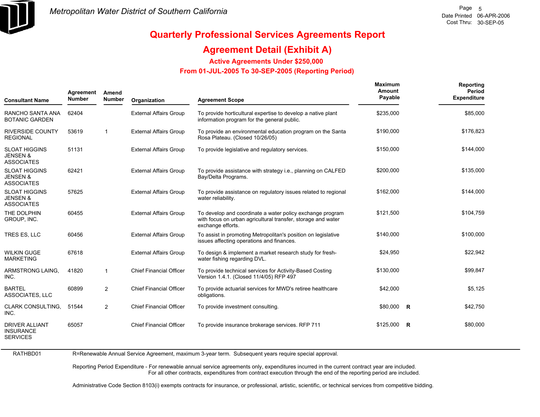

## **Agreement Detail (Exhibit A)**

**Active Agreements Under \$250,000** 

 **From 01-JUL-2005 To 30-SEP-2005 (Reporting Period)** 

| <b>Consultant Name</b>                                           | Agreement<br><b>Number</b> | Amend<br><b>Number</b> | Organization                   | <b>Agreement Scope</b>                                                                                                                         | Maximum<br>Amount<br>Payable | Reporting<br>Period<br><b>Expenditure</b> |
|------------------------------------------------------------------|----------------------------|------------------------|--------------------------------|------------------------------------------------------------------------------------------------------------------------------------------------|------------------------------|-------------------------------------------|
| RANCHO SANTA ANA<br><b>BOTANIC GARDEN</b>                        | 62404                      |                        | <b>External Affairs Group</b>  | To provide horticultural expertise to develop a native plant<br>information program for the general public.                                    | \$235,000                    | \$85,000                                  |
| <b>RIVERSIDE COUNTY</b><br><b>REGIONAL</b>                       | 53619                      | $\mathbf{1}$           | <b>External Affairs Group</b>  | To provide an environmental education program on the Santa<br>Rosa Plateau. (Closed 10/26/05)                                                  | \$190,000                    | \$176,823                                 |
| <b>SLOAT HIGGINS</b><br><b>JENSEN &amp;</b><br><b>ASSOCIATES</b> | 51131                      |                        | <b>External Affairs Group</b>  | To provide legislative and regulatory services.                                                                                                | \$150,000                    | \$144,000                                 |
| <b>SLOAT HIGGINS</b><br><b>JENSEN &amp;</b><br><b>ASSOCIATES</b> | 62421                      |                        | <b>External Affairs Group</b>  | To provide assistance with strategy i.e., planning on CALFED<br>Bay/Delta Programs.                                                            | \$200,000                    | \$135,000                                 |
| <b>SLOAT HIGGINS</b><br><b>JENSEN &amp;</b><br><b>ASSOCIATES</b> | 57625                      |                        | <b>External Affairs Group</b>  | To provide assistance on regulatory issues related to regional<br>water reliability.                                                           | \$162,000                    | \$144,000                                 |
| THE DOLPHIN<br>GROUP, INC.                                       | 60455                      |                        | <b>External Affairs Group</b>  | To develop and coordinate a water policy exchange program<br>with focus on urban agricultural transfer, storage and water<br>exchange efforts. | \$121,500                    | \$104,759                                 |
| TRES ES, LLC                                                     | 60456                      |                        | <b>External Affairs Group</b>  | To assist in promoting Metropolitan's position on legislative<br>issues affecting operations and finances.                                     | \$140,000                    | \$100,000                                 |
| <b>WILKIN GUGE</b><br><b>MARKETING</b>                           | 67618                      |                        | <b>External Affairs Group</b>  | To design & implement a market research study for fresh-<br>water fishing regarding DVL.                                                       | \$24,950                     | \$22,942                                  |
| ARMSTRONG LAING.<br>INC.                                         | 41820                      | $\mathbf{1}$           | <b>Chief Financial Officer</b> | To provide technical services for Activity-Based Costing<br>Version 1.4.1. (Closed 11/4/05) RFP 497                                            | \$130,000                    | \$99,847                                  |
| <b>BARTEL</b><br>ASSOCIATES, LLC                                 | 60899                      | $\overline{2}$         | <b>Chief Financial Officer</b> | To provide actuarial services for MWD's retiree healthcare<br>obligations.                                                                     | \$42,000                     | \$5,125                                   |
| <b>CLARK CONSULTING.</b><br>INC.                                 | 51544                      | $\overline{2}$         | <b>Chief Financial Officer</b> | To provide investment consulting.                                                                                                              | \$80,000 R                   | \$42,750                                  |
| <b>DRIVER ALLIANT</b><br><b>INSURANCE</b><br><b>SERVICES</b>     | 65057                      |                        | <b>Chief Financial Officer</b> | To provide insurance brokerage services. RFP 711                                                                                               | $$125,000$ R                 | \$80,000                                  |

RATHBD01 R=Renewable Annual Service Agreement, maximum 3-year term. Subsequent years require special approval.

> Reporting Period Expenditure - For renewable annual service agreements only, expenditures incurred in the current contract year are included. For all other contracts, expenditures from contract execution through the end of the reporting period are included.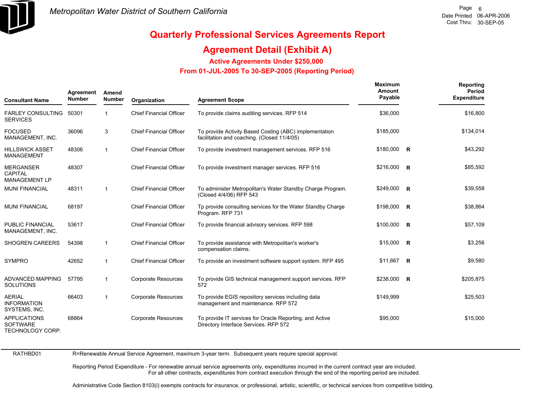

## **Agreement Detail (Exhibit A)**

**Active Agreements Under \$250,000** 

 **From 01-JUL-2005 To 30-SEP-2005 (Reporting Period)** 

| <b>Consultant Name</b>                                     | Agreement<br><b>Number</b> | Amend<br><b>Number</b> | Organization                   | <b>Agreement Scope</b>                                                                                | Maximum<br>Amount<br>Payable | Reporting<br><b>Period</b><br><b>Expenditure</b> |
|------------------------------------------------------------|----------------------------|------------------------|--------------------------------|-------------------------------------------------------------------------------------------------------|------------------------------|--------------------------------------------------|
| FARLEY CONSULTING 50301<br><b>SERVICES</b>                 |                            | $\mathbf{1}$           | <b>Chief Financial Officer</b> | To provide claims auditing services. RFP 514                                                          | \$36,000                     | \$16,800                                         |
| <b>FOCUSED</b><br>MANAGEMENT, INC.                         | 36096                      | 3                      | <b>Chief Financial Officer</b> | To provide Activity Based Costing (ABC) implementation<br>facilitation and coaching. (Closed 11/4/05) | \$185,000                    | \$134,014                                        |
| <b>HILLSWICK ASSET</b><br><b>MANAGEMENT</b>                | 48306                      | $\mathbf{1}$           | <b>Chief Financial Officer</b> | To provide investment management services. RFP 516                                                    | \$180,000 R                  | \$43,292                                         |
| <b>MERGANSER</b><br>CAPITAL<br><b>MANAGEMENT LP</b>        | 48307                      |                        | <b>Chief Financial Officer</b> | To provide investment manager services. RFP 516                                                       | $$216,000$ R                 | \$85,592                                         |
| <b>MUNI FINANCIAL</b>                                      | 48311                      | $\mathbf{1}$           | <b>Chief Financial Officer</b> | To administer Metropolitan's Water Standby Charge Program.<br>(Closed 4/4/06) RFP 543                 | $$249,000$ R                 | \$39,558                                         |
| <b>MUNI FINANCIAL</b>                                      | 68197                      |                        | <b>Chief Financial Officer</b> | Tp provide consulting services for the Water Standby Charge<br>Program. RFP 731                       | \$198,000 R                  | \$38,864                                         |
| PUBLIC FINANCIAL<br>MANAGEMENT, INC.                       | 53617                      |                        | <b>Chief Financial Officer</b> | To provide financial advisory services. RFP 598                                                       | \$100,000 R                  | \$57,109                                         |
| <b>SHOGREN CAREERS</b>                                     | 54398                      | $\mathbf{1}$           | <b>Chief Financial Officer</b> | To provide assistance with Metropolitan's worker's<br>compensation claims.                            | $$15,000$ R                  | \$3,256                                          |
| <b>SYMPRO</b>                                              | 42652                      | $\mathbf{1}$           | <b>Chief Financial Officer</b> | To provide an investment software support system. RFP 495                                             | $$11,667$ R                  | \$9,580                                          |
| <b>ADVANCED MAPPING</b><br><b>SOLUTIONS</b>                | 57795                      | $\mathbf{1}$           | Corporate Resources            | To provide GIS technical management support services. RFP<br>572                                      | \$238,000 R                  | \$205,875                                        |
| <b>AERIAL</b><br><b>INFORMATION</b><br>SYSTEMS, INC.       | 66403                      | $\mathbf{1}$           | <b>Corporate Resources</b>     | To provide EGIS repository services including data<br>management and maintenance. RFP 572             | \$149,999                    | \$25,503                                         |
| <b>APPLICATIONS</b><br><b>SOFTWARE</b><br>TECHNOLOGY CORP. | 68864                      |                        | <b>Corporate Resources</b>     | To provide IT services for Oracle Reporting, and Active<br>Directory Interface Services. RFP 572      | \$95,000                     | \$15,000                                         |

RATHBD01

R=Renewable Annual Service Agreement, maximum 3-year term. Subsequent years require special approval.

Reporting Period Expenditure - For renewable annual service agreements only, expenditures incurred in the current contract year are included. For all other contracts, expenditures from contract execution through the end of the reporting period are included.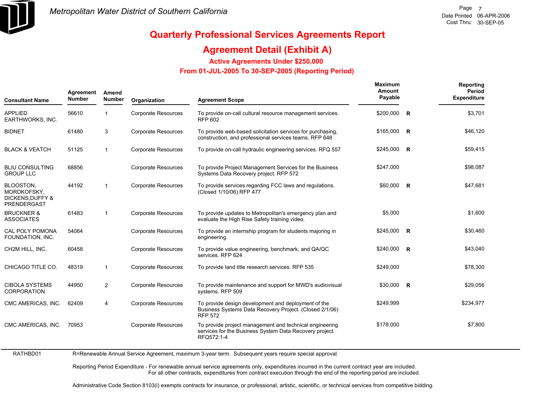

## **Agreement Detail (Exhibit A)**

**Active Agreements Under \$250,000** 

 **From 01-JUL-2005 To 30-SEP-2005 (Reporting Period)** 

| <b>Consultant Name</b>                                                 | Agreement<br><b>Number</b> | Amend<br><b>Number</b> | Organization               | <b>Agreement Scope</b>                                                                                                           | Maximum<br>Amount<br>Payable |                | Reporting<br>Period<br><b>Expenditure</b> |
|------------------------------------------------------------------------|----------------------------|------------------------|----------------------------|----------------------------------------------------------------------------------------------------------------------------------|------------------------------|----------------|-------------------------------------------|
| <b>APPLIED</b><br>EARTHWORKS, INC.                                     | 56610                      | $\mathbf 1$            | <b>Corporate Resources</b> | To provide on-call cultural resource management services.<br><b>RFP 602</b>                                                      | \$200,000                    | $\mathsf{R}$   | \$3,701                                   |
| <b>BIDNET</b>                                                          | 61480                      | 3                      | <b>Corporate Resources</b> | To provide web-based solicitation services for purchasing.<br>construction, and professional services teams. RFP 648             | \$165,000 R                  |                | \$46,120                                  |
| <b>BLACK &amp; VEATCH</b>                                              | 51125                      | $\mathbf{1}$           | <b>Corporate Resources</b> | To provide on-call hydraulic engineering services. RFQ 557                                                                       | \$245,000                    | $\overline{R}$ | \$59,415                                  |
| <b>BLIU CONSULTING</b><br><b>GROUP LLC</b>                             | 68856                      |                        | <b>Corporate Resources</b> | To provide Project Management Services for the Business<br>Systems Data Recovery project. RFP 572                                | \$247,000                    |                | \$98,087                                  |
| BLOOSTON,<br>MORDKOFSKY,<br><b>DICKENS, DUFFY &amp;</b><br>PRENDERGAST | 44192                      | $\mathbf{1}$           | <b>Corporate Resources</b> | To provide services regarding FCC laws and regulations.<br>(Closed 1/10/06) RFP 477                                              | \$60,000 R                   |                | \$47,681                                  |
| <b>BRUCKNER &amp;</b><br><b>ASSOCIATES</b>                             | 61483                      | $\mathbf{1}$           | <b>Corporate Resources</b> | To provide updates to Metropolitan's emergency plan and<br>evaluate the High Rise Safety training video.                         | \$5,000                      |                | \$1,600                                   |
| CAL POLY POMONA<br>FOUNDATION, INC.                                    | 54064                      |                        | <b>Corporate Resources</b> | To provide an internship program for students majoring in<br>engineering.                                                        | $$245,000$ R                 |                | \$30,460                                  |
| CH2M HILL, INC.                                                        | 60458                      |                        | <b>Corporate Resources</b> | To provide value engineering, benchmark, and QA/QC<br>services. RFP 624                                                          | \$240,000 R                  |                | \$43,040                                  |
| CHICAGO TITLE CO.                                                      | 48319                      | $\mathbf{1}$           | <b>Corporate Resources</b> | To provide land title research services. RFP 535                                                                                 | \$249,000                    |                | \$78,300                                  |
| <b>CIBOLA SYSTEMS</b><br><b>CORPORATION</b>                            | 44950                      | $\overline{2}$         | <b>Corporate Resources</b> | To provide maintenance and support for MWD's audiovisual<br>systems. RFP 509                                                     | $$30,000$ R                  |                | \$29,056                                  |
| CMC AMERICAS, INC.                                                     | 62409                      | 4                      | <b>Corporate Resources</b> | To provide design development and deployment of the<br>Business Systems Data Recovery Project. (Closed 2/1/06)<br><b>RFP 572</b> | \$249,999                    |                | \$234,977                                 |
| CMC AMERICAS, INC.                                                     | 70953                      |                        | <b>Corporate Resources</b> | To provide project management and technical engineering<br>services for the Business System Data Recovery project.<br>RFQ572:1-4 | \$178,000                    |                | \$7,800                                   |

RATHBD01 R=Renewable Annual Service Agreement, maximum 3-year term. Subsequent years require special approval.

> Reporting Period Expenditure - For renewable annual service agreements only, expenditures incurred in the current contract year are included. For all other contracts, expenditures from contract execution through the end of the reporting period are included.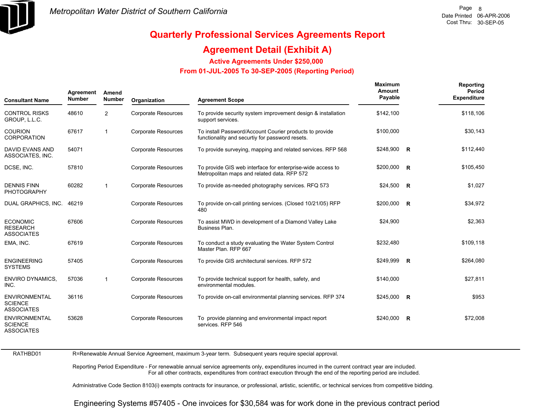

## **Agreement Detail (Exhibit A)**

**Active Agreements Under \$250,000** 

 **From 01-JUL-2005 To 30-SEP-2005 (Reporting Period)** 

| <b>Consultant Name</b>                                      | Agreement<br><b>Number</b> | Amend<br><b>Number</b> | Organization               | <b>Agreement Scope</b>                                                                                     | Maximum<br>Amount<br>Payable | Reporting<br>Period<br><b>Expenditure</b> |
|-------------------------------------------------------------|----------------------------|------------------------|----------------------------|------------------------------------------------------------------------------------------------------------|------------------------------|-------------------------------------------|
| <b>CONTROL RISKS</b><br>GROUP, L.L.C.                       | 48610                      | 2                      | Corporate Resources        | To provide security system improvement design & installation<br>support services.                          | \$142,100                    | \$118,106                                 |
| <b>COURION</b><br><b>CORPORATION</b>                        | 67617                      | $\mathbf{1}$           | <b>Corporate Resources</b> | To install Password/Account Courier products to provide<br>functionality and securtiy for password resets. | \$100,000                    | \$30,143                                  |
| <b>DAVID EVANS AND</b><br>ASSOCIATES, INC.                  | 54071                      |                        | <b>Corporate Resources</b> | To provide surveying, mapping and related services. RFP 568                                                | \$248,900 R                  | \$112,440                                 |
| DCSE, INC.                                                  | 57810                      |                        | <b>Corporate Resources</b> | To provide GIS web interface for enterprise-wide access to<br>Metropolitan maps and related data. RFP 572  | \$200,000 R                  | \$105,450                                 |
| <b>DENNIS FINN</b><br><b>PHOTOGRAPHY</b>                    | 60282                      | $\mathbf{1}$           | <b>Corporate Resources</b> | To provide as-needed photography services. RFQ 573                                                         | $$24,500$ R                  | \$1,027                                   |
| DUAL GRAPHICS, INC.                                         | 46219                      |                        | <b>Corporate Resources</b> | To provide on-call printing services. (Closed 10/21/05) RFP<br>480                                         | $$200,000$ R                 | \$34,972                                  |
| <b>ECONOMIC</b><br><b>RESEARCH</b><br><b>ASSOCIATES</b>     | 67606                      |                        | Corporate Resources        | To assist MWD in development of a Diamond Valley Lake<br>Business Plan.                                    | \$24,900                     | \$2,363                                   |
| EMA, INC.                                                   | 67619                      |                        | <b>Corporate Resources</b> | To conduct a study evaluating the Water System Control<br>Master Plan, RFP 667                             | \$232,480                    | \$109,118                                 |
| <b>ENGINEERING</b><br><b>SYSTEMS</b>                        | 57405                      |                        | <b>Corporate Resources</b> | To provide GIS architectural services. RFP 572                                                             | \$249,999 R                  | \$264,080                                 |
| <b>ENVIRO DYNAMICS,</b><br>INC.                             | 57036                      | $\mathbf{1}$           | <b>Corporate Resources</b> | To provide technical support for health, safety, and<br>environmental modules.                             | \$140,000                    | \$27,811                                  |
| <b>ENVIRONMENTAL</b><br><b>SCIENCE</b><br><b>ASSOCIATES</b> | 36116                      |                        | Corporate Resources        | To provide on-call environmental planning services. RFP 374                                                | $$245,000$ R                 | \$953                                     |
| <b>ENVIRONMENTAL</b><br><b>SCIENCE</b><br><b>ASSOCIATES</b> | 53628                      |                        | Corporate Resources        | To provide planning and environmental impact report<br>services. RFP 546                                   | \$240,000 R                  | \$72,008                                  |

RATHBD01

R=Renewable Annual Service Agreement, maximum 3-year term. Subsequent years require special approval.

Reporting Period Expenditure - For renewable annual service agreements only, expenditures incurred in the current contract year are included. For all other contracts, expenditures from contract execution through the end of the reporting period are included.

Administrative Code Section 8103(i) exempts contracts for insurance, or professional, artistic, scientific, or technical services from competitive bidding.

Engineering Systems #57405 - One invoices for \$30,584 was for work done in the previous contract period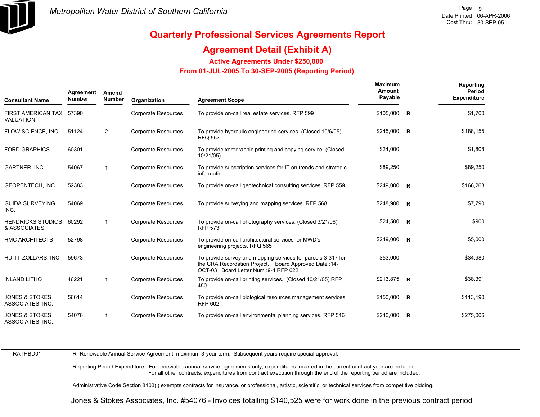

## **Agreement Detail (Exhibit A)**

**Active Agreements Under \$250,000** 

 **From 01-JUL-2005 To 30-SEP-2005 (Reporting Period)** 

| <b>Consultant Name</b>                        | Agreement<br><b>Number</b> | Amend<br><b>Number</b> | Organization               | <b>Agreement Scope</b>                                                                                                                                         | Maximum<br>Amount<br>Payable |          | Reporting<br>Period<br><b>Expenditure</b> |
|-----------------------------------------------|----------------------------|------------------------|----------------------------|----------------------------------------------------------------------------------------------------------------------------------------------------------------|------------------------------|----------|-------------------------------------------|
| FIRST AMERICAN TAX 57390<br>VALUATION         |                            |                        | <b>Corporate Resources</b> | To provide on-call real estate services. RFP 599                                                                                                               | \$105,000                    | <b>R</b> | \$1,700                                   |
| FLOW SCIENCE, INC.                            | 51124                      | $\overline{2}$         | <b>Corporate Resources</b> | To provide hydraulic engineering services. (Closed 10/6/05)<br><b>RFQ 557</b>                                                                                  | $$245,000$ R                 |          | \$188,155                                 |
| <b>FORD GRAPHICS</b>                          | 60301                      |                        | Corporate Resources        | To provide xerographic printing and copying service. (Closed<br>10/21/05)                                                                                      | \$24,000                     |          | \$1,808                                   |
| <b>GARTNER, INC.</b>                          | 54067                      | 1                      | <b>Corporate Resources</b> | To provide subscription services for IT on trends and strategic<br>information.                                                                                | \$89,250                     |          | \$89,250                                  |
| <b>GEOPENTECH, INC.</b>                       | 52383                      |                        | Corporate Resources        | To provide on-call geotechnical consulting services. RFP 559                                                                                                   | \$249,000 R                  |          | \$166,263                                 |
| <b>GUIDA SURVEYING</b><br>INC.                | 54069                      |                        | <b>Corporate Resources</b> | To provide surveying and mapping services. RFP 568                                                                                                             | $$248,900$ R                 |          | \$7,790                                   |
| <b>HENDRICKS STUDIOS</b><br>& ASSOCIATES      | 60292                      | $\mathbf 1$            | <b>Corporate Resources</b> | To provide on-call photography services. (Closed 3/21/06)<br><b>RFP 573</b>                                                                                    | $$24,500$ R                  |          | \$900                                     |
| <b>HMC ARCHITECTS</b>                         | 52798                      |                        | <b>Corporate Resources</b> | To provide on-call architectural services for MWD's<br>engineering projects. RFQ 565                                                                           | \$249,000 R                  |          | \$5,000                                   |
| HUITT-ZOLLARS, INC.                           | 59673                      |                        | <b>Corporate Resources</b> | To provide survey and mapping services for parcels 3-317 for<br>the CRA Recordation Project. Board Approved Date: 14-<br>OCT-03 Board Letter Num : 9-4 RFP 622 | \$53,000                     |          | \$34,980                                  |
| <b>INLAND LITHO</b>                           | 46221                      | $\mathbf 1$            | <b>Corporate Resources</b> | To provide on-call printing services. (Closed 10/21/05) RFP<br>480                                                                                             | \$213,875 R                  |          | \$38,391                                  |
| <b>JONES &amp; STOKES</b><br>ASSOCIATES, INC. | 56614                      |                        | <b>Corporate Resources</b> | To provide on-call biological resources management services.<br><b>RFP 602</b>                                                                                 | $$150,000$ R                 |          | \$113,190                                 |
| <b>JONES &amp; STOKES</b><br>ASSOCIATES, INC. | 54076                      | 1                      | Corporate Resources        | To provide on-call environmental planning services. RFP 546                                                                                                    | $$240,000$ R                 |          | \$275,006                                 |

RATHBD01

R=Renewable Annual Service Agreement, maximum 3-year term. Subsequent years require special approval.

Reporting Period Expenditure - For renewable annual service agreements only, expenditures incurred in the current contract year are included. For all other contracts, expenditures from contract execution through the end of the reporting period are included.

Administrative Code Section 8103(i) exempts contracts for insurance, or professional, artistic, scientific, or technical services from competitive bidding.

Jones & Stokes Associates, Inc. #54076 - Invoices totalling \$140,525 were for work done in the previous contract period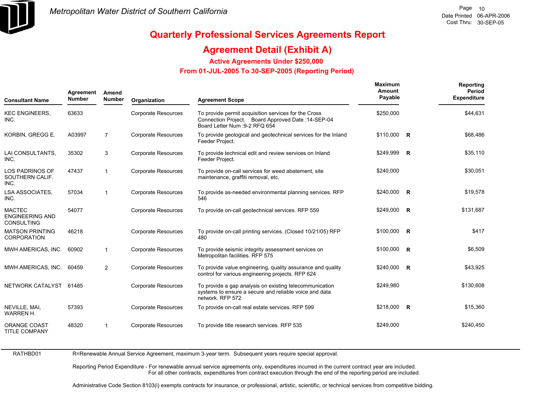

### **Agreement Detail (Exhibit A)**

**Active Agreements Under \$250,000** 

 **From 01-JUL-2005 To 30-SEP-2005 (Reporting Period)** 

| <b>Consultant Name</b>                                       | Agreement<br><b>Number</b> | Amend<br><b>Number</b> | Organization               | <b>Agreement Scope</b>                                                                                                                       | Maximum<br>Amount<br>Payable | Reporting<br>Period<br><b>Expenditure</b> |
|--------------------------------------------------------------|----------------------------|------------------------|----------------------------|----------------------------------------------------------------------------------------------------------------------------------------------|------------------------------|-------------------------------------------|
| <b>KEC ENGINEERS,</b><br>INC.                                | 63633                      |                        | Corporate Resources        | To provide permit acquisition services for the Cross<br>Connection Project. Board Approved Date: 14-SEP-04<br>Board Letter Num : 9-2 RFQ 654 | \$250,000                    | \$44,631                                  |
| KORBIN, GREGG E.                                             | A03997                     | $\overline{7}$         | <b>Corporate Resources</b> | To provide geological and geotechnical services for the Inland<br>Feeder Project.                                                            | $$110,000$ R                 | \$68,486                                  |
| LAI CONSULTANTS,<br>INC.                                     | 35302                      | 3                      | <b>Corporate Resources</b> | To provide technical edit and review services on Inland<br>Feeder Project.                                                                   | \$249,999 R                  | \$35,110                                  |
| <b>LOS PADRINOS OF</b><br>SOUTHERN CALIF.<br>INC.            | 47437                      | $\mathbf{1}$           | <b>Corporate Resources</b> | To provide on-call services for weed abatement, site<br>maintenance, graffiti removal, etc.                                                  | \$240,000                    | \$30,051                                  |
| <b>LSA ASSOCIATES.</b><br>INC.                               | 57034                      | 1                      | <b>Corporate Resources</b> | To provide as-needed environmental planning services. RFP<br>546                                                                             | \$240,000 R                  | \$19,578                                  |
| <b>MACTEC</b><br><b>ENGINEERING AND</b><br><b>CONSULTING</b> | 54077                      |                        | <b>Corporate Resources</b> | To provide on-call geotechnical services. RFP 559                                                                                            | \$249,000 R                  | \$131.687                                 |
| <b>MATSON PRINTING</b><br><b>CORPORATION</b>                 | 46218                      |                        | <b>Corporate Resources</b> | To provide on-call printing services. (Closed 10/21/05) RFP<br>480                                                                           | $$100,000$ R                 | \$417                                     |
| MWH AMERICAS, INC.                                           | 60902                      | $\mathbf{1}$           | <b>Corporate Resources</b> | To provide seismic integrity assessment services on<br>Metropolitan facilities. RFP 575                                                      | $$100,000$ R                 | \$6,509                                   |
| MWH AMERICAS, INC.                                           | 60459                      | $\overline{2}$         | <b>Corporate Resources</b> | To provide value engineering, quality assurance and quality<br>control for various engineering projects. RFP 624                             | \$240,000 R                  | \$43,925                                  |
| NETWORK CATALYST 61485                                       |                            |                        | <b>Corporate Resources</b> | To provide a gap analysis on existing telecommunication<br>systems to ensure a secure and reliable voice and data<br>network, RFP 572        | \$249,980                    | \$130,608                                 |
| NEVILLE, MAI,<br><b>WARREN H.</b>                            | 57393                      |                        | <b>Corporate Resources</b> | To provide on-call real estate services. RFP 599                                                                                             | \$218,000 R                  | \$15,360                                  |
| <b>ORANGE COAST</b><br><b>TITLE COMPANY</b>                  | 48320                      | $\mathbf{1}$           | <b>Corporate Resources</b> | To provide title research services. RFP 535                                                                                                  | \$249,000                    | \$240,450                                 |

RATHBD01 R=Renewable Annual Service Agreement, maximum 3-year term. Subsequent years require special approval.

> Reporting Period Expenditure - For renewable annual service agreements only, expenditures incurred in the current contract year are included. For all other contracts, expenditures from contract execution through the end of the reporting period are included.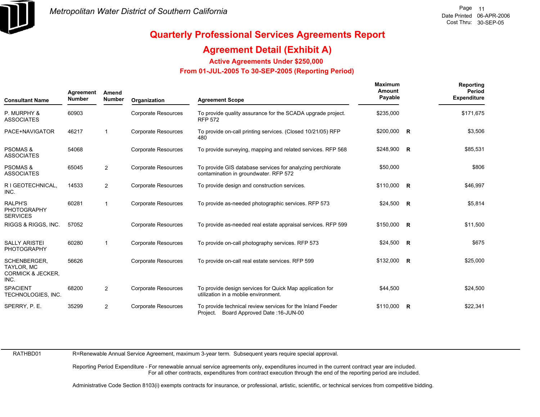

## **Agreement Detail (Exhibit A)**

**Active Agreements Under \$250,000** 

 **From 01-JUL-2005 To 30-SEP-2005 (Reporting Period)** 

| <b>Consultant Name</b>                                                    | Agreement<br><b>Number</b> | Amend<br><b>Number</b> | Organization               | <b>Agreement Scope</b>                                                                                   | Maximum<br>Amount<br>Payable | Reporting<br>Period<br><b>Expenditure</b> |
|---------------------------------------------------------------------------|----------------------------|------------------------|----------------------------|----------------------------------------------------------------------------------------------------------|------------------------------|-------------------------------------------|
| P. MURPHY &<br><b>ASSOCIATES</b>                                          | 60903                      |                        | Corporate Resources        | To provide quality assurance for the SCADA upgrade project.<br><b>RFP 572</b>                            | \$235,000                    | \$171,675                                 |
| PACE+NAVIGATOR                                                            | 46217                      | $\overline{1}$         | <b>Corporate Resources</b> | To provide on-call printing services. (Closed 10/21/05) RFP<br>480                                       | \$200,000 R                  | \$3,506                                   |
| <b>PSOMAS &amp;</b><br><b>ASSOCIATES</b>                                  | 54068                      |                        | <b>Corporate Resources</b> | To provide surveying, mapping and related services. RFP 568                                              | $$248,900$ R                 | \$85,531                                  |
| <b>PSOMAS &amp;</b><br><b>ASSOCIATES</b>                                  | 65045                      | $\overline{2}$         | <b>Corporate Resources</b> | To provide GIS database services for analyzing perchlorate<br>contamination in groundwater. RFP 572      | \$50,000                     | \$806                                     |
| R I GEOTECHNICAL,<br>INC.                                                 | 14533                      | $\overline{2}$         | <b>Corporate Resources</b> | To provide design and construction services.                                                             | \$110,000 R                  | \$46,997                                  |
| <b>RALPH'S</b><br><b>PHOTOGRAPHY</b><br><b>SERVICES</b>                   | 60281                      | $\overline{1}$         | <b>Corporate Resources</b> | To provide as-needed photographic services. RFP 573                                                      | $$24,500$ R                  | \$5,814                                   |
| RIGGS & RIGGS, INC.                                                       | 57052                      |                        | <b>Corporate Resources</b> | To provide as-needed real estate appraisal services. RFP 599                                             | $$150,000$ R                 | \$11,500                                  |
| <b>SALLY ARISTEI</b><br><b>PHOTOGRAPHY</b>                                | 60280                      | $\overline{1}$         | <b>Corporate Resources</b> | To provide on-call photography services. RFP 573                                                         | $$24,500$ R                  | \$675                                     |
| SCHENBERGER.<br><b>TAYLOR, MC</b><br><b>CORMICK &amp; JECKER.</b><br>INC. | 56626                      |                        | <b>Corporate Resources</b> | To provide on-call real estate services. RFP 599                                                         | $$132,000$ R                 | \$25,000                                  |
| <b>SPACIENT</b><br>TECHNOLOGIES, INC.                                     | 68200                      | $\overline{2}$         | <b>Corporate Resources</b> | To provide design services for Quick Map application for<br>utilization in a moblie environment.         | \$44,500                     | \$24,500                                  |
| SPERRY, P. E.                                                             | 35299                      | $\overline{2}$         | <b>Corporate Resources</b> | To provide technical review services for the Inland Feeder<br>Board Approved Date: 16-JUN-00<br>Project. | $$110,000$ R                 | \$22,341                                  |

RATHBD01

R=Renewable Annual Service Agreement, maximum 3-year term. Subsequent years require special approval.

Reporting Period Expenditure - For renewable annual service agreements only, expenditures incurred in the current contract year are included. For all other contracts, expenditures from contract execution through the end of the reporting period are included.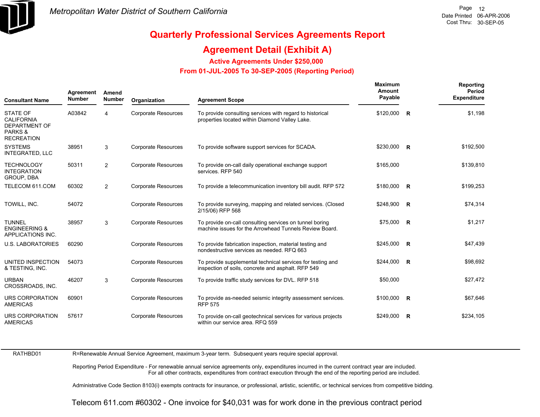

## **Agreement Detail (Exhibit A)**

**Active Agreements Under \$250,000** 

 **From 01-JUL-2005 To 30-SEP-2005 (Reporting Period)** 

| <b>Consultant Name</b>                                                                                  | Agreement<br><b>Number</b> | Amend<br><b>Number</b> | Organization               | <b>Agreement Scope</b>                                                                                            | Maximum<br>Amount<br>Payable |              | Reporting<br>Period<br><b>Expenditure</b> |
|---------------------------------------------------------------------------------------------------------|----------------------------|------------------------|----------------------------|-------------------------------------------------------------------------------------------------------------------|------------------------------|--------------|-------------------------------------------|
| <b>STATE OF</b><br><b>CALIFORNIA</b><br><b>DEPARTMENT OF</b><br><b>PARKS &amp;</b><br><b>RECREATION</b> | A03842                     | 4                      | <b>Corporate Resources</b> | To provide consulting services with regard to historical<br>properties located within Diamond Valley Lake.        | \$120,000                    | $\mathsf{R}$ | \$1,198                                   |
| <b>SYSTEMS</b><br><b>INTEGRATED, LLC</b>                                                                | 38951                      | 3                      | <b>Corporate Resources</b> | To provide software support services for SCADA.                                                                   | \$230,000 R                  |              | \$192,500                                 |
| <b>TECHNOLOGY</b><br><b>INTEGRATION</b><br>GROUP, DBA                                                   | 50311                      | $\overline{2}$         | <b>Corporate Resources</b> | To provide on-call daily operational exchange support<br>services. RFP 540                                        | \$165,000                    |              | \$139,810                                 |
| TELECOM 611.COM                                                                                         | 60302                      | $\overline{2}$         | Corporate Resources        | To provide a telecommunication inventory bill audit. RFP 572                                                      | \$180,000 R                  |              | \$199,253                                 |
| TOWILL, INC.                                                                                            | 54072                      |                        | <b>Corporate Resources</b> | To provide surveying, mapping and related services. (Closed<br>2/15/06) RFP 568                                   | $$248,900$ R                 |              | \$74,314                                  |
| <b>TUNNEL</b><br><b>ENGINEERING &amp;</b><br>APPLICATIONS INC.                                          | 38957                      | 3                      | <b>Corporate Resources</b> | To provide on-call consulting services on tunnel boring<br>machine issues for the Arrowhead Tunnels Review Board. | $$75,000$ R                  |              | \$1,217                                   |
| <b>U.S. LABORATORIES</b>                                                                                | 60290                      |                        | <b>Corporate Resources</b> | To provide fabrication inspection, material testing and<br>nondestructive services as needed. RFQ 663             | \$245,000 R                  |              | \$47,439                                  |
| UNITED INSPECTION<br>& TESTING, INC.                                                                    | 54073                      |                        | <b>Corporate Resources</b> | To provide supplemental technical services for testing and<br>inspection of soils, concrete and asphalt. RFP 549  | $$244,000$ R                 |              | \$98,692                                  |
| <b>URBAN</b><br>CROSSROADS, INC.                                                                        | 46207                      | 3                      | <b>Corporate Resources</b> | To provide traffic study services for DVL. RFP 518                                                                | \$50,000                     |              | \$27,472                                  |
| <b>URS CORPORATION</b><br><b>AMERICAS</b>                                                               | 60901                      |                        | <b>Corporate Resources</b> | To provide as-needed seismic integrity assessment services.<br><b>RFP 575</b>                                     | \$100,000 R                  |              | \$67,646                                  |
| URS CORPORATION<br><b>AMERICAS</b>                                                                      | 57617                      |                        | <b>Corporate Resources</b> | To provide on-call geotechnical services for various projects<br>within our service area. RFQ 559                 | \$249.000                    | R            | \$234,105                                 |

RATHBD01

R=Renewable Annual Service Agreement, maximum 3-year term. Subsequent years require special approval.

Reporting Period Expenditure - For renewable annual service agreements only, expenditures incurred in the current contract year are included. For all other contracts, expenditures from contract execution through the end of the reporting period are included.

Administrative Code Section 8103(i) exempts contracts for insurance, or professional, artistic, scientific, or technical services from competitive bidding.

Telecom 611.com #60302 - One invoice for \$40,031 was for work done in the previous contract period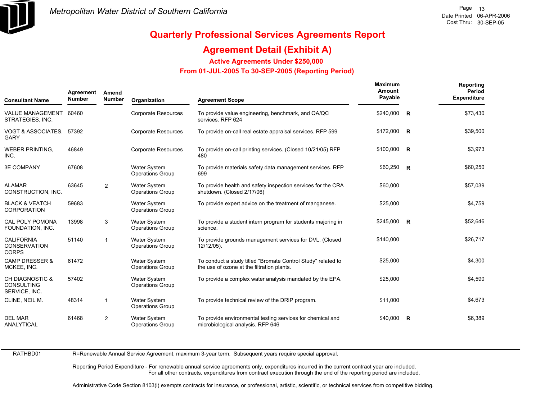

## **Agreement Detail (Exhibit A)**

**Active Agreements Under \$250,000** 

 **From 01-JUL-2005 To 30-SEP-2005 (Reporting Period)** 

| Agreement<br>Amend<br><b>Number</b><br><b>Consultant Name</b>    |       | <b>Number</b>           | Organization                                   | <b>Agreement Scope</b>                                                                                     | Maximum<br>Amount<br>Payable |              | Reporting<br>Period<br><b>Expenditure</b> |
|------------------------------------------------------------------|-------|-------------------------|------------------------------------------------|------------------------------------------------------------------------------------------------------------|------------------------------|--------------|-------------------------------------------|
| VALUE MANAGEMENT 60460<br>STRATEGIES, INC.                       |       |                         | <b>Corporate Resources</b>                     | To provide value engineering, benchmark, and QA/QC<br>services. RFP 624                                    | \$240,000                    | $\mathsf{R}$ | \$73,430                                  |
| VOGT & ASSOCIATES, 57392<br><b>GARY</b>                          |       |                         | <b>Corporate Resources</b>                     | To provide on-call real estate appraisal services. RFP 599                                                 | $$172,000$ R                 |              | \$39,500                                  |
| <b>WEBER PRINTING,</b><br>INC.                                   | 46849 |                         | <b>Corporate Resources</b>                     | To provide on-call printing services. (Closed 10/21/05) RFP<br>480                                         | $$100,000$ R                 |              | \$3,973                                   |
| <b>3E COMPANY</b>                                                | 67608 |                         | Water System<br><b>Operations Group</b>        | To provide materials safety data management services. RFP<br>699                                           | $$60,250$ R                  |              | \$60,250                                  |
| <b>ALAMAR</b><br>CONSTRUCTION, INC.                              | 63645 | $\overline{2}$          | Water System<br><b>Operations Group</b>        | To provide health and safety inspection services for the CRA<br>shutdown. (Closed 2/17/06)                 | \$60,000                     |              | \$57,039                                  |
| <b>BLACK &amp; VEATCH</b><br><b>CORPORATION</b>                  | 59683 |                         | <b>Water System</b><br><b>Operations Group</b> | To provide expert advice on the treatment of manganese.                                                    | \$25,000                     |              | \$4,759                                   |
| <b>CAL POLY POMONA</b><br>FOUNDATION, INC.                       | 13998 | 3                       | Water System<br><b>Operations Group</b>        | To provide a student intern program for students majoring in<br>science.                                   | $$245,000$ R                 |              | \$52,646                                  |
| <b>CALIFORNIA</b><br><b>CONSERVATION</b><br><b>CORPS</b>         | 51140 | $\overline{\mathbf{1}}$ | <b>Water System</b><br><b>Operations Group</b> | To provide grounds management services for DVL. (Closed<br>12/12/05).                                      | \$140,000                    |              | \$26,717                                  |
| <b>CAMP DRESSER &amp;</b><br>MCKEE, INC.                         | 61472 |                         | Water System<br><b>Operations Group</b>        | To conduct a study titled "Bromate Control Study" related to<br>the use of ozone at the filtration plants. | \$25,000                     |              | \$4,300                                   |
| <b>CH DIAGNOSTIC &amp;</b><br><b>CONSULTING</b><br>SERVICE, INC. | 57402 |                         | <b>Water System</b><br><b>Operations Group</b> | To provide a complex water analysis mandated by the EPA.                                                   | \$25,000                     |              | \$4,590                                   |
| CLINE, NEIL M.                                                   | 48314 | $\overline{\mathbf{1}}$ | <b>Water System</b><br><b>Operations Group</b> | To provide technical review of the DRIP program.                                                           | \$11,000                     |              | \$4,673                                   |
| <b>DEL MAR</b><br><b>ANALYTICAL</b>                              | 61468 | 2                       | <b>Water System</b><br><b>Operations Group</b> | To provide environmental testing services for chemical and<br>microbiological analysis. RFP 646            | \$40.000                     | R            | \$6,389                                   |

RATHBD01

R=Renewable Annual Service Agreement, maximum 3-year term. Subsequent years require special approval.

Reporting Period Expenditure - For renewable annual service agreements only, expenditures incurred in the current contract year are included. For all other contracts, expenditures from contract execution through the end of the reporting period are included.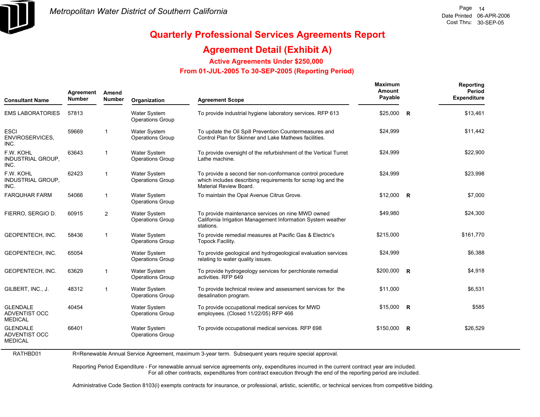

## **Agreement Detail (Exhibit A)**

**Active Agreements Under \$250,000** 

 **From 01-JUL-2005 To 30-SEP-2005 (Reporting Period)** 

| Agreement<br>Amend<br><b>Number</b><br><b>Number</b><br><b>Consultant Name</b> | Organization | <b>Agreement Scope</b> | Maximum<br>Amount<br>Payable                   |                                                                                                                                                      | <b>Reporting</b><br>Period<br><b>Expenditure</b> |                |           |
|--------------------------------------------------------------------------------|--------------|------------------------|------------------------------------------------|------------------------------------------------------------------------------------------------------------------------------------------------------|--------------------------------------------------|----------------|-----------|
| <b>EMS LABORATORIES</b>                                                        | 57813        |                        | Water System<br><b>Operations Group</b>        | To provide industrial hygiene laboratory services. RFP 613                                                                                           | \$25,000                                         | $\overline{R}$ | \$13,461  |
| <b>ESCI</b><br><b>ENVIROSERVICES,</b><br>INC.                                  | 59669        | 1                      | <b>Water System</b><br>Operations Group        | To update the Oil Spill Prevention Countermeasures and<br>Control Plan for Skinner and Lake Mathews facilities.                                      | \$24,999                                         |                | \$11,442  |
| F.W. KOHL<br>INDUSTRIAL GROUP,<br>INC.                                         | 63643        | 1                      | Water System<br>Operations Group               | To provide oversight of the refurbishment of the Vertical Turret<br>Lathe machine.                                                                   | \$24,999                                         |                | \$22,900  |
| F.W. KOHL<br>INDUSTRIAL GROUP,<br>INC.                                         | 62423        | 1                      | Water System<br><b>Operations Group</b>        | To provide a second tier non-conformance control procedure<br>which includes describing requirements for scrap log and the<br>Material Review Board. | \$24,999                                         |                | \$23,998  |
| <b>FARQUHAR FARM</b>                                                           | 54066        | 1                      | <b>Water System</b><br><b>Operations Group</b> | To maintain the Opal Avenue Citrus Grove.                                                                                                            | $$12,000$ R                                      |                | \$7,000   |
| FIERRO, SERGIO D.                                                              | 60915        | $\overline{2}$         | <b>Water System</b><br><b>Operations Group</b> | To provide maintenance services on nine MWD owned<br>California Irrigation Management Information System weather<br>stations.                        | \$49,980                                         |                | \$24,300  |
| GEOPENTECH, INC.                                                               | 58436        | $\mathbf{1}$           | <b>Water System</b><br><b>Operations Group</b> | To provide remedial measures at Pacific Gas & Electric's<br>Topock Facility.                                                                         | \$215,000                                        |                | \$161,770 |
| GEOPENTECH, INC.                                                               | 65054        |                        | <b>Water System</b><br><b>Operations Group</b> | To provide geological and hydrogeological evaluation services<br>relating to water quality issues.                                                   | \$24,999                                         |                | \$6,388   |
| GEOPENTECH, INC.                                                               | 63629        | 1                      | <b>Water System</b><br><b>Operations Group</b> | To provide hydrogeology services for perchlorate remedial<br>activities. RFP 649                                                                     | \$200,000 R                                      |                | \$4,918   |
| GILBERT, INC., J.                                                              | 48312        | $\mathbf{1}$           | <b>Water System</b><br><b>Operations Group</b> | To provide technical review and assessment services for the<br>desalination program.                                                                 | \$11,000                                         |                | \$6,531   |
| <b>GLENDALE</b><br>ADVENTIST OCC<br><b>MEDICAL</b>                             | 40454        |                        | Water System<br><b>Operations Group</b>        | To provide occupational medical services for MWD<br>employees. (Closed 11/22/05) RFP 466                                                             | $$15,000$ R                                      |                | \$585     |
| <b>GLENDALE</b><br><b>ADVENTIST OCC</b><br><b>MEDICAL</b>                      | 66401        |                        | <b>Water System</b><br><b>Operations Group</b> | To provide occupational medical services. RFP 698                                                                                                    | \$150,000                                        | $\overline{R}$ | \$26,529  |

RATHBD01 R=Renewable Annual Service Agreement, maximum 3-year term. Subsequent years require special approval.

> Reporting Period Expenditure - For renewable annual service agreements only, expenditures incurred in the current contract year are included. For all other contracts, expenditures from contract execution through the end of the reporting period are included.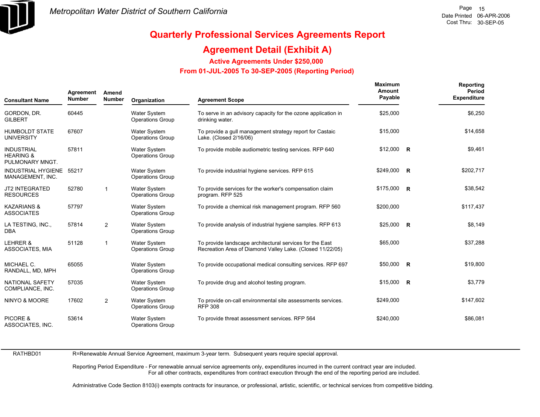

## **Agreement Detail (Exhibit A)**

**Active Agreements Under \$250,000** 

 **From 01-JUL-2005 To 30-SEP-2005 (Reporting Period)** 

| Agreement<br><b>Number</b><br><b>Consultant Name</b>         |       | Amend<br><b>Number</b> | Organization                                   | <b>Agreement Scope</b>                                                                                                | <b>Maximum</b><br>Amount<br>Payable |  | Reporting<br>Period<br><b>Expenditure</b> |
|--------------------------------------------------------------|-------|------------------------|------------------------------------------------|-----------------------------------------------------------------------------------------------------------------------|-------------------------------------|--|-------------------------------------------|
| GORDON, DR.<br><b>GILBERT</b>                                | 60445 |                        | <b>Water System</b><br><b>Operations Group</b> | To serve in an advisory capacity for the ozone application in<br>drinking water.                                      | \$25,000                            |  | \$6,250                                   |
| <b>HUMBOLDT STATE</b><br><b>UNIVERSITY</b>                   | 67607 |                        | Water System<br>Operations Group               | To provide a gull management strategy report for Castaic<br>Lake. (Closed 2/16/06)                                    | \$15,000                            |  | \$14,658                                  |
| <b>INDUSTRIAL</b><br><b>HEARING &amp;</b><br>PULMONARY MNGT. | 57811 |                        | Water System<br><b>Operations Group</b>        | To provide mobile audiometric testing services. RFP 640                                                               | $$12,000$ R                         |  | \$9,461                                   |
| INDUSTRIAL HYGIENE 55217<br>MANAGEMENT, INC.                 |       |                        | Water System<br><b>Operations Group</b>        | To provide industrial hygiene services. RFP 615                                                                       | \$249,000 R                         |  | \$202,717                                 |
| <b>JT2 INTEGRATED</b><br><b>RESOURCES</b>                    | 52780 | $\mathbf{1}$           | Water System<br><b>Operations Group</b>        | To provide services for the worker's compensation claim<br>program. RFP 525                                           | \$175,000 R                         |  | \$38,542                                  |
| <b>KAZARIANS &amp;</b><br><b>ASSOCIATES</b>                  | 57797 |                        | <b>Water System</b><br><b>Operations Group</b> | To provide a chemical risk management program. RFP 560                                                                | \$200,000                           |  | \$117,437                                 |
| LA TESTING, INC.,<br><b>DBA</b>                              | 57814 | 2                      | <b>Water System</b><br><b>Operations Group</b> | To provide analysis of industrial hygiene samples. RFP 613                                                            | $$25,000$ R                         |  | \$8,149                                   |
| LEHRER &<br><b>ASSOCIATES, MIA</b>                           | 51128 | $\mathbf{1}$           | <b>Water System</b><br><b>Operations Group</b> | To provide landscape architectural services for the East<br>Recreation Area of Diamond Valley Lake. (Closed 11/22/05) | \$65,000                            |  | \$37,288                                  |
| MICHAEL C.<br>RANDALL, MD, MPH                               | 65055 |                        | Water System<br><b>Operations Group</b>        | To provide occupational medical consulting services. RFP 697                                                          | $$50,000$ R                         |  | \$19,800                                  |
| NATIONAL SAFETY<br>COMPLIANCE, INC.                          | 57035 |                        | <b>Water System</b><br><b>Operations Group</b> | To provide drug and alcohol testing program.                                                                          | $$15,000$ R                         |  | \$3,779                                   |
| NINYO & MOORE                                                | 17602 | 2                      | <b>Water System</b><br><b>Operations Group</b> | To provide on-call environmental site assessments services.<br><b>RFP 308</b>                                         | \$249,000                           |  | \$147,602                                 |
| PICORE &<br>ASSOCIATES, INC.                                 | 53614 |                        | <b>Water System</b><br><b>Operations Group</b> | To provide threat assessment services. RFP 564                                                                        | \$240,000                           |  | \$86,081                                  |

RATHBD01

R=Renewable Annual Service Agreement, maximum 3-year term. Subsequent years require special approval.

Reporting Period Expenditure - For renewable annual service agreements only, expenditures incurred in the current contract year are included. For all other contracts, expenditures from contract execution through the end of the reporting period are included.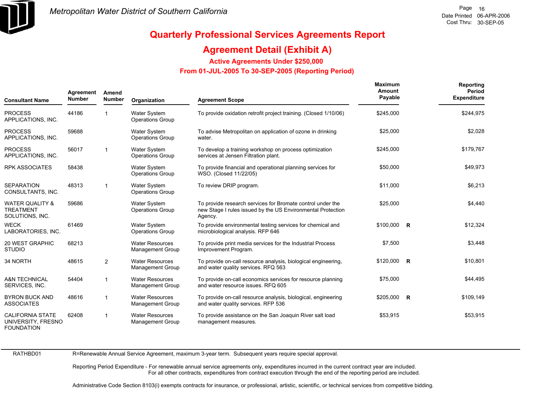

## **Agreement Detail (Exhibit A)**

**Active Agreements Under \$250,000** 

 **From 01-JUL-2005 To 30-SEP-2005 (Reporting Period)** 

| Agreement<br><b>Number</b><br><b>Consultant Name</b>               |       | Amend<br><b>Number</b>  | Organization                                      | <b>Agreement Scope</b>                                                                                                               | <b>Maximum</b><br>Amount<br>Payable |  | Reporting<br>Period<br><b>Expenditure</b> |
|--------------------------------------------------------------------|-------|-------------------------|---------------------------------------------------|--------------------------------------------------------------------------------------------------------------------------------------|-------------------------------------|--|-------------------------------------------|
| <b>PROCESS</b><br>APPLICATIONS, INC.                               | 44186 |                         | Water System<br><b>Operations Group</b>           | To provide oxidation retrofit project training. (Closed 1/10/06)                                                                     | \$245,000                           |  | \$244,975                                 |
| <b>PROCESS</b><br>APPLICATIONS, INC.                               | 59688 |                         | <b>Water System</b><br><b>Operations Group</b>    | To advise Metropolitan on application of ozone in drinking<br>water.                                                                 | \$25,000                            |  | \$2,028                                   |
| <b>PROCESS</b><br>APPLICATIONS, INC.                               | 56017 | $\mathbf{1}$            | <b>Water System</b><br><b>Operations Group</b>    | To develop a training workshop on process optimization<br>services at Jensen Filtration plant.                                       | \$245,000                           |  | \$179,767                                 |
| <b>RPK ASSOCIATES</b>                                              | 58438 |                         | <b>Water System</b><br><b>Operations Group</b>    | To provide financial and operational planning services for<br>WSO. (Closed 11/22/05)                                                 | \$50,000                            |  | \$49,973                                  |
| <b>SEPARATION</b><br>CONSULTANTS, INC.                             | 48313 | -1                      | <b>Water System</b><br><b>Operations Group</b>    | To review DRIP program.                                                                                                              | \$11,000                            |  | \$6,213                                   |
| <b>WATER QUALITY &amp;</b><br><b>TREATMENT</b><br>SOLUTIONS, INC.  | 59686 |                         | <b>Water System</b><br><b>Operations Group</b>    | To provide research services for Bromate control under the<br>new Stage I rules issued by the US Environmental Protection<br>Agency. | \$25,000                            |  | \$4,440                                   |
| <b>WECK</b><br>LABORATORIES, INC.                                  | 61469 |                         | <b>Water System</b><br><b>Operations Group</b>    | To provide environmental testing services for chemical and<br>microbiological analysis. RFP 646                                      | \$100,000 R                         |  | \$12,324                                  |
| <b>20 WEST GRAPHIC</b><br><b>STUDIO</b>                            | 68213 |                         | <b>Water Resources</b><br><b>Management Group</b> | To provide print media services for the Industrial Process<br>Improvement Program.                                                   | \$7,500                             |  | \$3,448                                   |
| 34 NORTH                                                           | 48615 | $\overline{2}$          | <b>Water Resources</b><br><b>Management Group</b> | To provide on-call resource analysis, biological engineering,<br>and water quality services. RFQ 563                                 | $$120,000$ R                        |  | \$10,801                                  |
| <b>A&amp;N TECHNICAL</b><br>SERVICES, INC.                         | 54404 | $\overline{\mathbf{1}}$ | <b>Water Resources</b><br><b>Management Group</b> | To provide on-call economics services for resource planning<br>and water resource issues. RFQ 605                                    | \$75,000                            |  | \$44,495                                  |
| <b>BYRON BUCK AND</b><br><b>ASSOCIATES</b>                         | 48616 | $\overline{\mathbf{1}}$ | <b>Water Resources</b><br><b>Management Group</b> | To provide on-call resource analysis, biological, engineering<br>and water quality services. RFP 536                                 | $$205,000$ R                        |  | \$109,149                                 |
| <b>CALIFORNIA STATE</b><br>UNIVERSITY, FRESNO<br><b>FOUNDATION</b> | 62408 | $\overline{\mathbf{1}}$ | <b>Water Resources</b><br><b>Management Group</b> | To provide assistance on the San Joaquin River salt load<br>management measures.                                                     | \$53,915                            |  | \$53,915                                  |

RATHBD01

R=Renewable Annual Service Agreement, maximum 3-year term. Subsequent years require special approval.

Reporting Period Expenditure - For renewable annual service agreements only, expenditures incurred in the current contract year are included. For all other contracts, expenditures from contract execution through the end of the reporting period are included.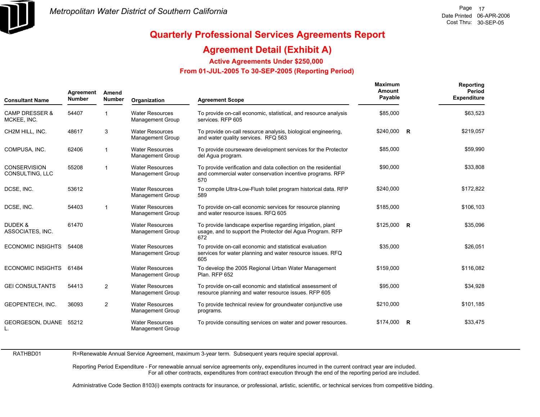

## **Agreement Detail (Exhibit A)**

**Active Agreements Under \$250,000** 

 **From 01-JUL-2005 To 30-SEP-2005 (Reporting Period)** 

| <b>Consultant Name</b>                   | Agreement<br><b>Number</b> | Amend<br><b>Number</b> | Organization                                      | <b>Agreement Scope</b>                                                                                                             | <b>Maximum</b><br>Amount<br>Payable | Reporting<br><b>Period</b><br><b>Expenditure</b> |
|------------------------------------------|----------------------------|------------------------|---------------------------------------------------|------------------------------------------------------------------------------------------------------------------------------------|-------------------------------------|--------------------------------------------------|
| <b>CAMP DRESSER &amp;</b><br>MCKEE, INC. | 54407                      |                        | <b>Water Resources</b><br><b>Management Group</b> | To provide on-call economic, statistical, and resource analysis<br>services. RFP 605                                               | \$85,000                            | \$63,523                                         |
| CH2M HILL, INC.                          | 48617                      | 3                      | <b>Water Resources</b><br><b>Management Group</b> | To provide on-call resource analysis, biological engineering,<br>and water quality services. RFQ 563                               | \$240,000 R                         | \$219,057                                        |
| COMPUSA, INC.                            | 62406                      | $\mathbf{1}$           | <b>Water Resources</b><br><b>Management Group</b> | To provide courseware development services for the Protector<br>del Aqua program.                                                  | \$85,000                            | \$59,990                                         |
| <b>CONSERVISION</b><br>CONSULTING, LLC   | 55208                      | $\overline{1}$         | <b>Water Resources</b><br><b>Management Group</b> | To provide verification and data collection on the residential<br>and commercial water conservation incentive programs. RFP<br>570 | \$90,000                            | \$33,808                                         |
| DCSE, INC.                               | 53612                      |                        | <b>Water Resources</b><br><b>Management Group</b> | To compile Ultra-Low-Flush toilet program historical data. RFP<br>589                                                              | \$240,000                           | \$172,822                                        |
| DCSE, INC.                               | 54403                      | $\overline{1}$         | <b>Water Resources</b><br><b>Management Group</b> | To provide on-call economic services for resource planning<br>and water resource issues. RFQ 605                                   | \$185,000                           | \$106,103                                        |
| DUDEK &<br>ASSOCIATES, INC.              | 61470                      |                        | <b>Water Resources</b><br><b>Management Group</b> | To provide landscape expertise regarding irrigation, plant<br>usage, and to support the Protector del Agua Program. RFP<br>672     | $$125,000$ R                        | \$35,096                                         |
| <b>ECONOMIC INSIGHTS</b>                 | 54408                      |                        | <b>Water Resources</b><br><b>Management Group</b> | To provide on-call economic and statistical evaluation<br>services for water planning and water resource issues. RFQ<br>605        | \$35,000                            | \$26,051                                         |
| <b>ECONOMIC INSIGHTS</b>                 | 61484                      |                        | <b>Water Resources</b><br><b>Management Group</b> | To develop the 2005 Regional Urban Water Management<br>Plan. RFP 652                                                               | \$159,000                           | \$116,082                                        |
| <b>GEI CONSULTANTS</b>                   | 54413                      | $\overline{2}$         | <b>Water Resources</b><br>Management Group        | To provide on-call economic and statistical assessment of<br>resource planning and water resource issues. RFP 605                  | \$95,000                            | \$34,928                                         |
| GEOPENTECH, INC.                         | 36093                      | $\overline{2}$         | <b>Water Resources</b><br>Management Group        | To provide technical review for groundwater conjunctive use<br>programs.                                                           | \$210,000                           | \$101,185                                        |
| <b>GEORGESON, DUANE</b>                  | 55212                      |                        | <b>Water Resources</b><br>Management Group        | To provide consulting services on water and power resources.                                                                       | \$174,000 R                         | \$33,475                                         |

RATHBD01

R=Renewable Annual Service Agreement, maximum 3-year term. Subsequent years require special approval.

Reporting Period Expenditure - For renewable annual service agreements only, expenditures incurred in the current contract year are included. For all other contracts, expenditures from contract execution through the end of the reporting period are included.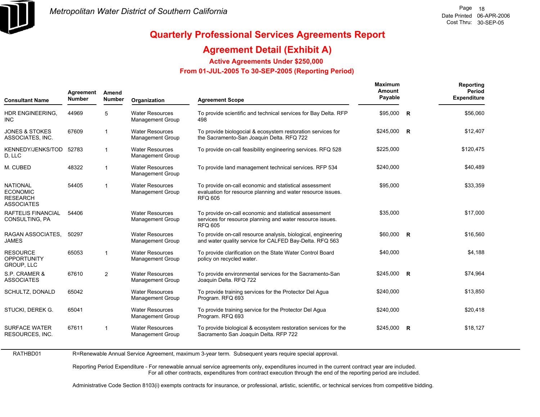

## **Agreement Detail (Exhibit A)**

**Active Agreements Under \$250,000** 

 **From 01-JUL-2005 To 30-SEP-2005 (Reporting Period)** 

| <b>Consultant Name</b>                                                     | Agreement<br><b>Number</b> | Amend<br><b>Number</b>  | Organization                                      | <b>Agreement Scope</b>                                                                                                                  | <b>Maximum</b><br>Amount<br>Payable |              | Reporting<br>Period<br><b>Expenditure</b> |
|----------------------------------------------------------------------------|----------------------------|-------------------------|---------------------------------------------------|-----------------------------------------------------------------------------------------------------------------------------------------|-------------------------------------|--------------|-------------------------------------------|
| HDR ENGINEERING,<br><b>INC</b>                                             | 44969                      | 5                       | <b>Water Resources</b><br>Management Group        | To provide scientific and technical services for Bay Delta. RFP<br>498                                                                  | \$95,000                            | R            | \$56,060                                  |
| <b>JONES &amp; STOKES</b><br>ASSOCIATES, INC.                              | 67609                      | $\overline{\mathbf{1}}$ | <b>Water Resources</b><br>Management Group        | To provide biologocial & ecosystem restoration services for<br>the Sacramento-San Joaquin Delta. RFQ 722                                | \$245.000                           | <b>R</b>     | \$12,407                                  |
| KENNEDY/JENKS/TOD<br>D, LLC                                                | 52783                      | $\mathbf{1}$            | <b>Water Resources</b><br>Management Group        | To provide on-call feasibility engineering services. RFQ 528                                                                            | \$225,000                           |              | \$120,475                                 |
| M. CUBED                                                                   | 48322                      | $\mathbf{1}$            | <b>Water Resources</b><br>Management Group        | To provide land management technical services. RFP 534                                                                                  | \$240.000                           |              | \$40.489                                  |
| <b>NATIONAL</b><br><b>ECONOMIC</b><br><b>RESEARCH</b><br><b>ASSOCIATES</b> | 54405                      | $\overline{1}$          | <b>Water Resources</b><br>Management Group        | To provide on-call economic and statistical assessment<br>evaluation for resource planning and water resource issues.<br><b>RFQ 605</b> | \$95,000                            |              | \$33,359                                  |
| RAFTELIS FINANCIAL<br>CONSULTING, PA                                       | 54406                      |                         | <b>Water Resources</b><br>Management Group        | To provide on-call economic and statistical assessment<br>services for resource planning and water resource issues.<br><b>RFQ 605</b>   | \$35.000                            |              | \$17.000                                  |
| RAGAN ASSOCIATES,<br><b>JAMES</b>                                          | 50297                      |                         | <b>Water Resources</b><br>Management Group        | To provide on-call resource analysis, biological, engineering<br>and water quality service for CALFED Bay-Delta. RFQ 563                | \$60,000                            | <b>R</b>     | \$16,560                                  |
| <b>RESOURCE</b><br><b>OPPORTUNITY</b><br><b>GROUP, LLC</b>                 | 65053                      | $\overline{\mathbf{1}}$ | <b>Water Resources</b><br>Management Group        | To provide clarification on the State Water Control Board<br>policy on recycled water.                                                  | \$40,000                            |              | \$4,188                                   |
| S.P. CRAMER &<br><b>ASSOCIATES</b>                                         | 67610                      | $\overline{2}$          | <b>Water Resources</b><br>Management Group        | To provide environmental services for the Sacramento-San<br>Joaquin Delta. RFQ 722                                                      | \$245,000                           | $\mathsf{R}$ | \$74,964                                  |
| SCHULTZ, DONALD                                                            | 65042                      |                         | <b>Water Resources</b><br><b>Management Group</b> | To provide training services for the Protector Del Agua<br>Program. RFQ 693                                                             | \$240,000                           |              | \$13,850                                  |
| STUCKI, DEREK G.                                                           | 65041                      |                         | <b>Water Resources</b><br>Management Group        | To provide training service for the Protector Del Agua<br>Program. RFQ 693                                                              | \$240,000                           |              | \$20,418                                  |
| <b>SURFACE WATER</b><br>RESOURCES, INC.                                    | 67611                      | 1                       | <b>Water Resources</b><br><b>Management Group</b> | To provide biological & ecosystem restoration services for the<br>Sacramento San Joaquin Delta. RFP 722                                 | \$245,000                           | R            | \$18,127                                  |

RATHBD01 R=Renewable Annual Service Agreement, maximum 3-year term. Subsequent years require special approval.

> Reporting Period Expenditure - For renewable annual service agreements only, expenditures incurred in the current contract year are included. For all other contracts, expenditures from contract execution through the end of the reporting period are included.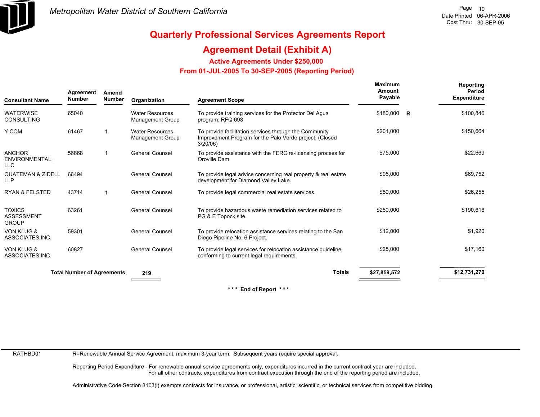

## **Agreement Detail (Exhibit A)**

**Active Agreements Under \$250,000** 

 **From 01-JUL-2005 To 30-SEP-2005 (Reporting Period)** 

| <b>Consultant Name</b>                             | Agreement<br><b>Number</b>        | Amend<br><b>Number</b> | Organization                                      | <b>Agreement Scope</b>                                                                                                           | Maximum<br>Amount<br>Payable |   | Reporting<br>Period<br><b>Expenditure</b> |
|----------------------------------------------------|-----------------------------------|------------------------|---------------------------------------------------|----------------------------------------------------------------------------------------------------------------------------------|------------------------------|---|-------------------------------------------|
| <b>WATERWISE</b><br><b>CONSULTING</b>              | 65040                             |                        | <b>Water Resources</b><br>Management Group        | To provide training services for the Protector Del Agua<br>program. RFQ 693                                                      | \$180,000                    | R | \$100,846                                 |
| Y COM                                              | 61467                             |                        | <b>Water Resources</b><br><b>Management Group</b> | To provide facilitation services through the Community<br>Improvement Program for the Palo Verde project. (Closed<br>$3/20/06$ ) | \$201,000                    |   | \$150,664                                 |
| ANCHOR<br>ENVIRONMENTAL,<br><b>LLC</b>             | 56868                             |                        | <b>General Counsel</b>                            | To provide assistance with the FERC re-licensing process for<br>Oroville Dam.                                                    | \$75,000                     |   | \$22,669                                  |
| <b>QUATEMAN &amp; ZIDELL</b><br><b>LLP</b>         | 66494                             |                        | <b>General Counsel</b>                            | To provide legal advice concerning real property & real estate<br>development for Diamond Valley Lake.                           | \$95,000                     |   | \$69,752                                  |
| <b>RYAN &amp; FELSTED</b>                          | 43714                             |                        | <b>General Counsel</b>                            | To provide legal commercial real estate services.                                                                                | \$50,000                     |   | \$26,255                                  |
| <b>TOXICS</b><br><b>ASSESSMENT</b><br><b>GROUP</b> | 63261                             |                        | <b>General Counsel</b>                            | To provide hazardous waste remediation services related to<br>PG & E Topock site.                                                | \$250,000                    |   | \$190,616                                 |
| <b>VON KLUG &amp;</b><br>ASSOCIATES, INC.          | 59301                             |                        | <b>General Counsel</b>                            | To provide relocation assistance services relating to the San<br>Diego Pipeline No. 6 Project.                                   | \$12,000                     |   | \$1,920                                   |
| <b>VON KLUG &amp;</b><br>ASSOCIATES, INC.          | 60827                             |                        | <b>General Counsel</b>                            | To provide legal services for relocation assistance quideline<br>conforming to current legal requirements.                       | \$25,000                     |   | \$17.160                                  |
|                                                    | <b>Total Number of Agreements</b> |                        | 219                                               | <b>Totals</b>                                                                                                                    | \$27,859,572                 |   | \$12,731,270                              |

**\* \* \* End of Report \* \* \***

RATHBD01

R=Renewable Annual Service Agreement, maximum 3-year term. Subsequent years require special approval.

Reporting Period Expenditure - For renewable annual service agreements only, expenditures incurred in the current contract year are included. For all other contracts, expenditures from contract execution through the end of the reporting period are included.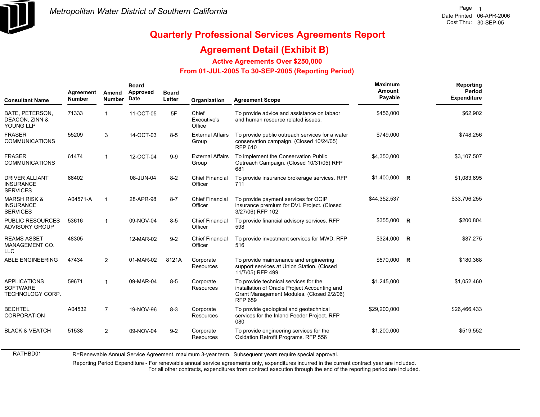

### **Agreement Detail (Exhibit B)**

**Active Agreements Over \$250,000**

#### **From 01-JUL-2005 To 30-SEP-2005 (Reporting Period)**

| <b>Consultant Name</b>                                         | Agreement<br><b>Number</b> | Amend<br><b>Number</b>  | <b>Board</b><br>Approved<br>Date | <b>Board</b><br>Letter | Organization                      | <b>Agreement Scope</b>                                                                                                                                | <b>Maximum</b><br>Amount<br>Payable | Reporting<br>Period<br><b>Expenditure</b> |
|----------------------------------------------------------------|----------------------------|-------------------------|----------------------------------|------------------------|-----------------------------------|-------------------------------------------------------------------------------------------------------------------------------------------------------|-------------------------------------|-------------------------------------------|
| BATE, PETERSON,<br>DEACON, ZINN &<br>YOUNG LLP                 | 71333                      |                         | 11-OCT-05                        | 5F                     | Chief<br>Executive's<br>Office    | To provide advice and assistance on labaor<br>and human resource related issues.                                                                      | \$456,000                           | \$62,902                                  |
| <b>FRASER</b><br><b>COMMUNICATIONS</b>                         | 55209                      | 3                       | 14-OCT-03                        | $8-5$                  | <b>External Affairs</b><br>Group  | To provide public outreach services for a water<br>conservation campaign. (Closed 10/24/05)<br><b>RFP 610</b>                                         | \$749.000                           | \$748,256                                 |
| <b>FRASER</b><br><b>COMMUNICATIONS</b>                         | 61474                      | -1                      | 12-OCT-04                        | $9-9$                  | <b>External Affairs</b><br>Group  | To implement the Conservation Public<br>Outreach Campaign. (Closed 10/31/05) RFP<br>681                                                               | \$4,350,000                         | \$3,107,507                               |
| <b>DRIVER ALLIANT</b><br><b>INSURANCE</b><br><b>SERVICES</b>   | 66402                      |                         | 08-JUN-04                        | $8 - 2$                | <b>Chief Financial</b><br>Officer | To provide insurance brokerage services. RFP<br>711                                                                                                   | $$1,400,000$ R                      | \$1,083,695                               |
| <b>MARSH RISK &amp;</b><br><b>INSURANCE</b><br><b>SERVICES</b> | A04571-A                   | $\overline{\mathbf{1}}$ | 28-APR-98                        | $8 - 7$                | <b>Chief Financial</b><br>Officer | To provide payment services for OCIP<br>insurance premium for DVL Project. (Closed<br>3/27/06) RFP 102                                                | \$44,352,537                        | \$33,796,255                              |
| <b>PUBLIC RESOURCES</b><br><b>ADVISORY GROUP</b>               | 53616                      | -1                      | 09-NOV-04                        | $8-5$                  | <b>Chief Financial</b><br>Officer | To provide financial advisory services. RFP<br>598                                                                                                    | \$355,000 R                         | \$200,804                                 |
| <b>REAMS ASSET</b><br>MANAGEMENT CO.<br><b>LLC</b>             | 48305                      |                         | 12-MAR-02                        | $9 - 2$                | <b>Chief Financial</b><br>Officer | To provide investment services for MWD. RFP<br>516                                                                                                    | \$324,000 R                         | \$87,275                                  |
| <b>ABLE ENGINEERING</b>                                        | 47434                      | $\overline{2}$          | 01-MAR-02                        | 8121A                  | Corporate<br><b>Resources</b>     | To provide maintenance and engineering<br>support services at Union Station. (Closed<br>11/7/05) RFP 499                                              | \$570,000 R                         | \$180,368                                 |
| <b>APPLICATIONS</b><br><b>SOFTWARE</b><br>TECHNOLOGY CORP.     | 59671                      | -1                      | 09-MAR-04                        | $8-5$                  | Corporate<br><b>Resources</b>     | To provide technical services for the<br>installation of Oracle Project Accounting and<br>Grant Management Modules. (Closed 2/2/06)<br><b>RFP 659</b> | \$1,245,000                         | \$1,052,460                               |
| <b>BECHTEL</b><br><b>CORPORATION</b>                           | A04532                     | $\overline{7}$          | 19-NOV-96                        | $8 - 3$                | Corporate<br><b>Resources</b>     | To provide geological and geotechnical<br>services for the Inland Feeder Project. RFP<br>080                                                          | \$29,200,000                        | \$26,466,433                              |
| <b>BLACK &amp; VEATCH</b>                                      | 51538                      | $\overline{2}$          | 09-NOV-04                        | $9 - 2$                | Corporate<br><b>Resources</b>     | To provide engineering services for the<br>Oxidation Retrofit Programs. RFP 556                                                                       | \$1,200,000                         | \$519,552                                 |

RATHBD01 R=Renewable Annual Service Agreement, maximum 3-year term. Subsequent years require special approval.

Reporting Period Expenditure - For renewable annual service agreements only, expenditures incurred in the current contract year are included.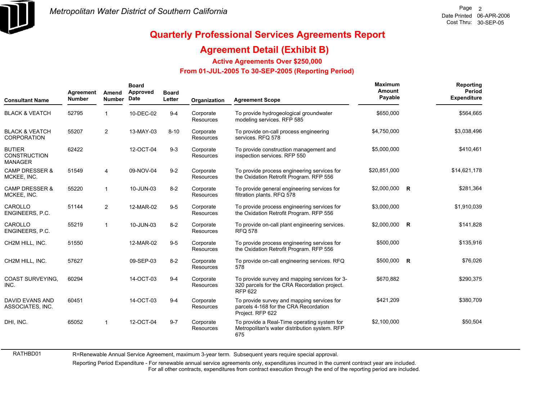

### **Agreement Detail (Exhibit B)**

**Active Agreements Over \$250,000**

#### **From 01-JUL-2005 To 30-SEP-2005 (Reporting Period)**

| <b>Consultant Name</b>                                 | Agreement<br><b>Number</b> | Amend<br><b>Number</b>  | <b>Board</b><br>Approved<br><b>Date</b> | <b>Board</b><br>Letter | Organization                  | <b>Agreement Scope</b>                                                                                          | Maximum<br>Amount<br>Payable | Reporting<br><b>Period</b><br><b>Expenditure</b> |
|--------------------------------------------------------|----------------------------|-------------------------|-----------------------------------------|------------------------|-------------------------------|-----------------------------------------------------------------------------------------------------------------|------------------------------|--------------------------------------------------|
| <b>BLACK &amp; VEATCH</b>                              | 52795                      | 1                       | 10-DEC-02                               | $9 - 4$                | Corporate<br>Resources        | To provide hydrogeological groundwater<br>modeling services. RFP 585                                            | \$650,000                    | \$564,665                                        |
| <b>BLACK &amp; VEATCH</b><br><b>CORPORATION</b>        | 55207                      | $\overline{2}$          | 13-MAY-03                               | $8 - 10$               | Corporate<br>Resources        | To provide on-call process engineering<br>services. RFQ 578                                                     | \$4,750,000                  | \$3,038,496                                      |
| <b>BUTIER</b><br><b>CONSTRUCTION</b><br><b>MANAGER</b> | 62422                      |                         | 12-OCT-04                               | $9 - 3$                | Corporate<br>Resources        | To provide construction management and<br>inspection services. RFP 550                                          | \$5,000,000                  | \$410,461                                        |
| <b>CAMP DRESSER &amp;</b><br>MCKEE, INC.               | 51549                      | 4                       | 09-NOV-04                               | $9 - 2$                | Corporate<br><b>Resources</b> | To provide process engineering services for<br>the Oxidation Retrofit Program. RFP 556                          | \$20,851,000                 | \$14,621,178                                     |
| <b>CAMP DRESSER &amp;</b><br>MCKEE, INC.               | 55220                      | $\mathbf{1}$            | 10-JUN-03                               | $8 - 2$                | Corporate<br>Resources        | To provide general engineering services for<br>filtration plants. RFQ 578                                       | \$2,000,000 R                | \$281,364                                        |
| CAROLLO<br>ENGINEERS, P.C.                             | 51144                      | $\overline{2}$          | 12-MAR-02                               | $9-5$                  | Corporate<br><b>Resources</b> | To provide process engineering services for<br>the Oxidation Retrofit Program. RFP 556                          | \$3,000,000                  | \$1,910,039                                      |
| CAROLLO<br>ENGINEERS, P.C.                             | 55219                      | $\mathbf{1}$            | 10-JUN-03                               | $8 - 2$                | Corporate<br>Resources        | To provide on-call plant engineering services.<br><b>RFQ 578</b>                                                | \$2,000,000 R                | \$141,828                                        |
| CH2M HILL, INC.                                        | 51550                      |                         | 12-MAR-02                               | $9-5$                  | Corporate<br>Resources        | To provide process engineering services for<br>the Oxidation Retrofit Program. RFP 556                          | \$500,000                    | \$135,916                                        |
| CH2M HILL, INC.                                        | 57627                      |                         | 09-SEP-03                               | $8 - 2$                | Corporate<br><b>Resources</b> | To provide on-call engineering services. RFQ<br>578                                                             | $$500,000$ R                 | \$76,026                                         |
| <b>COAST SURVEYING.</b><br>INC.                        | 60294                      |                         | 14-OCT-03                               | $9 - 4$                | Corporate<br>Resources        | To provide survey and mapping services for 3-<br>320 parcels for the CRA Recordation project.<br><b>RFP 622</b> | \$670,882                    | \$290,375                                        |
| <b>DAVID EVANS AND</b><br>ASSOCIATES, INC.             | 60451                      |                         | 14-OCT-03                               | $9 - 4$                | Corporate<br>Resources        | To provide survey and mapping services for<br>parcels 4-168 for the CRA Recordation<br>Project. RFP 622         | \$421,209                    | \$380,709                                        |
| DHI, INC.                                              | 65052                      | $\overline{\mathbf{1}}$ | 12-OCT-04                               | $9 - 7$                | Corporate<br>Resources        | To provide a Real-Time operating system for<br>Metropolitan's water distribution system. RFP<br>675             | \$2,100,000                  | \$50,504                                         |

RATHBD01 R=Renewable Annual Service Agreement, maximum 3-year term. Subsequent years require special approval.

Reporting Period Expenditure - For renewable annual service agreements only, expenditures incurred in the current contract year are included.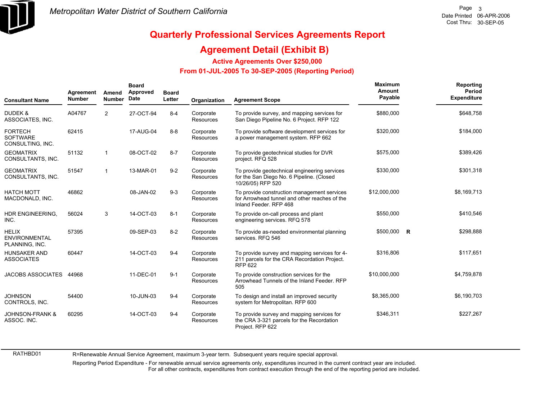

### **Agreement Detail (Exhibit B)**

**Active Agreements Over \$250,000**

#### **From 01-JUL-2005 To 30-SEP-2005 (Reporting Period)**

| <b>Consultant Name</b>                                 | Agreement<br><b>Number</b> | Amend<br><b>Number</b> | <b>Board</b><br>Approved<br>Date | <b>Board</b><br>Letter | <b>Organization</b>           | <b>Agreement Scope</b>                                                                                                 | Maximum<br>Amount<br>Payable | Reporting<br>Period<br><b>Expenditure</b> |
|--------------------------------------------------------|----------------------------|------------------------|----------------------------------|------------------------|-------------------------------|------------------------------------------------------------------------------------------------------------------------|------------------------------|-------------------------------------------|
| DUDEK &<br>ASSOCIATES, INC.                            | A04767                     | $\overline{2}$         | 27-OCT-94                        | $8 - 4$                | Corporate<br>Resources        | To provide survey, and mapping services for<br>San Diego Pipeline No. 6 Project. RFP 122                               | \$880,000                    | \$648,758                                 |
| <b>FORTECH</b><br><b>SOFTWARE</b><br>CONSULTING, INC.  | 62415                      |                        | 17-AUG-04                        | $8 - 8$                | Corporate<br>Resources        | To provide software development services for<br>a power management system. RFP 662                                     | \$320,000                    | \$184,000                                 |
| <b>GEOMATRIX</b><br>CONSULTANTS, INC.                  | 51132                      | $\mathbf{1}$           | 08-OCT-02                        | $8 - 7$                | Corporate<br><b>Resources</b> | To provide geotechnical studies for DVR<br>project. RFQ 528                                                            | \$575,000                    | \$389,426                                 |
| <b>GEOMATRIX</b><br>CONSULTANTS, INC.                  | 51547                      | $\mathbf{1}$           | 13-MAR-01                        | $9 - 2$                | Corporate<br><b>Resources</b> | To provide geotechnical engineering services<br>for the San Diego No. 6 Pipeline. (Closed<br>10/26/05) RFP 520         | \$330,000                    | \$301,318                                 |
| <b>HATCH MOTT</b><br>MACDONALD, INC.                   | 46862                      |                        | 08-JAN-02                        | $9 - 3$                | Corporate<br><b>Resources</b> | To provide construction management services<br>for Arrowhead tunnel and other reaches of the<br>Inland Feeder, RFP 468 | \$12,000,000                 | \$8,169,713                               |
| HDR ENGINEERING,<br>INC.                               | 56024                      | 3                      | 14-OCT-03                        | $8 - 1$                | Corporate<br>Resources        | To provide on-call process and plant<br>engineering services. RFQ 578                                                  | \$550,000                    | \$410,546                                 |
| <b>HELIX</b><br><b>ENVIRONMENTAL</b><br>PLANNING, INC. | 57395                      |                        | 09-SEP-03                        | $8-2$                  | Corporate<br><b>Resources</b> | To provide as-needed environmental planning<br>services. RFQ 546                                                       | \$500,000 R                  | \$298,888                                 |
| <b>HUNSAKER AND</b><br><b>ASSOCIATES</b>               | 60447                      |                        | 14-OCT-03                        | $9 - 4$                | Corporate<br><b>Resources</b> | To provide survey and mapping services for 4-<br>211 parcels for the CRA Recordation Project.<br><b>RFP 622</b>        | \$316,806                    | \$117,651                                 |
| <b>JACOBS ASSOCIATES</b>                               | 44968                      |                        | 11-DEC-01                        | $9 - 1$                | Corporate<br>Resources        | To provide construction services for the<br>Arrowhead Tunnels of the Inland Feeder. RFP<br>505                         | \$10,000,000                 | \$4,759,878                               |
| <b>JOHNSON</b><br>CONTROLS, INC.                       | 54400                      |                        | 10-JUN-03                        | $9 - 4$                | Corporate<br>Resources        | To design and install an improved security<br>system for Metropolitan. RFP 600                                         | \$8,365,000                  | \$6,190,703                               |
| <b>JOHNSON-FRANK &amp;</b><br>ASSOC. INC.              | 60295                      |                        | 14-OCT-03                        | $9 - 4$                | Corporate<br>Resources        | To provide survey and mapping services for<br>the CRA 3-321 parcels for the Recordation<br>Project. RFP 622            | \$346,311                    | \$227,267                                 |

RATHBD01

R=Renewable Annual Service Agreement, maximum 3-year term. Subsequent years require special approval.

Reporting Period Expenditure - For renewable annual service agreements only, expenditures incurred in the current contract year are included. For all other contracts, expenditures from contract execution through the end of the reporting period are included.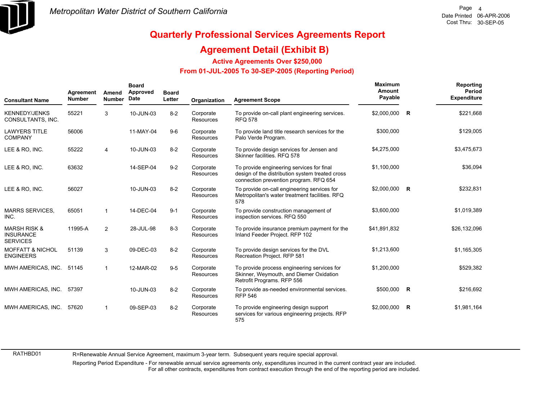

### **Agreement Detail (Exhibit B)**

**Active Agreements Over \$250,000**

#### **From 01-JUL-2005 To 30-SEP-2005 (Reporting Period)**

| <b>Consultant Name</b>                                         | Agreement<br><b>Number</b> | Amend<br><b>Number</b> | <b>Board</b><br>Approved<br>Date | <b>Board</b><br>Letter | Organization                  | <b>Agreement Scope</b>                                                                                                                 | Maximum<br>Amount<br>Payable |              | Reporting<br><b>Period</b><br><b>Expenditure</b> |
|----------------------------------------------------------------|----------------------------|------------------------|----------------------------------|------------------------|-------------------------------|----------------------------------------------------------------------------------------------------------------------------------------|------------------------------|--------------|--------------------------------------------------|
| <b>KENNEDY/JENKS</b><br>CONSULTANTS, INC.                      | 55221                      | 3                      | 10-JUN-03                        | $8 - 2$                | Corporate<br><b>Resources</b> | To provide on-call plant engineering services.<br><b>RFQ 578</b>                                                                       | \$2,000,000 R                |              | \$221,668                                        |
| <b>LAWYERS TITLE</b><br><b>COMPANY</b>                         | 56006                      |                        | 11-MAY-04                        | $9-6$                  | Corporate<br>Resources        | To provide land title research services for the<br>Palo Verde Program.                                                                 | \$300,000                    |              | \$129,005                                        |
| LEE & RO, INC.                                                 | 55222                      | 4                      | 10-JUN-03                        | $8 - 2$                | Corporate<br>Resources        | To provide design services for Jensen and<br>Skinner facilities, RFQ 578                                                               | \$4,275,000                  |              | \$3,475,673                                      |
| LEE & RO. INC.                                                 | 63632                      |                        | 14-SEP-04                        | $9 - 2$                | Corporate<br><b>Resources</b> | To provide engineering services for final<br>design of the distribution system treated cross<br>connection prevention program. RFQ 654 | \$1,100,000                  |              | \$36,094                                         |
| LEE & RO, INC.                                                 | 56027                      |                        | 10-JUN-03                        | $8 - 2$                | Corporate<br><b>Resources</b> | To provide on-call engineering services for<br>Metropolitan's water treatment facilities. RFQ<br>578                                   | $$2,000,000$ R               |              | \$232,831                                        |
| <b>MARRS SERVICES.</b><br>INC.                                 | 65051                      |                        | 14-DEC-04                        | $9 - 1$                | Corporate<br><b>Resources</b> | To provide construction management of<br>inspection services. RFQ 550                                                                  | \$3,600,000                  |              | \$1,019,389                                      |
| <b>MARSH RISK &amp;</b><br><b>INSURANCE</b><br><b>SERVICES</b> | 11995-A                    | $\overline{2}$         | 28-JUL-98                        | $8 - 3$                | Corporate<br><b>Resources</b> | To provide insurance premium payment for the<br>Inland Feeder Project. RFP 102                                                         | \$41,891,832                 |              | \$26,132,096                                     |
| <b>MOFFATT &amp; NICHOL</b><br><b>ENGINEERS</b>                | 51139                      | 3                      | 09-DEC-03                        | $8 - 2$                | Corporate<br><b>Resources</b> | To provide design services for the DVL<br>Recreation Project. RFP 581                                                                  | \$1,213,600                  |              | \$1,165,305                                      |
| MWH AMERICAS, INC.                                             | 51145                      |                        | 12-MAR-02                        | $9-5$                  | Corporate<br>Resources        | To provide process engineering services for<br>Skinner, Weymouth, and Diemer Oxidation<br>Retrofit Programs. RFP 556                   | \$1,200,000                  |              | \$529,382                                        |
| MWH AMERICAS, INC.                                             | 57397                      |                        | 10-JUN-03                        | $8-2$                  | Corporate<br><b>Resources</b> | To provide as-needed environmental services.<br><b>RFP 546</b>                                                                         | \$500,000                    | $\mathsf{R}$ | \$216,692                                        |
| MWH AMERICAS, INC.                                             | 57620                      |                        | 09-SEP-03                        | $8-2$                  | Corporate<br><b>Resources</b> | To provide engineering design support<br>services for various engineering projects. RFP<br>575                                         | \$2,000,000                  | <b>R</b>     | \$1,981,164                                      |

RATHBD01

R=Renewable Annual Service Agreement, maximum 3-year term. Subsequent years require special approval.

Reporting Period Expenditure - For renewable annual service agreements only, expenditures incurred in the current contract year are included. For all other contracts, expenditures from contract execution through the end of the reporting period are included.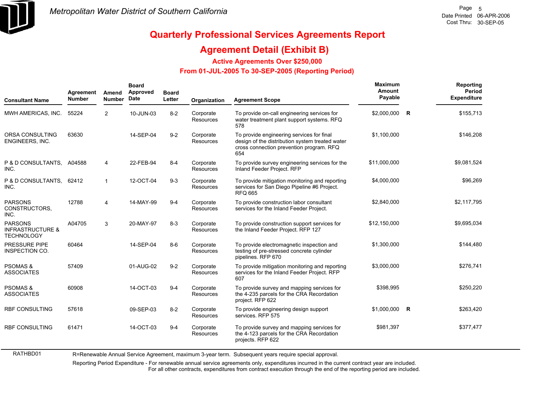

RATHBD01

# **Quarterly Professional Services Agreements Report**

### **Agreement Detail (Exhibit B)**

**Active Agreements Over \$250,000**

#### **From 01-JUL-2005 To 30-SEP-2005 (Reporting Period)**

| <b>Consultant Name</b>                                             | Agreement<br><b>Number</b> | Amend<br><b>Number</b>  | <b>Board</b><br>Approved<br>Date | <b>Board</b><br>Letter | Organization           | <b>Agreement Scope</b>                                                                                                                          | Maximum<br>Amount<br>Payable |   | Reporting<br>Period<br><b>Expenditure</b> |
|--------------------------------------------------------------------|----------------------------|-------------------------|----------------------------------|------------------------|------------------------|-------------------------------------------------------------------------------------------------------------------------------------------------|------------------------------|---|-------------------------------------------|
| MWH AMERICAS, INC.                                                 | 55224                      | 2                       | 10-JUN-03                        | $8 - 2$                | Corporate<br>Resources | To provide on-call engineering services for<br>water treatment plant support systems. RFQ<br>578                                                | \$2,000,000                  | R | \$155,713                                 |
| ORSA CONSULTING<br><b>ENGINEERS, INC.</b>                          | 63630                      |                         | 14-SEP-04                        | $9 - 2$                | Corporate<br>Resources | To provide engineering services for final<br>design of the distribution system treated water<br>cross connection prevention program. RFQ<br>654 | \$1,100,000                  |   | \$146,208                                 |
| P & D CONSULTANTS, A04588<br>INC.                                  |                            | $\overline{4}$          | 22-FEB-94                        | $8 - 4$                | Corporate<br>Resources | To provide survey engineering services for the<br>Inland Feeder Project. RFP                                                                    | \$11,000,000                 |   | \$9,081,524                               |
| P & D CONSULTANTS, 62412<br>INC.                                   |                            | $\overline{\mathbf{1}}$ | 12-OCT-04                        | $9 - 3$                | Corporate<br>Resources | To provide mitigation monitoring and reporting<br>services for San Diego Pipeline #6 Project.<br><b>RFQ 665</b>                                 | \$4,000,000                  |   | \$96,269                                  |
| <b>PARSONS</b><br>CONSTRUCTORS.<br>INC.                            | 12788                      | 4                       | 14-MAY-99                        | $9 - 4$                | Corporate<br>Resources | To provide construction labor consultant<br>services for the Inland Feeder Project.                                                             | \$2,840,000                  |   | \$2,117,795                               |
| <b>PARSONS</b><br><b>INFRASTRUCTURE &amp;</b><br><b>TECHNOLOGY</b> | A04705                     | 3                       | 20-MAY-97                        | $8 - 3$                | Corporate<br>Resources | To provide construction support services for<br>the Inland Feeder Project. RFP 127                                                              | \$12,150,000                 |   | \$9,695,034                               |
| <b>PRESSURE PIPE</b><br><b>INSPECTION CO.</b>                      | 60464                      |                         | 14-SEP-04                        | $8-6$                  | Corporate<br>Resources | To provide electromagnetic inspection and<br>testing of pre-stressed concrete cylinder<br>pipelines. RFP 670                                    | \$1,300,000                  |   | \$144,480                                 |
| <b>PSOMAS &amp;</b><br><b>ASSOCIATES</b>                           | 57409                      |                         | 01-AUG-02                        | $9 - 2$                | Corporate<br>Resources | To provide mitigation monitoring and reporting<br>services for the Inland Feeder Project. RFP<br>607                                            | \$3,000,000                  |   | \$276,741                                 |
| <b>PSOMAS &amp;</b><br><b>ASSOCIATES</b>                           | 60908                      |                         | 14-OCT-03                        | $9 - 4$                | Corporate<br>Resources | To provide survey and mapping services for<br>the 4-235 parcels for the CRA Recordation<br>project. RFP 622                                     | \$398,995                    |   | \$250,220                                 |
| <b>RBF CONSULTING</b>                                              | 57618                      |                         | 09-SEP-03                        | $8 - 2$                | Corporate<br>Resources | To provide engineering design support<br>services. RFP 575                                                                                      | $$1,000,000$ R               |   | \$263,420                                 |
| <b>RBF CONSULTING</b>                                              | 61471                      |                         | 14-OCT-03                        | $9 - 4$                | Corporate<br>Resources | To provide survey and mapping services for<br>the 4-123 parcels for the CRA Recordation<br>projects. RFP 622                                    | \$981,397                    |   | \$377,477                                 |

R=Renewable Annual Service Agreement, maximum 3-year term. Subsequent years require special approval.

Reporting Period Expenditure - For renewable annual service agreements only, expenditures incurred in the current contract year are included.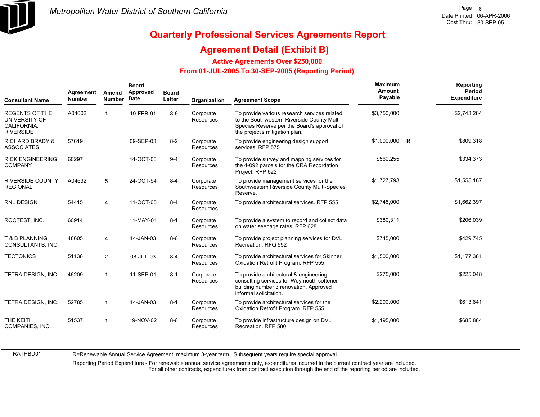

RATHBD01

## **Quarterly Professional Services Agreements Report**

### **Agreement Detail (Exhibit B)**

**Active Agreements Over \$250,000**

#### **From 01-JUL-2005 To 30-SEP-2005 (Reporting Period)**

| <b>Consultant Name</b>                                                    | Agreement<br><b>Number</b> | Amend<br><b>Number</b>  | <b>Board</b><br>Approved<br>Date | <b>Board</b><br>Letter | Organization                  | <b>Agreement Scope</b>                                                                                                                                                       | Maximum<br>Amount<br>Payable |   | Reporting<br><b>Period</b><br>Expenditure |
|---------------------------------------------------------------------------|----------------------------|-------------------------|----------------------------------|------------------------|-------------------------------|------------------------------------------------------------------------------------------------------------------------------------------------------------------------------|------------------------------|---|-------------------------------------------|
| <b>REGENTS OF THE</b><br>UNIVERSITY OF<br>CALIFORNIA.<br><b>RIVERSIDE</b> | A04602                     |                         | 19-FEB-91                        | $8 - 6$                | Corporate<br><b>Resources</b> | To provide various research services related<br>to the Southwestern Riverside County Multi-<br>Species Reserve per the Board's approval of<br>the project's mitigation plan. | \$3,750,000                  |   | \$2,743,264                               |
| <b>RICHARD BRADY &amp;</b><br><b>ASSOCIATES</b>                           | 57619                      |                         | 09-SEP-03                        | $8 - 2$                | Corporate<br>Resources        | To provide engineering design support<br>services. RFP 575                                                                                                                   | \$1,000,000                  | R | \$809,318                                 |
| <b>RICK ENGINEERING</b><br><b>COMPANY</b>                                 | 60297                      |                         | 14-OCT-03                        | $9 - 4$                | Corporate<br>Resources        | To provide survey and mapping services for<br>the 4-092 parcels for the CRA Recordation<br>Project. RFP 622                                                                  | \$560,255                    |   | \$334,373                                 |
| <b>RIVERSIDE COUNTY</b><br><b>REGIONAL</b>                                | A04632                     | 5                       | 24-OCT-94                        | $8 - 4$                | Corporate<br>Resources        | To provide management services for the<br>Southwestern Riverside County Multi-Species<br>Reserve.                                                                            | \$1,727,793                  |   | \$1,555,187                               |
| <b>RNL DESIGN</b>                                                         | 54415                      | $\overline{4}$          | 11-OCT-05                        | $8 - 4$                | Corporate<br><b>Resources</b> | To provide architectural services. RFP 555                                                                                                                                   | \$2,745,000                  |   | \$1,662,397                               |
| ROCTEST, INC.                                                             | 60914                      |                         | 11-MAY-04                        | $8 - 1$                | Corporate<br>Resources        | To provide a system to record and collect data<br>on water seepage rates. RFP 628                                                                                            | \$380,311                    |   | \$206,039                                 |
| T & B PLANNING<br>CONSULTANTS, INC.                                       | 48605                      | $\overline{\mathbf{4}}$ | 14-JAN-03                        | $8 - 6$                | Corporate<br>Resources        | To provide project planning services for DVL<br>Recreation, RFQ 552                                                                                                          | \$745,000                    |   | \$429,745                                 |
| <b>TECTONICS</b>                                                          | 51136                      | $\overline{2}$          | 08-JUL-03                        | $8 - 4$                | Corporate<br><b>Resources</b> | To provide architectural services for Skinner<br>Oxidation Retrofit Program. RFP 555                                                                                         | \$1,500,000                  |   | \$1,177,381                               |
| <b>TETRA DESIGN. INC.</b>                                                 | 46209                      | $\mathbf{1}$            | 11-SEP-01                        | $8 - 1$                | Corporate<br><b>Resources</b> | To provide architectural & engineering<br>consulting services for Weymouth softener<br>building number 3 renovation. Approved<br>informal solicitation.                      | \$275,000                    |   | \$225,048                                 |
| TETRA DESIGN, INC.                                                        | 52785                      | $\mathbf{1}$            | 14-JAN-03                        | $8 - 1$                | Corporate<br>Resources        | To provide architectural services for the<br>Oxidation Retrofit Program. RFP 555                                                                                             | \$2,200,000                  |   | \$613,641                                 |
| THE KEITH<br>COMPANIES, INC.                                              | 51537                      |                         | 19-NOV-02                        | $8 - 6$                | Corporate<br>Resources        | To provide infrastructure design on DVL<br>Recreation, RFP 580                                                                                                               | \$1,195,000                  |   | \$685,884                                 |

R=Renewable Annual Service Agreement, maximum 3-year term. Subsequent years require special approval.

Reporting Period Expenditure - For renewable annual service agreements only, expenditures incurred in the current contract year are included. For all other contracts, expenditures from contract execution through the end of the reporting period are included.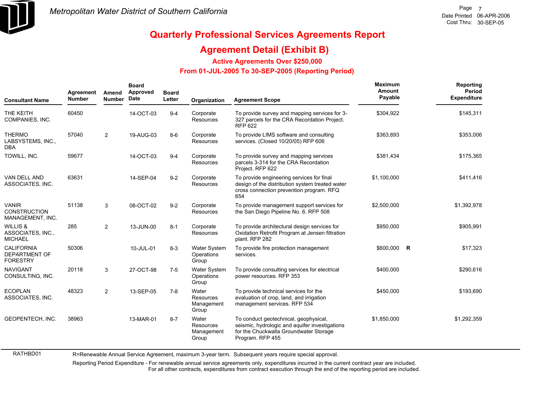

### **Agreement Detail (Exhibit B)**

**Active Agreements Over \$250,000**

#### **From 01-JUL-2005 To 30-SEP-2005 (Reporting Period)**

| <b>Consultant Name</b>                                     | Agreement<br><b>Number</b> | Amend<br><b>Number</b> | <b>Board</b><br>Approved<br><b>Date</b> | <b>Board</b><br>Letter | Organization                               | <b>Agreement Scope</b>                                                                                                                                | Maximum<br>Amount<br>Payable | Reporting<br>Period<br><b>Expenditure</b> |
|------------------------------------------------------------|----------------------------|------------------------|-----------------------------------------|------------------------|--------------------------------------------|-------------------------------------------------------------------------------------------------------------------------------------------------------|------------------------------|-------------------------------------------|
| THE KEITH<br>COMPANIES, INC.                               | 60450                      |                        | 14-OCT-03                               | $9 - 4$                | Corporate<br>Resources                     | To provide survey and mapping services for 3-<br>327 parcels for the CRA Recordation Project.<br><b>RFP 622</b>                                       | \$304,922                    | \$145,311                                 |
| <b>THERMO</b><br>LABSYSTEMS, INC.,<br><b>DBA</b>           | 57040                      | $\overline{2}$         | 19-AUG-03                               | $8-6$                  | Corporate<br>Resources                     | To provide LIMS software and consulting<br>services. (Closed 10/20/05) RFP 606                                                                        | \$363,693                    | \$353,006                                 |
| TOWILL, INC.                                               | 59677                      |                        | 14-OCT-03                               | $9 - 4$                | Corporate<br>Resources                     | To provide survey and mapping services<br>parcels 3-314 for the CRA Recordation<br>Project. RFP 622                                                   | \$381,434                    | \$175,365                                 |
| <b>VAN DELL AND</b><br>ASSOCIATES, INC.                    | 63631                      |                        | 14-SEP-04                               | $9 - 2$                | Corporate<br><b>Resources</b>              | To provide engineering services for final<br>design of the distribution system treated water<br>cross connection prevention program. RFQ<br>654       | \$1,100,000                  | \$411,416                                 |
| <b>VANIR</b><br><b>CONSTRUCTION</b><br>MANAGEMENT, INC.    | 51138                      | 3                      | 08-OCT-02                               | $9 - 2$                | Corporate<br>Resources                     | To provide management support services for<br>the San Diego Pipeline No. 6. RFP 508                                                                   | \$2,500,000                  | \$1,392,978                               |
| <b>WILLIS &amp;</b><br>ASSOCIATES, INC.,<br><b>MICHAEL</b> | 285                        | $\overline{2}$         | 13-JUN-00                               | $8 - 1$                | Corporate<br><b>Resources</b>              | To provide architectural design services for<br>Oxidation Retrofit Program at Jensen filtration<br>plant. RFP 282                                     | \$950,000                    | \$905,991                                 |
| <b>CALIFORNIA</b><br>DEPARTMENT OF<br><b>FORESTRY</b>      | 50306                      |                        | 10-JUL-01                               | $8 - 3$                | <b>Water System</b><br>Operations<br>Group | To provide fire protection management<br>services.                                                                                                    | \$600,000 R                  | \$17,323                                  |
| <b>NAVIGANT</b><br>CONSULTING, INC.                        | 20118                      | 3                      | 27-OCT-98                               | $7 - 5$                | <b>Water System</b><br>Operations<br>Group | To provide consulting services for electrical<br>power resources. RFP 353                                                                             | \$400,000                    | \$290,616                                 |
| <b>ECOPLAN</b><br>ASSOCIATES, INC.                         | 48323                      | $\overline{2}$         | 13-SEP-05                               | $7 - 8$                | Water<br>Resources<br>Management<br>Group  | To provide technical services for the<br>evaluation of crop, land, and irrigation<br>management services. RFP 534                                     | \$450,000                    | \$193,690                                 |
| GEOPENTECH, INC.                                           | 38963                      |                        | 13-MAR-01                               | $8 - 7$                | Water<br>Resources<br>Management<br>Group  | To conduct geotechnical, geophysical,<br>seismic, hydrologic and aquifer investigations<br>for the Chuckwalla Groundwater Storage<br>Program. RFP 455 | \$1,850,000                  | \$1,292,359                               |

RATHBD01 R=Renewable Annual Service Agreement, maximum 3-year term. Subsequent years require special approval.

Reporting Period Expenditure - For renewable annual service agreements only, expenditures incurred in the current contract year are included.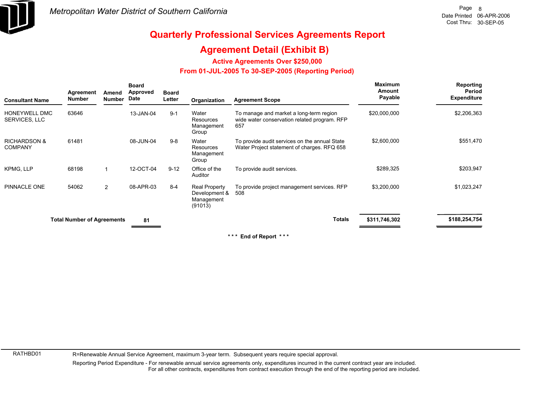

### **Agreement Detail (Exhibit B)**

**Active Agreements Over \$250,000**

#### **From 01-JUL-2005 To 30-SEP-2005 (Reporting Period)**

| <b>Consultant Name</b>                    | Agreement<br><b>Number</b>        | Amend<br><b>Number</b> | <b>Board</b><br><b>Approved</b><br>Date | <b>Board</b><br>Letter | Organization                                            | <b>Agreement Scope</b>                                                                         | <b>Maximum</b><br>Amount<br>Payable | Reporting<br>Period<br><b>Expenditure</b> |
|-------------------------------------------|-----------------------------------|------------------------|-----------------------------------------|------------------------|---------------------------------------------------------|------------------------------------------------------------------------------------------------|-------------------------------------|-------------------------------------------|
| HONEYWELL DMC<br>SERVICES, LLC            | 63646                             |                        | 13-JAN-04                               | $9 - 1$                | Water<br><b>Resources</b><br>Management<br>Group        | To manage and market a long-term region<br>wide water conservation related program. RFP<br>657 | \$20,000,000                        | \$2,206,363                               |
| <b>RICHARDSON &amp;</b><br><b>COMPANY</b> | 61481                             |                        | 08-JUN-04                               | $9 - 8$                | Water<br>Resources<br>Management<br>Group               | To provide audit services on the annual State<br>Water Project statement of charges. RFQ 658   | \$2,600,000                         | \$551,470                                 |
| <b>KPMG, LLP</b>                          | 68198                             | 1                      | 12-OCT-04                               | $9 - 12$               | Office of the<br>Auditor                                | To provide audit services.                                                                     | \$289,325                           | \$203,947                                 |
| PINNACLE ONE                              | 54062                             | $\overline{2}$         | 08-APR-03                               | $8 - 4$                | Real Property<br>Development &<br>Management<br>(91013) | To provide project management services. RFP<br>508                                             | \$3,200,000                         | \$1,023,247                               |
|                                           | <b>Total Number of Agreements</b> |                        | 81                                      |                        |                                                         | <b>Totals</b>                                                                                  | \$311,746,302                       | \$188,254,754                             |

**\* \* \* End of Report \* \* \***

RATHBD01

R=Renewable Annual Service Agreement, maximum 3-year term. Subsequent years require special approval.

Reporting Period Expenditure - For renewable annual service agreements only, expenditures incurred in the current contract year are included. For all other contracts, expenditures from contract execution through the end of the reporting period are included.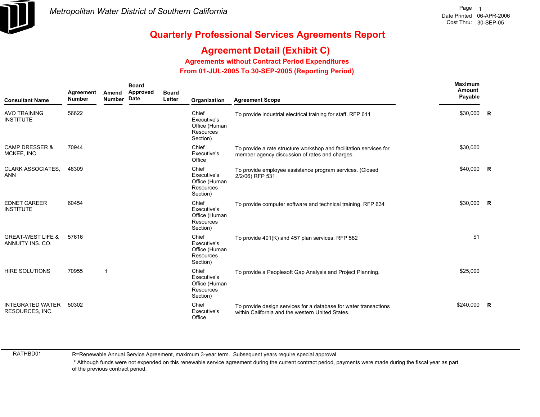

## **Agreement Detail (Exhibit C)**

**Agreements without Contract Period Expenditures**

 **From 01-JUL-2005 To 30-SEP-2005 (Reporting Period)** 

| <b>Consultant Name</b>                            | Agreement<br><b>Number</b> | Amend<br><b>Number</b> | <b>Board</b><br>Approved<br>Date | <b>Board</b><br>Letter | Organization                                                          | <b>Agreement Scope</b>                                                                                               | <b>Maximum</b><br><b>Amount</b><br>Payable |                |
|---------------------------------------------------|----------------------------|------------------------|----------------------------------|------------------------|-----------------------------------------------------------------------|----------------------------------------------------------------------------------------------------------------------|--------------------------------------------|----------------|
| <b>AVO TRAINING</b><br><b>INSTITUTE</b>           | 56622                      |                        |                                  |                        | Chief<br>Executive's<br>Office (Human<br><b>Resources</b><br>Section) | To provide industrial electrical training for staff. RFP 611                                                         | \$30,000                                   | <b>R</b>       |
| <b>CAMP DRESSER &amp;</b><br>MCKEE, INC.          | 70944                      |                        |                                  |                        | Chief<br>Executive's<br>Office                                        | To provide a rate structure workshop and facilitation services for<br>member agency discussion of rates and charges. | \$30,000                                   |                |
| <b>CLARK ASSOCIATES.</b><br><b>ANN</b>            | 48309                      |                        |                                  |                        | Chief<br>Executive's<br>Office (Human<br><b>Resources</b><br>Section) | To provide employee assistance program services. (Closed<br>2/2/06) RFP 531                                          | \$40,000                                   | $\mathbf R$    |
| <b>EDNET CAREER</b><br><b>INSTITUTE</b>           | 60454                      |                        |                                  |                        | Chief<br>Executive's<br>Office (Human<br><b>Resources</b><br>Section) | To provide computer software and technical training. RFP 634                                                         | \$30,000                                   | $\overline{R}$ |
| <b>GREAT-WEST LIFE &amp;</b><br>ANNUITY INS. CO.  | 57616                      |                        |                                  |                        | Chief<br>Executive's<br>Office (Human<br><b>Resources</b><br>Section) | To provide 401(K) and 457 plan services. RFP 582                                                                     | \$1                                        |                |
| <b>HIRE SOLUTIONS</b>                             | 70955                      | 1                      |                                  |                        | Chief<br>Executive's<br>Office (Human<br>Resources<br>Section)        | To provide a Peoplesoft Gap Analysis and Project Planning.                                                           | \$25,000                                   |                |
| <b>INTEGRATED WATER</b><br><b>RESOURCES, INC.</b> | 50302                      |                        |                                  |                        | Chief<br>Executive's<br>Office                                        | To provide design services for a database for water transactions<br>within California and the western United States. | \$240,000                                  | $\mathsf{R}$   |

RATHBD01

R=Renewable Annual Service Agreement, maximum 3-year term. Subsequent years require special approval.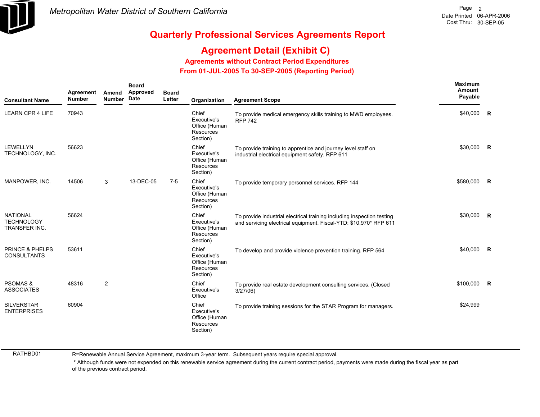

# **Agreement Detail (Exhibit C)**

**Agreements without Contract Period Expenditures**

 **From 01-JUL-2005 To 30-SEP-2005 (Reporting Period)** 

| <b>Consultant Name</b>                                | Agreement<br><b>Number</b> | Amend<br><b>Number</b> | <b>Board</b><br>Approved<br>Date | <b>Board</b><br>Letter | Organization                                                   | <b>Agreement Scope</b>                                                                                                                      | <b>Maximum</b><br>Amount<br>Payable |  |
|-------------------------------------------------------|----------------------------|------------------------|----------------------------------|------------------------|----------------------------------------------------------------|---------------------------------------------------------------------------------------------------------------------------------------------|-------------------------------------|--|
| <b>LEARN CPR 4 LIFE</b>                               | 70943                      |                        |                                  |                        | Chief<br>Executive's<br>Office (Human<br>Resources<br>Section) | To provide medical emergency skills training to MWD employees.<br><b>RFP 742</b>                                                            | \$40,000 R                          |  |
| <b>LEWELLYN</b><br>TECHNOLOGY, INC.                   | 56623                      |                        |                                  |                        | Chief<br>Executive's<br>Office (Human<br>Resources<br>Section) | To provide training to apprentice and journey level staff on<br>industrial electrical equipment safety. RFP 611                             | \$30,000 R                          |  |
| MANPOWER, INC.                                        | 14506                      | 3                      | 13-DEC-05                        | $7 - 5$                | Chief<br>Executive's<br>Office (Human<br>Resources<br>Section) | To provide temporary personnel services. RFP 144                                                                                            | \$580,000 R                         |  |
| <b>NATIONAL</b><br><b>TECHNOLOGY</b><br>TRANSFER INC. | 56624                      |                        |                                  |                        | Chief<br>Executive's<br>Office (Human<br>Resources<br>Section) | To provide industrial electrical training including inspection testing<br>and servicing electrical equipment. Fiscal-YTD: \$10,970* RFP 611 | \$30,000 R                          |  |
| <b>PRINCE &amp; PHELPS</b><br><b>CONSULTANTS</b>      | 53611                      |                        |                                  |                        | Chief<br>Executive's<br>Office (Human<br>Resources<br>Section) | To develop and provide violence prevention training. RFP 564                                                                                | \$40,000 R                          |  |
| <b>PSOMAS &amp;</b><br><b>ASSOCIATES</b>              | 48316                      | $\overline{2}$         |                                  |                        | Chief<br>Executive's<br>Office                                 | To provide real estate development consulting services. (Closed<br>3/27/06                                                                  | \$100,000 R                         |  |
| <b>SILVERSTAR</b><br><b>ENTERPRISES</b>               | 60904                      |                        |                                  |                        | Chief<br>Executive's<br>Office (Human<br>Resources<br>Section) | To provide training sessions for the STAR Program for managers.                                                                             | \$24,999                            |  |

RATHBD01

R=Renewable Annual Service Agreement, maximum 3-year term. Subsequent years require special approval.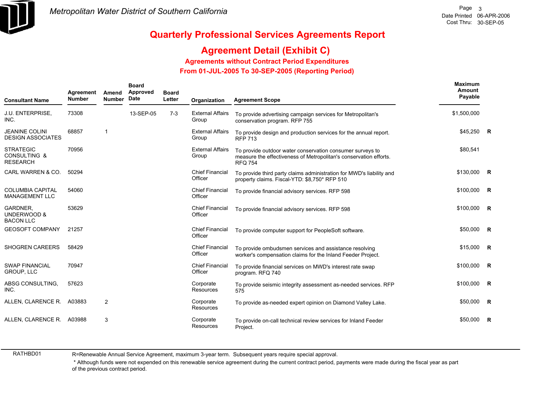

## **Agreement Detail (Exhibit C)**

**Agreements without Contract Period Expenditures**

 **From 01-JUL-2005 To 30-SEP-2005 (Reporting Period)** 

| <b>Consultant Name</b>                                         | Agreement<br><b>Number</b> | Amend<br><b>Number</b>  | <b>Board</b><br>Approved<br>Date | <b>Board</b><br>Letter | Organization                      | <b>Agreement Scope</b>                                                                                                                           | <b>Maximum</b><br>Amount<br>Payable |                         |
|----------------------------------------------------------------|----------------------------|-------------------------|----------------------------------|------------------------|-----------------------------------|--------------------------------------------------------------------------------------------------------------------------------------------------|-------------------------------------|-------------------------|
| <b>J.U. ENTERPRISE,</b><br>INC.                                | 73308                      |                         | 13-SEP-05                        | $7-3$                  | <b>External Affairs</b><br>Group  | To provide advertising campaign services for Metropolitan's<br>conservation program. RFP 755                                                     | \$1,500,000                         |                         |
| <b>JEANINE COLINI</b><br><b>DESIGN ASSOCIATES</b>              | 68857                      | $\overline{\mathbf{1}}$ |                                  |                        | <b>External Affairs</b><br>Group  | To provide design and production services for the annual report.<br><b>RFP 713</b>                                                               | \$45,250 R                          |                         |
| <b>STRATEGIC</b><br><b>CONSULTING &amp;</b><br><b>RESEARCH</b> | 70956                      |                         |                                  |                        | <b>External Affairs</b><br>Group  | To provide outdoor water conservation consumer surveys to<br>measure the effectiveness of Metropolitan's conservation efforts.<br><b>RFQ 754</b> | \$80,541                            |                         |
| CARL WARREN & CO.                                              | 50294                      |                         |                                  |                        | <b>Chief Financial</b><br>Officer | To provide third party claims administration for MWD's liability and<br>property claims. Fiscal-YTD: \$8,750* RFP 510                            | \$130,000                           | R                       |
| <b>COLUMBIA CAPITAL</b><br><b>MANAGEMENT LLC</b>               | 54060                      |                         |                                  |                        | <b>Chief Financial</b><br>Officer | To provide financial advisory services. RFP 598                                                                                                  | \$100,000                           | R                       |
| GARDNER,<br><b>UNDERWOOD &amp;</b><br><b>BACON LLC</b>         | 53629                      |                         |                                  |                        | <b>Chief Financial</b><br>Officer | To provide financial advisory services. RFP 598                                                                                                  | \$100,000                           | - R                     |
| <b>GEOSOFT COMPANY</b>                                         | 21257                      |                         |                                  |                        | <b>Chief Financial</b><br>Officer | To provide computer support for PeopleSoft software.                                                                                             | \$50,000                            | $\mathbf R$             |
| <b>SHOGREN CAREERS</b>                                         | 58429                      |                         |                                  |                        | <b>Chief Financial</b><br>Officer | To provide ombudsmen services and assistance resolving<br>worker's compensation claims for the Inland Feeder Project.                            | \$15,000                            | $\overline{R}$          |
| <b>SWAP FINANCIAL</b><br><b>GROUP, LLC</b>                     | 70947                      |                         |                                  |                        | <b>Chief Financial</b><br>Officer | To provide financial services on MWD's interest rate swap<br>program. RFQ 740                                                                    | \$100,000                           | <b>R</b>                |
| ABSG CONSULTING,<br>INC.                                       | 57623                      |                         |                                  |                        | Corporate<br>Resources            | To provide seismic integrity assessment as-needed services. RFP<br>575                                                                           | \$100,000                           | $\overline{\mathbf{R}}$ |
| ALLEN, CLARENCE R.                                             | A03883                     | $\overline{2}$          |                                  |                        | Corporate<br>Resources            | To provide as-needed expert opinion on Diamond Valley Lake.                                                                                      | \$50,000                            | R                       |
| ALLEN, CLARENCE R. A03988                                      |                            | 3                       |                                  |                        | Corporate<br>Resources            | To provide on-call technical review services for Inland Feeder<br>Project.                                                                       | \$50,000                            | R                       |

RATHBD01

R=Renewable Annual Service Agreement, maximum 3-year term. Subsequent years require special approval.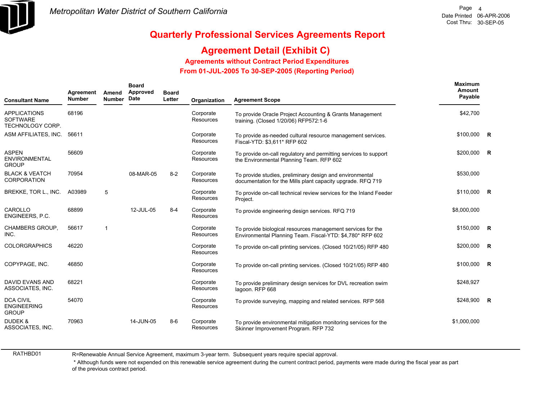

## **Agreement Detail (Exhibit C)**

**Agreements without Contract Period Expenditures**

 **From 01-JUL-2005 To 30-SEP-2005 (Reporting Period)** 

| <b>Consultant Name</b>                                     | Agreement<br><b>Number</b> | Amend<br><b>Number</b> | <b>Board</b><br>Approved<br><b>Date</b> | <b>Board</b><br>Letter | Organization                  | <b>Agreement Scope</b>                                                                                                   | Maximum<br>Amount<br>Payable |  |
|------------------------------------------------------------|----------------------------|------------------------|-----------------------------------------|------------------------|-------------------------------|--------------------------------------------------------------------------------------------------------------------------|------------------------------|--|
| <b>APPLICATIONS</b><br><b>SOFTWARE</b><br>TECHNOLOGY CORP. | 68196                      |                        |                                         |                        | Corporate<br><b>Resources</b> | To provide Oracle Project Accounting & Grants Management<br>training. (Closed 1/20/06) RFP572:1-6                        | \$42,700                     |  |
| ASM AFFILIATES, INC.                                       | 56611                      |                        |                                         |                        | Corporate<br><b>Resources</b> | To provide as-needed cultural resource management services.<br>Fiscal-YTD: \$3,611* RFP 602                              | \$100,000 R                  |  |
| <b>ASPEN</b><br>ENVIRONMENTAL<br><b>GROUP</b>              | 56609                      |                        |                                         |                        | Corporate<br><b>Resources</b> | To provide on-call regulatory and permitting services to support<br>the Environmental Planning Team. RFP 602             | $$200,000$ R                 |  |
| <b>BLACK &amp; VEATCH</b><br><b>CORPORATION</b>            | 70954                      |                        | 08-MAR-05                               | $8 - 2$                | Corporate<br><b>Resources</b> | To provide studies, preliminary design and environmental<br>documentation for the Mills plant capacity upgrade. RFQ 719  | \$530,000                    |  |
| BREKKE, TOR L., INC.                                       | A03989                     | 5                      |                                         |                        | Corporate<br>Resources        | To provide on-call technical review services for the Inland Feeder<br>Project.                                           | \$110,000 R                  |  |
| CAROLLO<br>ENGINEERS, P.C.                                 | 68899                      |                        | 12-JUL-05                               | $8 - 4$                | Corporate<br><b>Resources</b> | To provide engineering design services. RFQ 719                                                                          | \$8,000,000                  |  |
| <b>CHAMBERS GROUP.</b><br>INC.                             | 56617                      | 1                      |                                         |                        | Corporate<br>Resources        | To provide biological resources management services for the<br>Environmental Planning Team. Fiscal-YTD: \$4,780* RFP 602 | \$150,000 R                  |  |
| <b>COLORGRAPHICS</b>                                       | 46220                      |                        |                                         |                        | Corporate<br>Resources        | To provide on-call printing services. (Closed 10/21/05) RFP 480                                                          | \$200,000 R                  |  |
| COPYPAGE. INC.                                             | 46850                      |                        |                                         |                        | Corporate<br><b>Resources</b> | To provide on-call printing services. (Closed 10/21/05) RFP 480                                                          | \$100,000 R                  |  |
| <b>DAVID EVANS AND</b><br>ASSOCIATES, INC.                 | 68221                      |                        |                                         |                        | Corporate<br>Resources        | To provide preliminary design services for DVL recreation swim<br>lagoon. RFP 668                                        | \$248,927                    |  |
| <b>DCA CIVIL</b><br><b>ENGINEERING</b><br><b>GROUP</b>     | 54070                      |                        |                                         |                        | Corporate<br>Resources        | To provide surveying, mapping and related services. RFP 568                                                              | \$248,900 R                  |  |
| DUDEK &<br>ASSOCIATES, INC.                                | 70963                      |                        | 14-JUN-05                               | $8-6$                  | Corporate<br>Resources        | To provide environmental mitigation monitoring services for the<br>Skinner Improvement Program. RFP 732                  | \$1,000,000                  |  |

RATHBD01

R=Renewable Annual Service Agreement, maximum 3-year term. Subsequent years require special approval.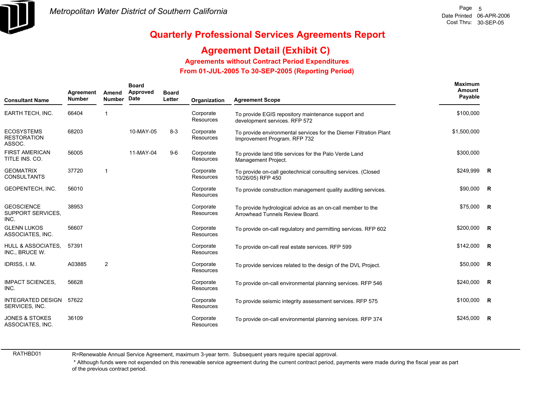

## **Agreement Detail (Exhibit C)**

### **Agreements without Contract Period Expenditures**

 **From 01-JUL-2005 To 30-SEP-2005 (Reporting Period)** 

| <b>Consultant Name</b>                                | Agreement<br><b>Number</b> | Amend<br><b>Number</b> | <b>Board</b><br>Approved<br>Date | <b>Board</b><br>Letter | Organization                  | <b>Agreement Scope</b>                                                                            | Maximum<br>Amount<br>Payable |                         |
|-------------------------------------------------------|----------------------------|------------------------|----------------------------------|------------------------|-------------------------------|---------------------------------------------------------------------------------------------------|------------------------------|-------------------------|
| EARTH TECH, INC.                                      | 66404                      | -1                     |                                  |                        | Corporate<br><b>Resources</b> | To provide EGIS repository maintenance support and<br>development services. RFP 572               | \$100,000                    |                         |
| <b>ECOSYSTEMS</b><br><b>RESTORATION</b><br>ASSOC.     | 68203                      |                        | 10-MAY-05                        | $8-3$                  | Corporate<br>Resources        | To provide environmental services for the Diemer Filtration Plant<br>Improvement Program. RFP 732 | \$1,500,000                  |                         |
| <b>FIRST AMERICAN</b><br>TITLE INS. CO.               | 56005                      |                        | 11-MAY-04                        | $9-6$                  | Corporate<br>Resources        | To provide land title services for the Palo Verde Land<br>Management Project.                     | \$300,000                    |                         |
| <b>GEOMATRIX</b><br><b>CONSULTANTS</b>                | 37720                      | $\overline{1}$         |                                  |                        | Corporate<br><b>Resources</b> | To provide on-call geotechnical consulting services. (Closed<br>10/26/05) RFP 450                 | \$249,999                    | $\overline{R}$          |
| GEOPENTECH, INC.                                      | 56010                      |                        |                                  |                        | Corporate<br><b>Resources</b> | To provide construction management quality auditing services.                                     | \$90,000                     | $\overline{R}$          |
| <b>GEOSCIENCE</b><br><b>SUPPORT SERVICES.</b><br>INC. | 38953                      |                        |                                  |                        | Corporate<br>Resources        | To provide hydrological advice as an on-call member to the<br>Arrowhead Tunnels Review Board.     | \$75,000 R                   |                         |
| <b>GLENN LUKOS</b><br>ASSOCIATES, INC.                | 56607                      |                        |                                  |                        | Corporate<br><b>Resources</b> | To provide on-call regulatory and permitting services. RFP 602                                    | \$200,000                    | $\overline{R}$          |
| <b>HULL &amp; ASSOCIATES.</b><br>INC., BRUCE W.       | 57391                      |                        |                                  |                        | Corporate<br>Resources        | To provide on-call real estate services. RFP 599                                                  | \$142,000                    | $\overline{\mathbf{R}}$ |
| IDRISS, I. M.                                         | A03885                     | $\overline{2}$         |                                  |                        | Corporate<br>Resources        | To provide services related to the design of the DVL Project.                                     | $$50,000$ R                  |                         |
| <b>IMPACT SCIENCES,</b><br>INC.                       | 56628                      |                        |                                  |                        | Corporate<br><b>Resources</b> | To provide on-call environmental planning services. RFP 546                                       | \$240,000 R                  |                         |
| <b>INTEGRATED DESIGN</b><br>SERVICES, INC.            | 57622                      |                        |                                  |                        | Corporate<br>Resources        | To provide seismic integrity assessment services. RFP 575                                         | $$100,000$ R                 |                         |
| <b>JONES &amp; STOKES</b><br>ASSOCIATES, INC.         | 36109                      |                        |                                  |                        | Corporate<br>Resources        | To provide on-call environmental planning services. RFP 374                                       | \$245,000                    | R                       |

RATHBD01

R=Renewable Annual Service Agreement, maximum 3-year term. Subsequent years require special approval.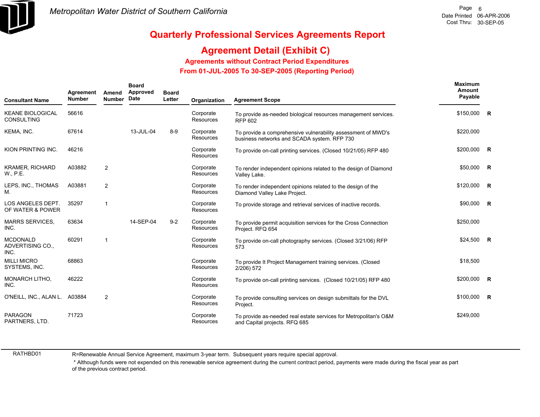

## **Agreement Detail (Exhibit C)**

**Agreements without Contract Period Expenditures**

 **From 01-JUL-2005 To 30-SEP-2005 (Reporting Period)** 

| <b>Consultant Name</b>                       | Agreement<br><b>Number</b> | Amend<br><b>Number</b> | <b>Board</b><br>Approved<br>Date | <b>Board</b><br>Letter | Organization                  | <b>Agreement Scope</b>                                                                                      | Maximum<br><b>Amount</b><br>Payable |                         |
|----------------------------------------------|----------------------------|------------------------|----------------------------------|------------------------|-------------------------------|-------------------------------------------------------------------------------------------------------------|-------------------------------------|-------------------------|
| <b>KEANE BIOLOGICAL</b><br><b>CONSULTING</b> | 56616                      |                        |                                  |                        | Corporate<br>Resources        | To provide as-needed biological resources management services.<br><b>RFP 602</b>                            | \$150,000 R                         |                         |
| KEMA, INC.                                   | 67614                      |                        | 13-JUL-04                        | $8-9$                  | Corporate<br><b>Resources</b> | To provide a comprehensive vulnerability assessment of MWD's<br>business networks and SCADA system. RFP 730 | \$220,000                           |                         |
| KION PRINTING INC.                           | 46216                      |                        |                                  |                        | Corporate<br><b>Resources</b> | To provide on-call printing services. (Closed 10/21/05) RFP 480                                             | \$200,000                           | R                       |
| <b>KRAMER, RICHARD</b><br>W., P.E.           | A03882                     | $\overline{2}$         |                                  |                        | Corporate<br><b>Resources</b> | To render independent opinions related to the design of Diamond<br>Valley Lake.                             | \$50,000                            | $\mathsf{R}$            |
| LEPS, INC., THOMAS<br>Μ.                     | A03881                     | $\overline{2}$         |                                  |                        | Corporate<br><b>Resources</b> | To render independent opinions related to the design of the<br>Diamond Valley Lake Project.                 | \$120,000                           | R                       |
| LOS ANGELES DEPT.<br>OF WATER & POWER        | 35297                      | $\mathbf{1}$           |                                  |                        | Corporate<br>Resources        | To provide storage and retrieval services of inactive records.                                              | \$90,000                            | $\overline{R}$          |
| <b>MARRS SERVICES,</b><br>INC.               | 63634                      |                        | 14-SEP-04                        | $9 - 2$                | Corporate<br>Resources        | To provide permit acquisition services for the Cross Connection<br>Project. RFQ 654                         | \$250,000                           |                         |
| <b>MCDONALD</b><br>ADVERTISING CO.,<br>INC.  | 60291                      | 1                      |                                  |                        | Corporate<br><b>Resources</b> | To provide on-call photography services. (Closed 3/21/06) RFP<br>573                                        | \$24,500                            | $\overline{\mathbf{R}}$ |
| <b>MILLI MICRO</b><br>SYSTEMS, INC.          | 68863                      |                        |                                  |                        | Corporate<br><b>Resources</b> | To provide It Project Management training services. (Closed<br>2/206) 572                                   | \$18,500                            |                         |
| <b>MONARCH LITHO.</b><br>INC.                | 46222                      |                        |                                  |                        | Corporate<br>Resources        | To provide on-call printing services. (Closed 10/21/05) RFP 480                                             | \$200,000                           | $\mathsf{R}$            |
| O'NEILL, INC., ALAN L. A03884                |                            | $\overline{2}$         |                                  |                        | Corporate<br><b>Resources</b> | To provide consulting services on design submittals for the DVL<br>Project.                                 | \$100,000                           | $\overline{\mathbf{R}}$ |
| <b>PARAGON</b><br>PARTNERS, LTD.             | 71723                      |                        |                                  |                        | Corporate<br>Resources        | To provide as-needed real estate services for Metropolitan's O&M<br>and Capital projects. RFQ 685           | \$249,000                           |                         |

RATHBD01

R=Renewable Annual Service Agreement, maximum 3-year term. Subsequent years require special approval.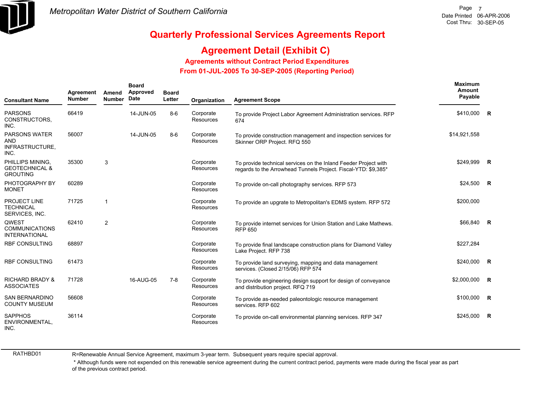

## **Agreement Detail (Exhibit C)**

### **Agreements without Contract Period Expenditures**

 **From 01-JUL-2005 To 30-SEP-2005 (Reporting Period)** 

| <b>Consultant Name</b>                                           | Agreement<br><b>Number</b> | Amend<br><b>Number</b> | <b>Board</b><br><b>Approved</b><br>Date | <b>Board</b><br>Letter | Organization           | <b>Agreement Scope</b>                                                                                                            | <b>Maximum</b><br>Amount<br>Payable |                         |
|------------------------------------------------------------------|----------------------------|------------------------|-----------------------------------------|------------------------|------------------------|-----------------------------------------------------------------------------------------------------------------------------------|-------------------------------------|-------------------------|
| <b>PARSONS</b><br>CONSTRUCTORS.<br>INC.                          | 66419                      |                        | 14-JUN-05                               | $8-6$                  | Corporate<br>Resources | To provide Project Labor Agreement Administration services. RFP<br>674                                                            | \$410,000                           | R                       |
| <b>PARSONS WATER</b><br>AND<br>INFRASTRUCTURE,<br>INC.           | 56007                      |                        | 14-JUN-05                               | $8-6$                  | Corporate<br>Resources | To provide construction management and inspection services for<br>Skinner ORP Project. RFQ 550                                    | \$14,921,558                        |                         |
| PHILLIPS MINING.<br><b>GEOTECHNICAL &amp;</b><br><b>GROUTING</b> | 35300                      | 3                      |                                         |                        | Corporate<br>Resources | To provide technical services on the Inland Feeder Project with<br>regards to the Arrowhead Tunnels Project. Fiscal-YTD: \$9,385* | \$249.999                           | $\overline{R}$          |
| PHOTOGRAPHY BY<br><b>MONET</b>                                   | 60289                      |                        |                                         |                        | Corporate<br>Resources | To provide on-call photography services. RFP 573                                                                                  | \$24,500                            | $\overline{\mathbf{R}}$ |
| <b>PROJECT LINE</b><br><b>TECHNICAL</b><br>SERVICES, INC.        | 71725                      | $\mathbf 1$            |                                         |                        | Corporate<br>Resources | To provide an upgrate to Metropolitan's EDMS system. RFP 572                                                                      | \$200,000                           |                         |
| <b>QWEST</b><br><b>COMMUNICATIONS</b><br><b>INTERNATIONAL</b>    | 62410                      | 2                      |                                         |                        | Corporate<br>Resources | To provide internet services for Union Station and Lake Mathews.<br><b>RFP 650</b>                                                | \$66,840                            | $\overline{R}$          |
| <b>RBF CONSULTING</b>                                            | 68897                      |                        |                                         |                        | Corporate<br>Resources | To provide final landscape construction plans for Diamond Valley<br>Lake Project. RFP 738                                         | \$227,284                           |                         |
| <b>RBF CONSULTING</b>                                            | 61473                      |                        |                                         |                        | Corporate<br>Resources | To provide land surveying, mapping and data management<br>services. (Closed 2/15/06) RFP 574                                      | \$240,000                           | $\overline{R}$          |
| <b>RICHARD BRADY &amp;</b><br><b>ASSOCIATES</b>                  | 71728                      |                        | 16-AUG-05                               | $7-8$                  | Corporate<br>Resources | To provide engineering design support for design of conveyance<br>and distribution project. RFQ 719                               | \$2,000,000                         | R                       |
| <b>SAN BERNARDINO</b><br><b>COUNTY MUSEUM</b>                    | 56608                      |                        |                                         |                        | Corporate<br>Resources | To provide as-needed paleontologic resource management<br>services. RFP 602                                                       | \$100,000                           | $\overline{\mathbf{R}}$ |
| <b>SAPPHOS</b><br>ENVIRONMENTAL,<br>INC.                         | 36114                      |                        |                                         |                        | Corporate<br>Resources | To provide on-call environmental planning services. RFP 347                                                                       | \$245,000                           | $\mathsf{R}$            |

RATHBD01

R=Renewable Annual Service Agreement, maximum 3-year term. Subsequent years require special approval.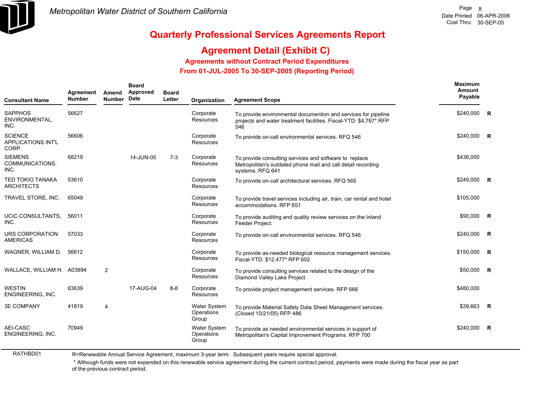

## **Agreement Detail (Exhibit C)**

**Agreements without Contract Period Expenditures**

 **From 01-JUL-2005 To 30-SEP-2005 (Reporting Period)** 

| <b>Consultant Name</b>                               | Agreement<br><b>Number</b> | Amend<br><b>Number</b> | <b>Board</b><br>Approved<br>Date | <b>Board</b><br>Letter | Organization                               | <b>Agreement Scope</b>                                                                                                                     | <b>Maximum</b><br>Amount<br>Payable |              |
|------------------------------------------------------|----------------------------|------------------------|----------------------------------|------------------------|--------------------------------------------|--------------------------------------------------------------------------------------------------------------------------------------------|-------------------------------------|--------------|
| <b>SAPPHOS</b><br>ENVIRONMENTAL,<br>INC.             | 56627                      |                        |                                  |                        | Corporate<br><b>Resources</b>              | To provide environmental documention and services for pipeline<br>projects and water treatment facilities. Fiscal-YTD: \$4,767* RFP<br>546 | \$240,000                           | R            |
| <b>SCIENCE</b><br><b>APPLICATIONS INT'L</b><br>CORP. | 56606                      |                        |                                  |                        | Corporate<br><b>Resources</b>              | To provide on-call environmental services. RFQ 546                                                                                         | \$240,000                           | R            |
| <b>SIEMENS</b><br>COMMUNICATIONS,<br>INC.            | 68219                      |                        | 14-JUN-05                        | $7-3$                  | Corporate<br><b>Resources</b>              | To provide consulting services and software to replace<br>Metropolitan's outdated phone mail and call detail recording<br>systems. RFQ 641 | \$436,000                           |              |
| TED TOKIO TANAKA<br><b>ARCHITECTS</b>                | 53610                      |                        |                                  |                        | Corporate<br><b>Resources</b>              | To provide on-call architectural services. RFQ 565                                                                                         | \$249,000 R                         |              |
| TRAVEL STORE, INC.                                   | 65049                      |                        |                                  |                        | Corporate<br>Resources                     | To provide travel services including air, train, car rental and hotel<br>accommodations. RFP 651                                           | \$105,000                           |              |
| UCIC CONSULTANTS,<br>INC.                            | 56011                      |                        |                                  |                        | Corporate<br><b>Resources</b>              | To provide auditing and quality review services on the Inland<br>Feeder Project.                                                           | $$90,000$ R                         |              |
| URS CORPORATION<br><b>AMERICAS</b>                   | 57033                      |                        |                                  |                        | Corporate<br><b>Resources</b>              | To provide on-call environmental services. RFQ 546                                                                                         | \$240,000                           | $\mathsf{R}$ |
| WAGNER, WILLIAM D.                                   | 56612                      |                        |                                  |                        | Corporate<br><b>Resources</b>              | To provide as-needed biological resource management services.<br>Fiscal-YTD: \$12,477* RFP 602                                             | \$150,000                           | R            |
| WALLACE, WILLIAM H. A03894                           |                            | $\overline{2}$         |                                  |                        | Corporate<br><b>Resources</b>              | To provide consulting services related to the design of the<br>Diamond Valley Lake Project.                                                | \$50,000                            | $\mathsf{R}$ |
| <b>WESTIN</b><br>ENGINEERING, INC.                   | 63639                      |                        | 17-AUG-04                        | $8 - 8$                | Corporate<br><b>Resources</b>              | To provide project management services. RFP 666                                                                                            | \$480,000                           |              |
| <b>3E COMPANY</b>                                    | 41819                      | 4                      |                                  |                        | <b>Water System</b><br>Operations<br>Group | To provide Material Safety Data Sheet Management services.<br>(Closed 10/21/05) RFP 486                                                    | \$39,663                            | <b>R</b>     |
| AEI-CASC<br>ENGINEERING, INC.                        | 70949                      |                        |                                  |                        | Water System<br>Operations<br>Group        | To provide as needed environmental services in support of<br>Metropolitan's Capital Improvement Programs. RFP 700                          | \$240,000                           | R            |

RATHBD01

R=Renewable Annual Service Agreement, maximum 3-year term. Subsequent years require special approval.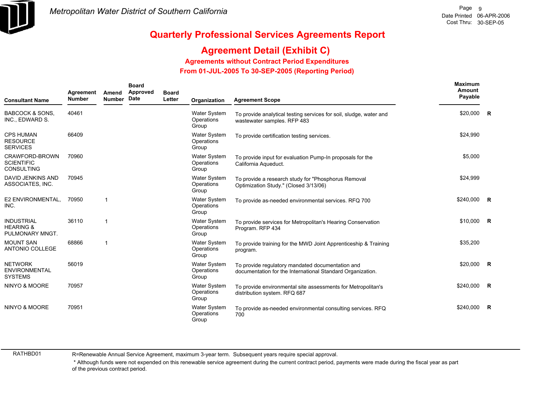

## **Agreement Detail (Exhibit C)**

**Agreements without Contract Period Expenditures**

 **From 01-JUL-2005 To 30-SEP-2005 (Reporting Period)** 

| <b>Consultant Name</b>                                       | Agreement<br><b>Number</b> | Amend<br><b>Number</b> | <b>Board</b><br>Approved<br>Date | <b>Board</b><br>Letter | Organization                               | <b>Agreement Scope</b>                                                                                         | Maximum<br>Amount<br>Payable |                |
|--------------------------------------------------------------|----------------------------|------------------------|----------------------------------|------------------------|--------------------------------------------|----------------------------------------------------------------------------------------------------------------|------------------------------|----------------|
| <b>BABCOCK &amp; SONS.</b><br>INC., EDWARD S.                | 40461                      |                        |                                  |                        | Water System<br>Operations<br>Group        | To provide analytical testing services for soil, sludge, water and<br>wastewater samples. RFP 483              | \$20,000 R                   |                |
| <b>CPS HUMAN</b><br><b>RESOURCE</b><br><b>SERVICES</b>       | 66409                      |                        |                                  |                        | Water System<br>Operations<br>Group        | To provide certification testing services.                                                                     | \$24,990                     |                |
| CRAWFORD-BROWN<br><b>SCIENTIFIC</b><br><b>CONSULTING</b>     | 70960                      |                        |                                  |                        | <b>Water System</b><br>Operations<br>Group | To provide input for evaluation Pump-In proposals for the<br>California Aqueduct.                              | \$5,000                      |                |
| DAVID JENKINS AND<br>ASSOCIATES, INC.                        | 70945                      |                        |                                  |                        | Water System<br>Operations<br>Group        | To provide a research study for "Phosphorus Removal<br>Optimization Study." (Closed 3/13/06)                   | \$24,999                     |                |
| E2 ENVIRONMENTAL,<br>INC.                                    | 70950                      | -1                     |                                  |                        | Water System<br>Operations<br>Group        | To provide as-needed environmental services. RFQ 700                                                           | \$240,000                    | $\overline{R}$ |
| <b>INDUSTRIAL</b><br><b>HEARING &amp;</b><br>PULMONARY MNGT. | 36110                      | -1                     |                                  |                        | <b>Water System</b><br>Operations<br>Group | To provide services for Metropolitan's Hearing Conservation<br>Program. RFP 434                                | \$10,000 R                   |                |
| <b>MOUNT SAN</b><br>ANTONIO COLLEGE                          | 68866                      | 1                      |                                  |                        | Water System<br>Operations<br>Group        | To provide training for the MWD Joint Apprenticeship & Training<br>program.                                    | \$35,200                     |                |
| <b>NETWORK</b><br><b>ENVIRONMENTAL</b><br><b>SYSTEMS</b>     | 56019                      |                        |                                  |                        | <b>Water System</b><br>Operations<br>Group | To provide regulatory mandated documentation and<br>documentation for the International Standard Organization. | \$20,000                     | $\overline{R}$ |
| NINYO & MOORE                                                | 70957                      |                        |                                  |                        | <b>Water System</b><br>Operations<br>Group | To provide environmental site assessments for Metropolitan's<br>distribution system. RFQ 687                   | \$240,000                    | $\overline{R}$ |
| NINYO & MOORE                                                | 70951                      |                        |                                  |                        | <b>Water System</b><br>Operations<br>Group | To provide as-needed environmental consulting services. RFQ<br>700                                             | \$240,000                    | R              |

RATHBD01

R=Renewable Annual Service Agreement, maximum 3-year term. Subsequent years require special approval.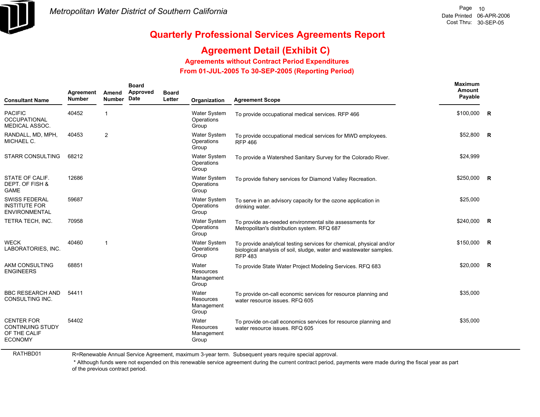

## **Agreement Detail (Exhibit C)**

**Agreements without Contract Period Expenditures**

 **From 01-JUL-2005 To 30-SEP-2005 (Reporting Period)** 

| <b>Consultant Name</b>                                                         | Agreement<br><b>Number</b> | Amend<br><b>Number</b> | <b>Board</b><br>Approved<br><b>Date</b> | <b>Board</b><br>Letter | Organization                               | <b>Agreement Scope</b>                                                                                                                                       | Maximum<br><b>Amount</b><br>Payable |             |
|--------------------------------------------------------------------------------|----------------------------|------------------------|-----------------------------------------|------------------------|--------------------------------------------|--------------------------------------------------------------------------------------------------------------------------------------------------------------|-------------------------------------|-------------|
| <b>PACIFIC</b><br><b>OCCUPATIONAL</b><br><b>MEDICAL ASSOC.</b>                 | 40452                      | 1                      |                                         |                        | <b>Water System</b><br>Operations<br>Group | To provide occupational medical services. RFP 466                                                                                                            | \$100,000                           | R           |
| RANDALL, MD, MPH,<br>MICHAEL C.                                                | 40453                      | $\overline{2}$         |                                         |                        | <b>Water System</b><br>Operations<br>Group | To provide occupational medical services for MWD employees.<br><b>RFP 466</b>                                                                                | \$52,800                            | $\mathbf R$ |
| <b>STARR CONSULTING</b>                                                        | 68212                      |                        |                                         |                        | <b>Water System</b><br>Operations<br>Group | To provide a Watershed Sanitary Survey for the Colorado River.                                                                                               | \$24,999                            |             |
| STATE OF CALIF.<br>DEPT. OF FISH &<br><b>GAME</b>                              | 12686                      |                        |                                         |                        | <b>Water System</b><br>Operations<br>Group | To provide fishery services for Diamond Valley Recreation.                                                                                                   | \$250,000 R                         |             |
| <b>SWISS FEDERAL</b><br><b>INSTITUTE FOR</b><br><b>ENVIRONMENTAL</b>           | 59687                      |                        |                                         |                        | Water System<br>Operations<br>Group        | To serve in an advisory capacity for the ozone application in<br>drinking water.                                                                             | \$25,000                            |             |
| TETRA TECH, INC.                                                               | 70958                      |                        |                                         |                        | Water System<br>Operations<br>Group        | To provide as-needed environmental site assessments for<br>Metropolitan's distribution system. RFQ 687                                                       | \$240,000 R                         |             |
| <b>WECK</b><br>LABORATORIES, INC.                                              | 40460                      | $\mathbf{1}$           |                                         |                        | <b>Water System</b><br>Operations<br>Group | To provide analytical testing services for chemical, physical and/or<br>biological analysis of soil, sludge, water and wastewater samples.<br><b>RFP 483</b> | \$150,000                           | <b>R</b>    |
| AKM CONSULTING<br><b>ENGINEERS</b>                                             | 68851                      |                        |                                         |                        | Water<br>Resources<br>Management<br>Group  | To provide State Water Project Modeling Services. RFQ 683                                                                                                    | \$20,000                            | R           |
| <b>BBC RESEARCH AND</b><br>CONSULTING INC.                                     | 54411                      |                        |                                         |                        | Water<br>Resources<br>Management<br>Group  | To provide on-call economic services for resource planning and<br>water resource issues. RFQ 605                                                             | \$35,000                            |             |
| <b>CENTER FOR</b><br><b>CONTINUING STUDY</b><br>OF THE CALIF<br><b>ECONOMY</b> | 54402                      |                        |                                         |                        | Water<br>Resources<br>Management<br>Group  | To provide on-call economics services for resource planning and<br>water resource issues. RFQ 605                                                            | \$35,000                            |             |

RATHBD01

R=Renewable Annual Service Agreement, maximum 3-year term. Subsequent years require special approval.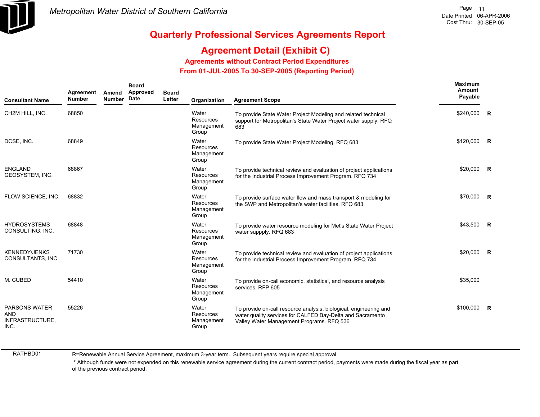

# **Agreement Detail (Exhibit C)**

**Agreements without Contract Period Expenditures**

 **From 01-JUL-2005 To 30-SEP-2005 (Reporting Period)** 

| <b>Consultant Name</b>                                        | Agreement<br><b>Number</b> | Amend<br><b>Number</b> | <b>Board</b><br>Approved<br>Date | <b>Board</b><br>Letter | Organization                                     | <b>Agreement Scope</b>                                                                                                                                                       | <b>Maximum</b><br><b>Amount</b><br>Payable |                |
|---------------------------------------------------------------|----------------------------|------------------------|----------------------------------|------------------------|--------------------------------------------------|------------------------------------------------------------------------------------------------------------------------------------------------------------------------------|--------------------------------------------|----------------|
| CH2M HILL, INC.                                               | 68850                      |                        |                                  |                        | Water<br><b>Resources</b><br>Management<br>Group | To provide State Water Project Modeling and related technical<br>support for Metropolitan's State Water Project water supply. RFQ<br>683                                     | \$240,000 R                                |                |
| DCSE, INC.                                                    | 68849                      |                        |                                  |                        | Water<br><b>Resources</b><br>Management<br>Group | To provide State Water Project Modeling. RFQ 683                                                                                                                             | \$120,000                                  | R              |
| ENGLAND<br>GEOSYSTEM, INC.                                    | 68867                      |                        |                                  |                        | Water<br><b>Resources</b><br>Management<br>Group | To provide technical review and evaluation of project applications<br>for the Industrial Process Improvement Program. RFQ 734                                                | \$20,000                                   | R              |
| FLOW SCIENCE, INC.                                            | 68832                      |                        |                                  |                        | Water<br>Resources<br>Management<br>Group        | To provide surface water flow and mass transport & modeling for<br>the SWP and Metropolitan's water facilities. RFQ 683                                                      | \$70,000                                   | $\mathbf R$    |
| <b>HYDROSYSTEMS</b><br>CONSULTING, INC.                       | 68848                      |                        |                                  |                        | Water<br>Resources<br>Management<br>Group        | To provide water resource modeling for Met's State Water Project<br>water suppply. RFQ 683                                                                                   | \$43,500                                   | $\mathbf R$    |
| <b>KENNEDY/JENKS</b><br>CONSULTANTS, INC.                     | 71730                      |                        |                                  |                        | Water<br><b>Resources</b><br>Management<br>Group | To provide technical review and evaluation of project applications<br>for the Industrial Process Improvement Program. RFQ 734                                                | \$20,000                                   | $\overline{R}$ |
| M. CUBED                                                      | 54410                      |                        |                                  |                        | Water<br>Resources<br>Management<br>Group        | To provide on-call economic, statistical, and resource analysis<br>services. RFP 605                                                                                         | \$35,000                                   |                |
| <b>PARSONS WATER</b><br><b>AND</b><br>INFRASTRUCTURE,<br>INC. | 55226                      |                        |                                  |                        | Water<br><b>Resources</b><br>Management<br>Group | To provide on-call resource analysis, biological, engineering and<br>water quality services for CALFED Bay-Delta and Sacramento<br>Valley Water Management Programs. RFQ 536 | \$100.000                                  | R              |

RATHBD01

R=Renewable Annual Service Agreement, maximum 3-year term. Subsequent years require special approval.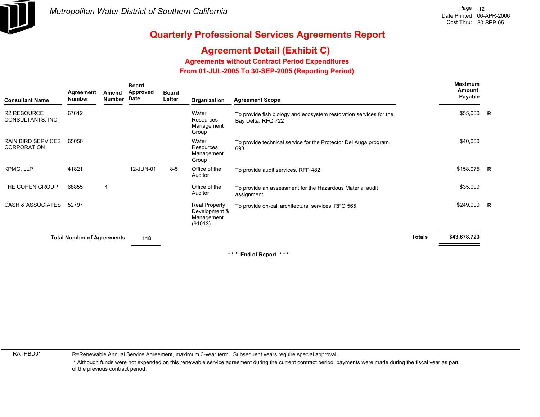

# **Agreement Detail (Exhibit C)**

**Agreements without Contract Period Expenditures**

 **From 01-JUL-2005 To 30-SEP-2005 (Reporting Period)** 

| <b>Consultant Name</b>                          | Agreement<br><b>Number</b>        | Amend<br><b>Number</b> | <b>Board</b><br><b>Approved</b><br><b>Date</b> | <b>Board</b><br>Letter | Organization                                                   | <b>Agreement Scope</b>                                                                   |               | Maximum<br>Amount<br>Payable |  |
|-------------------------------------------------|-----------------------------------|------------------------|------------------------------------------------|------------------------|----------------------------------------------------------------|------------------------------------------------------------------------------------------|---------------|------------------------------|--|
| <b>R2 RESOURCE</b><br>CONSULTANTS, INC.         | 67612                             |                        |                                                |                        | Water<br><b>Resources</b><br>Management<br>Group               | To provide fish biology and ecosystem restoration services for the<br>Bay Delta. RFQ 722 |               | \$55,000 R                   |  |
| <b>RAIN BIRD SERVICES</b><br><b>CORPORATION</b> | 65050                             |                        |                                                |                        | Water<br>Resources<br>Management<br>Group                      | To provide technical service for the Protector Del Auga program.<br>693                  |               | \$40,000                     |  |
| KPMG, LLP                                       | 41821                             |                        | 12-JUN-01                                      | $8-5$                  | Office of the<br>Auditor                                       | To provide audit services. RFP 482                                                       |               | \$158,075 R                  |  |
| THE COHEN GROUP                                 | 68855                             |                        |                                                |                        | Office of the<br>Auditor                                       | To provide an assessment for the Hazardous Material audit<br>assignment.                 |               | \$35,000                     |  |
| <b>CASH &amp; ASSOCIATES</b>                    | 52797                             |                        |                                                |                        | <b>Real Property</b><br>Development &<br>Management<br>(91013) | To provide on-call architectural services. RFQ 565                                       |               | $$249,000$ R                 |  |
|                                                 | <b>Total Number of Agreements</b> |                        | 118                                            |                        |                                                                |                                                                                          | <b>Totals</b> | \$43,678,723                 |  |
|                                                 |                                   |                        |                                                |                        |                                                                |                                                                                          |               |                              |  |

**\* \* \* End of Report \* \* \***

RATHBD01

R=Renewable Annual Service Agreement, maximum 3-year term. Subsequent years require special approval.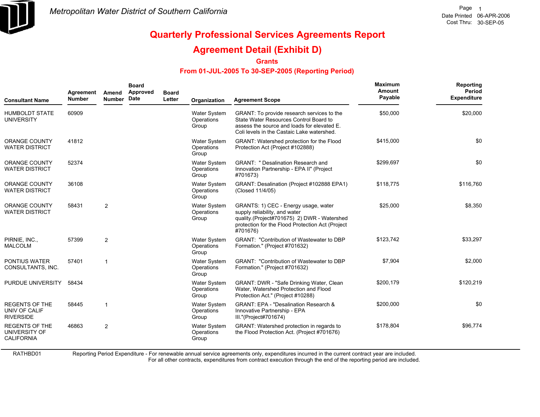

## **Agreement Detail (Exhibit D)**

**Grants**

### **From 01-JUL-2005 To 30-SEP-2005 (Reporting Period)**

| <b>Consultant Name</b>                                      | Agreement<br><b>Number</b> | Amend<br><b>Number</b> | <b>Board</b><br>Approved<br>Date | <b>Board</b><br>Letter | Organization                               | <b>Agreement Scope</b>                                                                                                                                                               | Maximum<br>Amount<br>Payable | Reporting<br><b>Period</b><br><b>Expenditure</b> |
|-------------------------------------------------------------|----------------------------|------------------------|----------------------------------|------------------------|--------------------------------------------|--------------------------------------------------------------------------------------------------------------------------------------------------------------------------------------|------------------------------|--------------------------------------------------|
| <b>HUMBOLDT STATE</b><br><b>UNIVERSITY</b>                  | 60909                      |                        |                                  |                        | Water System<br>Operations<br>Group        | GRANT: To provide research services to the<br>State Water Resources Control Board to<br>assess the source and loads for elevated E.<br>Coli levels in the Castaic Lake watershed.    | \$50,000                     | \$20,000                                         |
| <b>ORANGE COUNTY</b><br><b>WATER DISTRICT</b>               | 41812                      |                        |                                  |                        | Water System<br>Operations<br>Group        | <b>GRANT:</b> Watershed protection for the Flood<br>Protection Act (Project #102888)                                                                                                 | \$415,000                    | \$0                                              |
| <b>ORANGE COUNTY</b><br><b>WATER DISTRICT</b>               | 52374                      |                        |                                  |                        | Water System<br>Operations<br>Group        | <b>GRANT: " Desalination Research and</b><br>Innovation Partnership - EPA II" (Project<br>#701673)                                                                                   | \$299,697                    | \$0                                              |
| ORANGE COUNTY<br><b>WATER DISTRICT</b>                      | 36108                      |                        |                                  |                        | Water System<br>Operations<br>Group        | GRANT: Desalination (Project #102888 EPA1)<br>(Closed 11/4/05)                                                                                                                       | \$118.775                    | \$116.760                                        |
| ORANGE COUNTY<br><b>WATER DISTRICT</b>                      | 58431                      | 2                      |                                  |                        | Water System<br>Operations<br>Group        | GRANTS: 1) CEC - Energy usage, water<br>supply reliability, and water<br>quality.(Project#701675) 2) DWR - Watershed<br>protection for the Flood Protection Act (Project<br>#701676) | \$25,000                     | \$8,350                                          |
| PIRNIE, INC.,<br><b>MALCOLM</b>                             | 57399                      | 2                      |                                  |                        | <b>Water System</b><br>Operations<br>Group | <b>GRANT: "Contribution of Wastewater to DBP</b><br>Formation." (Project #701632)                                                                                                    | \$123,742                    | \$33,297                                         |
| <b>PONTIUS WATER</b><br>CONSULTANTS, INC.                   | 57401                      |                        |                                  |                        | Water System<br>Operations<br>Group        | <b>GRANT: "Contribution of Wastewater to DBP</b><br>Formation." (Project #701632)                                                                                                    | \$7,904                      | \$2,000                                          |
| PURDUE UNIVERSITY                                           | 58434                      |                        |                                  |                        | Water System<br>Operations<br>Group        | GRANT: DWR - "Safe Drinking Water, Clean<br>Water, Watershed Protection and Flood<br>Protection Act." (Project #10288)                                                               | \$200,179                    | \$120,219                                        |
| <b>REGENTS OF THE</b><br>UNIV OF CALIF<br><b>RIVERSIDE</b>  | 58445                      | $\mathbf{1}$           |                                  |                        | Water System<br>Operations<br>Group        | <b>GRANT: EPA - "Desalination Research &amp;</b><br>Innovative Partnership - EPA<br>III."(Project#701674)                                                                            | \$200,000                    | \$0                                              |
| <b>REGENTS OF THE</b><br>UNIVERSITY OF<br><b>CALIFORNIA</b> | 46863                      | $\overline{2}$         |                                  |                        | Water System<br>Operations<br>Group        | GRANT: Watershed protection in regards to<br>the Flood Protection Act. (Project #701676)                                                                                             | \$178,804                    | \$96,774                                         |

RATHBD01

Reporting Period Expenditure - For renewable annual service agreements only, expenditures incurred in the current contract year are included.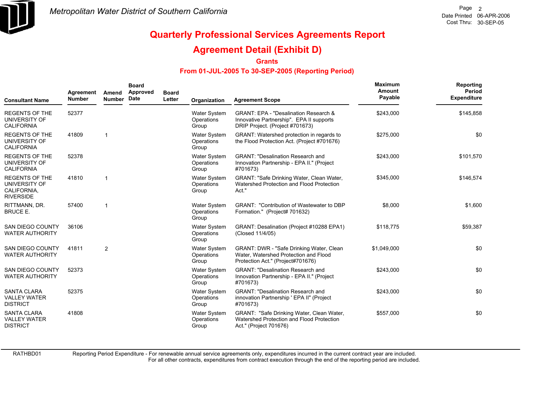

### **Agreement Detail (Exhibit D)**

**Grants**

### **From 01-JUL-2005 To 30-SEP-2005 (Reporting Period)**

| <b>Consultant Name</b>                                                    | Agreement<br><b>Number</b> | Amend<br><b>Number</b> | <b>Board</b><br>Approved<br><b>Date</b> | <b>Board</b><br>Letter | Organization                               | <b>Agreement Scope</b>                                                                                                          | Maximum<br>Amount<br>Payable | Reporting<br>Period<br><b>Expenditure</b> |
|---------------------------------------------------------------------------|----------------------------|------------------------|-----------------------------------------|------------------------|--------------------------------------------|---------------------------------------------------------------------------------------------------------------------------------|------------------------------|-------------------------------------------|
| <b>REGENTS OF THE</b><br>UNIVERSITY OF<br><b>CALIFORNIA</b>               | 52377                      |                        |                                         |                        | Water System<br>Operations<br>Group        | <b>GRANT: EPA - "Desalination Research &amp;</b><br>Innovative Partnership". EPA II supports<br>DRIP Project. (Project #701673) | \$243,000                    | \$145,858                                 |
| <b>REGENTS OF THE</b><br>UNIVERSITY OF<br><b>CALIFORNIA</b>               | 41809                      | 1                      |                                         |                        | <b>Water System</b><br>Operations<br>Group | GRANT: Watershed protection in regards to<br>the Flood Protection Act. (Project #701676)                                        | \$275,000                    | \$0                                       |
| <b>REGENTS OF THE</b><br>UNIVERSITY OF<br><b>CALIFORNIA</b>               | 52378                      |                        |                                         |                        | <b>Water System</b><br>Operations<br>Group | <b>GRANT: "Desalination Research and</b><br>Innovation Partnership - EPA II." (Project<br>#701673)                              | \$243,000                    | \$101,570                                 |
| <b>REGENTS OF THE</b><br>UNIVERSITY OF<br>CALIFORNIA,<br><b>RIVERSIDE</b> | 41810                      | 1                      |                                         |                        | <b>Water System</b><br>Operations<br>Group | GRANT: "Safe Drinking Water, Clean Water,<br>Watershed Protection and Flood Protection<br>Act."                                 | \$345,000                    | \$146,574                                 |
| RITTMANN, DR.<br><b>BRUCE E.</b>                                          | 57400                      | 1                      |                                         |                        | <b>Water System</b><br>Operations<br>Group | <b>GRANT: "Contribution of Wastewater to DBP</b><br>Formation." (Project# 701632)                                               | \$8,000                      | \$1,600                                   |
| SAN DIEGO COUNTY<br><b>WATER AUTHORITY</b>                                | 36106                      |                        |                                         |                        | <b>Water System</b><br>Operations<br>Group | GRANT: Desalination (Project #10288 EPA1)<br>(Closed 11/4/05)                                                                   | \$118,775                    | \$59,387                                  |
| <b>SAN DIEGO COUNTY</b><br><b>WATER AUTHORITY</b>                         | 41811                      | $\overline{2}$         |                                         |                        | Water System<br>Operations<br>Group        | GRANT: DWR - "Safe Drinking Water, Clean<br>Water, Watershed Protection and Flood<br>Protection Act." (Project#701676)          | \$1,049,000                  | \$0                                       |
| <b>SAN DIEGO COUNTY</b><br><b>WATER AUTHORITY</b>                         | 52373                      |                        |                                         |                        | <b>Water System</b><br>Operations<br>Group | <b>GRANT: "Desalination Research and</b><br>Innovation Partnership - EPA II." (Project<br>#701673)                              | \$243,000                    | \$0                                       |
| <b>SANTA CLARA</b><br><b>VALLEY WATER</b><br><b>DISTRICT</b>              | 52375                      |                        |                                         |                        | <b>Water System</b><br>Operations<br>Group | <b>GRANT: "Desalination Research and</b><br>innovation Partnership ' EPA II" (Project<br>#701673)                               | \$243,000                    | \$0                                       |
| <b>SANTA CLARA</b><br><b>VALLEY WATER</b><br><b>DISTRICT</b>              | 41808                      |                        |                                         |                        | <b>Water System</b><br>Operations<br>Group | GRANT: "Safe Drinking Water, Clean Water,<br>Watershed Protection and Flood Protection<br>Act." (Project 701676)                | \$557,000                    | \$0                                       |

RATHBD01

Reporting Period Expenditure - For renewable annual service agreements only, expenditures incurred in the current contract year are included.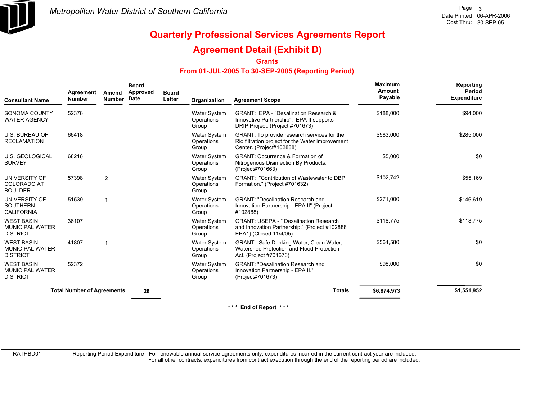

### **Agreement Detail (Exhibit D)**

**Grants**

### **From 01-JUL-2005 To 30-SEP-2005 (Reporting Period)**

| <b>Consultant Name</b>                                         | Agreement<br><b>Number</b>        | Amend<br><b>Number</b> | <b>Board</b><br>Approved<br>Date | <b>Board</b><br>Letter | Organization                               | <b>Agreement Scope</b>                                                                                                      | <b>Maximum</b><br>Amount<br>Payable | Reporting<br>Period<br><b>Expenditure</b> |
|----------------------------------------------------------------|-----------------------------------|------------------------|----------------------------------|------------------------|--------------------------------------------|-----------------------------------------------------------------------------------------------------------------------------|-------------------------------------|-------------------------------------------|
| SONOMA COUNTY<br><b>WATER AGENCY</b>                           | 52376                             |                        |                                  |                        | Water System<br>Operations<br>Group        | GRANT: EPA - "Desalination Research &<br>Innovative Partnership". EPA II supports<br>DRIP Project. (Project #701673)        | \$188,000                           | \$94,000                                  |
| <b>U.S. BUREAU OF</b><br><b>RECLAMATION</b>                    | 66418                             |                        |                                  |                        | <b>Water System</b><br>Operations<br>Group | GRANT: To provide research services for the<br>Rio filtration project for the Water Improvement<br>Center. (Project#102888) | \$583.000                           | \$285,000                                 |
| U.S. GEOLOGICAL<br><b>SURVEY</b>                               | 68216                             |                        |                                  |                        | Water System<br>Operations<br>Group        | <b>GRANT: Occurrence &amp; Formation of</b><br>Nitrogenous Disinfection By Products.<br>(Project#701663)                    | \$5,000                             | \$0                                       |
| UNIVERSITY OF<br><b>COLORADO AT</b><br><b>BOULDER</b>          | 57398                             | $\overline{2}$         |                                  |                        | <b>Water System</b><br>Operations<br>Group | <b>GRANT: "Contribution of Wastewater to DBP</b><br>Formation." (Project #701632)                                           | \$102,742                           | \$55,169                                  |
| UNIVERSITY OF<br><b>SOUTHERN</b><br><b>CALIFORNIA</b>          | 51539                             |                        |                                  |                        | Water System<br>Operations<br>Group        | <b>GRANT: "Desalination Research and</b><br>Innovation Partnership - EPA II" (Project<br>#102888)                           | \$271,000                           | \$146,619                                 |
| <b>WEST BASIN</b><br><b>MUNICIPAL WATER</b><br><b>DISTRICT</b> | 36107                             |                        |                                  |                        | <b>Water System</b><br>Operations<br>Group | <b>GRANT: USEPA - " Desalination Research</b><br>and Innovation Partnership." (Project #102888<br>EPA1) (Closed 11/4/05)    | \$118,775                           | \$118,775                                 |
| <b>WEST BASIN</b><br><b>MUNICIPAL WATER</b><br><b>DISTRICT</b> | 41807                             |                        |                                  |                        | <b>Water System</b><br>Operations<br>Group | GRANT: Safe Drinking Water, Clean Water,<br>Watershed Protection and Flood Protection<br>Act. (Project #701676)             | \$564,580                           | \$0                                       |
| <b>WEST BASIN</b><br><b>MUNICIPAL WATER</b><br><b>DISTRICT</b> | 52372                             |                        |                                  |                        | <b>Water System</b><br>Operations<br>Group | <b>GRANT: "Desalination Research and</b><br>Innovation Partnership - EPA II."<br>(Project#701673)                           | \$98,000                            | \$0                                       |
|                                                                | <b>Total Number of Agreements</b> |                        | 28                               |                        |                                            | <b>Totals</b>                                                                                                               | \$6,874,973                         | \$1,551,952                               |

**\* \* \* End of Report \* \* \***

RATHBD01

Reporting Period Expenditure - For renewable annual service agreements only, expenditures incurred in the current contract year are included.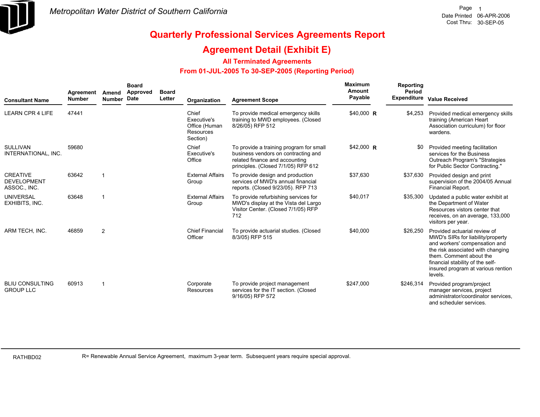

### **Agreement Detail (Exhibit E)**

### **All Terminated Agreements**

### **From 01-JUL-2005 To 30-SEP-2005 (Reporting Period)**

| <b>Consultant Name</b>                                | Agreement<br><b>Number</b> | Amend<br><b>Number</b> | <b>Board</b><br>Approved<br>Date | <b>Board</b><br>Letter | Organization                                                   | <b>Agreement Scope</b>                                                                                                                                  | <b>Maximum</b><br>Amount<br>Payable | Reporting<br>Period | Expenditure Value Received                                                                                                                                                                                                                              |
|-------------------------------------------------------|----------------------------|------------------------|----------------------------------|------------------------|----------------------------------------------------------------|---------------------------------------------------------------------------------------------------------------------------------------------------------|-------------------------------------|---------------------|---------------------------------------------------------------------------------------------------------------------------------------------------------------------------------------------------------------------------------------------------------|
| <b>LEARN CPR 4 LIFE</b>                               | 47441                      |                        |                                  |                        | Chief<br>Executive's<br>Office (Human<br>Resources<br>Section) | To provide medical emergency skills<br>training to MWD employees. (Closed<br>8/26/05) RFP 512                                                           | \$40,000 R                          | \$4,253             | Provided medical emergency skills<br>training (American Heart<br>Association curriculum) for floor<br>wardens.                                                                                                                                          |
| <b>SULLIVAN</b><br>INTERNATIONAL, INC.                | 59680                      |                        |                                  |                        | Chief<br>Executive's<br>Office                                 | To provide a training program for small<br>business vendors on contracting and<br>related finance and accounting<br>principles. (Closed 7/1/05) RFP 612 | $$42,000$ R                         | \$0                 | Provided meeting facilitation<br>services for the Business<br>Outreach Program's "Strategies<br>for Public Sector Contracting."                                                                                                                         |
| <b>CREATIVE</b><br><b>DEVELOPMENT</b><br>ASSOC., INC. | 63642                      | $\overline{1}$         |                                  |                        | <b>External Affairs</b><br>Group                               | To provide design and production<br>services of MWD's annual financial<br>reports. (Closed 9/23/05). RFP 713                                            | \$37,630                            | \$37,630            | Provided design and print<br>supervision of the 2004/05 Annual<br>Financial Report.                                                                                                                                                                     |
| <b>UNIVERSAL</b><br>EXHIBITS, INC.                    | 63648                      | -1                     |                                  |                        | <b>External Affairs</b><br>Group                               | To provide refurbishing services for<br>MWD's display at the Vista del Largo<br>Visitor Center. (Closed 7/1/05) RFP<br>712                              | \$40,017                            | \$35,300            | Updated a public water exhibit at<br>the Department of Water<br>Resources vistors center that<br>receives, on an average, 133,000<br>visitors per year.                                                                                                 |
| ARM TECH, INC.                                        | 46859                      | $\overline{2}$         |                                  |                        | <b>Chief Financial</b><br>Officer                              | To provide actuarial studies. (Closed<br>8/3/05) RFP 515                                                                                                | \$40,000                            | \$26,250            | Provided actuarial review of<br>MWD's SIRs for liability/property<br>and workers' compensation and<br>the risk associated with changing<br>them. Comment about the<br>financial stability of the self-<br>insured program at various rention<br>levels. |
| <b>BLIU CONSULTING</b><br><b>GROUP LLC</b>            | 60913                      | -1                     |                                  |                        | Corporate<br>Resources                                         | To provide project management<br>services for the IT section. (Closed<br>9/16/05) RFP 572                                                               | \$247,000                           | \$246,314           | Provided program/project<br>manager services, project<br>administrator/coordinator services,<br>and scheduler services.                                                                                                                                 |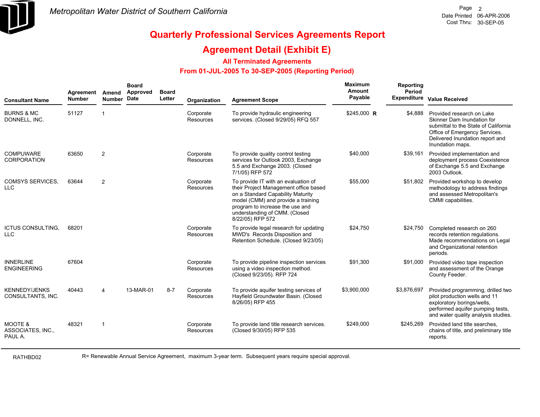

### **Agreement Detail (Exhibit E)**

### **All Terminated Agreements**

### **From 01-JUL-2005 To 30-SEP-2005 (Reporting Period)**

| <b>Consultant Name</b>                             | Agreement<br><b>Number</b> | Amend<br><b>Number</b> | <b>Board</b><br>Approved<br><b>Date</b> | <b>Board</b><br>Letter | Organization                  | <b>Agreement Scope</b>                                                                                                                                                                                                                          | <b>Maximum</b><br>Amount<br>Payable | Reporting<br>Period<br><b>Expenditure</b> | <b>Value Received</b>                                                                                                                                                                   |
|----------------------------------------------------|----------------------------|------------------------|-----------------------------------------|------------------------|-------------------------------|-------------------------------------------------------------------------------------------------------------------------------------------------------------------------------------------------------------------------------------------------|-------------------------------------|-------------------------------------------|-----------------------------------------------------------------------------------------------------------------------------------------------------------------------------------------|
| <b>BURNS &amp; MC</b><br>DONNELL, INC.             | 51127                      | $\overline{1}$         |                                         |                        | Corporate<br><b>Resources</b> | To provide hydraulic engineering<br>services. (Closed 9/29/05) RFQ 557                                                                                                                                                                          | \$245,000 R                         | \$4,888                                   | Provided research on Lake<br>Skinner Dam Inundation for<br>submittal to the State of California<br>Office of Emergency Services.<br>Delivered Inundation report and<br>Inundation maps. |
| <b>COMPUWARE</b><br><b>CORPORATION</b>             | 63650                      | 2                      |                                         |                        | Corporate<br>Resources        | To provide quality control testing<br>services for Outlook 2003, Exchange<br>5.5 and Exchange 2003. (Closed<br>7/1/05) RFP 572                                                                                                                  | \$40,000                            | \$39,161                                  | Provided implementation and<br>deployment process Coexistence<br>of Exchange 5.5 and Exchange<br>2003 Outlook.                                                                          |
| <b>COMSYS SERVICES.</b><br><b>LLC</b>              | 63644                      | 2                      |                                         |                        | Corporate<br><b>Resources</b> | To provide IT with an evaluation of<br>their Project Management office based<br>on a Standard Capability Maturity<br>model (CMM) and provide a training<br>program to increase the use and<br>understanding of CMM. (Closed<br>8/22/05) RFP 572 | \$55,000                            | \$51,802                                  | Provided workshop to develop<br>methodology to address findings<br>and assessed Metropolitan's<br>CMMI capabilities.                                                                    |
| <b>ICTUS CONSULTING,</b><br><b>LLC</b>             | 68201                      |                        |                                         |                        | Corporate<br>Resources        | To provide legal research for updating<br>MWD's Records Disposition and<br>Retention Schedule. (Closed 9/23/05)                                                                                                                                 | \$24,750                            | \$24,750                                  | Completed research on 260<br>records retention regulations.<br>Made recommendations on Legal<br>and Organizational retention<br>periods.                                                |
| <b>INNERLINE</b><br><b>ENGINEERING</b>             | 67604                      |                        |                                         |                        | Corporate<br>Resources        | To provide pipeline inspection services<br>using a video inspection method.<br>(Closed 9/23/05). RFP 724                                                                                                                                        | \$91,300                            | \$91,000                                  | Provided video tape inspection<br>and assessment of the Orange<br>County Feeder.                                                                                                        |
| <b>KENNEDY/JENKS</b><br>CONSULTANTS, INC.          | 40443                      | $\overline{4}$         | 13-MAR-01                               | $8 - 7$                | Corporate<br>Resources        | To provide aguifer testing services of<br>Hayfield Groundwater Basin. (Closed<br>8/26/05) RFP 455                                                                                                                                               | \$3,900,000                         | \$3,876,697                               | Provided programming, drilled two<br>pilot production wells and 11<br>exploratory borings/wells,<br>performed aquifer pumping tests,<br>and water quality analysis studies.             |
| <b>MOOTE &amp;</b><br>ASSOCIATES, INC.,<br>PAUL A. | 48321                      | -1                     |                                         |                        | Corporate<br><b>Resources</b> | To provide land title research services.<br>(Closed 9/30/05) RFP 535                                                                                                                                                                            | \$249,000                           | \$245,269                                 | Provided land title searches,<br>chains of title, and preliminary title<br>reports.                                                                                                     |

RATHBD02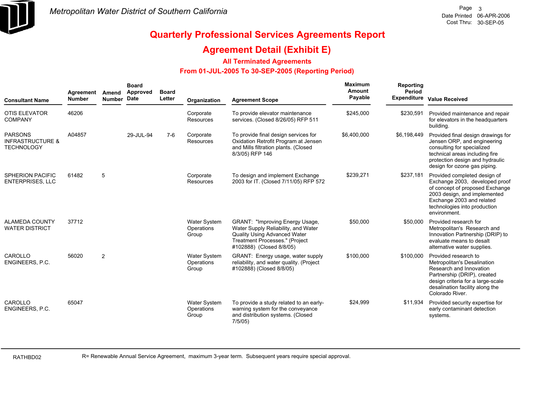

### **Agreement Detail (Exhibit E)**

### **All Terminated Agreements**

### **From 01-JUL-2005 To 30-SEP-2005 (Reporting Period)**

| <b>Consultant Name</b>                                             | Agreement<br><b>Number</b> | Amend<br>Number Date | <b>Board</b><br>Approved | <b>Board</b><br>Letter | Organization                               | <b>Agreement Scope</b>                                                                                                                                                      | Maximum<br>Amount<br>Payable | Reporting<br>Period | Expenditure Value Received                                                                                                                                                                                     |
|--------------------------------------------------------------------|----------------------------|----------------------|--------------------------|------------------------|--------------------------------------------|-----------------------------------------------------------------------------------------------------------------------------------------------------------------------------|------------------------------|---------------------|----------------------------------------------------------------------------------------------------------------------------------------------------------------------------------------------------------------|
| <b>OTIS ELEVATOR</b><br><b>COMPANY</b>                             | 46206                      |                      |                          |                        | Corporate<br>Resources                     | To provide elevator maintenance<br>services. (Closed 8/26/05) RFP 511                                                                                                       | \$245,000                    | \$230,591           | Provided maintenance and repair<br>for elevators in the headquarters<br>building.                                                                                                                              |
| <b>PARSONS</b><br><b>INFRASTRUCTURE &amp;</b><br><b>TECHNOLOGY</b> | A04857                     |                      | 29-JUL-94                | $7-6$                  | Corporate<br>Resources                     | To provide final design services for<br>Oxidation Retrofit Program at Jensen<br>and Mills filtration plants. (Closed<br>8/3/05) RFP 146                                     | \$6,400,000                  | \$6,198,449         | Provided final design drawings for<br>Jensen ORP, and engineering<br>consulting for specialized<br>technical areas including fire<br>protection design and hydraulic<br>design for ozone gas piping.           |
| <b>SPHERION PACIFIC</b><br><b>ENTERPRISES, LLC</b>                 | 61482                      | 5                    |                          |                        | Corporate<br>Resources                     | To design and implement Exchange<br>2003 for IT. (Closed 7/11/05) RFP 572                                                                                                   | \$239,271                    | \$237,181           | Provided completed design of<br>Exchange 2003, developed proof<br>of concept of proposed Exchange<br>2003 design, and implemented<br>Exchange 2003 and related<br>technologies into production<br>environment. |
| <b>ALAMEDA COUNTY</b><br><b>WATER DISTRICT</b>                     | 37712                      |                      |                          |                        | <b>Water System</b><br>Operations<br>Group | <b>GRANT: "Improving Energy Usage,</b><br>Water Supply Reliability, and Water<br>Quality Using Advanced Water<br>Treatment Processes." (Project<br>#102888) (Closed 8/8/05) | \$50,000                     | \$50,000            | Provided research for<br>Metropolitan's Research and<br>Innovation Partnership (DRIP) to<br>evaluate means to desalt<br>alternative water supplies.                                                            |
| CAROLLO<br>ENGINEERS, P.C.                                         | 56020                      | 2                    |                          |                        | Water System<br>Operations<br>Group        | GRANT: Energy usage, water supply<br>reliability, and water quality. (Project<br>#102888) (Closed 8/8/05)                                                                   | \$100,000                    | \$100,000           | Provided research to<br>Metropolitan's Desalination<br>Research and Innovation<br>Partnership (DRIP), created<br>design criteria for a large-scale<br>desalination facility along the<br>Colorado River.       |
| CAROLLO<br>ENGINEERS, P.C.                                         | 65047                      |                      |                          |                        | <b>Water System</b><br>Operations<br>Group | To provide a study related to an early-<br>warning system for the conveyance<br>and distribution systems. (Closed<br>7/5/05                                                 | \$24,999                     | \$11,934            | Provided security expertise for<br>early contaminant detection<br>systems.                                                                                                                                     |

RATHBD02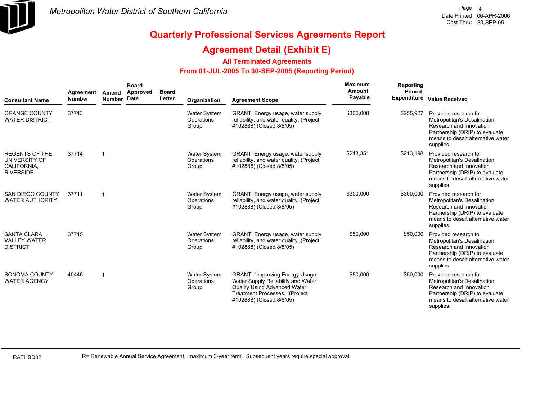

### **Agreement Detail (Exhibit E)**

### **All Terminated Agreements**

### **From 01-JUL-2005 To 30-SEP-2005 (Reporting Period)**

| <b>Consultant Name</b>                                                    | Agreement<br><b>Number</b> | Amend<br>Number Date    | <b>Board</b><br>Approved | <b>Board</b><br>Letter | Organization                               | <b>Agreement Scope</b>                                                                                                                                                     | Maximum<br>Amount<br>Payable | Reporting<br>Period | <b>Expenditure Value Received</b>                                                                                                                                   |
|---------------------------------------------------------------------------|----------------------------|-------------------------|--------------------------|------------------------|--------------------------------------------|----------------------------------------------------------------------------------------------------------------------------------------------------------------------------|------------------------------|---------------------|---------------------------------------------------------------------------------------------------------------------------------------------------------------------|
| <b>ORANGE COUNTY</b><br><b>WATER DISTRICT</b>                             | 37713                      |                         |                          |                        | Water System<br>Operations<br>Group        | GRANT: Energy usage, water supply<br>reliability, and water quality. (Project<br>#102888) (Closed 8/8/05)                                                                  | \$300,000                    | \$255,927           | Provided research for<br>Metropolitan's Desalination<br>Research and Innovation<br>Partnership (DRIP) to evaluate<br>means to desalt alternative water<br>supplies. |
| <b>REGENTS OF THE</b><br>UNIVERSITY OF<br>CALIFORNIA.<br><b>RIVERSIDE</b> | 37714                      | $\overline{\mathbf{1}}$ |                          |                        | <b>Water System</b><br>Operations<br>Group | GRANT: Energy usage, water supply<br>reliability, and water quality. (Project<br>#102888) (Closed 8/8/05)                                                                  | \$213,351                    | \$213,198           | Provided research to<br>Metropolitan's Desalination<br>Research and Innovation<br>Partnership (DRIP) to evaluate<br>means to desalt alternative water<br>supplies.  |
| SAN DIEGO COUNTY<br><b>WATER AUTHORITY</b>                                | 37711                      | -1                      |                          |                        | Water System<br>Operations<br>Group        | GRANT: Energy usage, water supply<br>reliability, and water quality. (Project<br>#102888) (Closed 8/8/05)                                                                  | \$300,000                    | \$300,000           | Provided research for<br>Metropolitan's Desalination<br>Research and Innovation<br>Partnership (DRIP) to evaluate<br>means to desalt alternative water<br>supplies. |
| <b>SANTA CLARA</b><br><b>VALLEY WATER</b><br><b>DISTRICT</b>              | 37715                      |                         |                          |                        | <b>Water System</b><br>Operations<br>Group | GRANT: Energy usage, water supply<br>reliability, and water quality. (Project<br>#102888) (Closed 8/8/05)                                                                  | \$50,000                     | \$50,000            | Provided research to<br>Metropolitan's Desalination<br>Research and Innovation<br>Partnership (DRIP) to evaluate<br>means to desalt alternative water<br>supplies.  |
| SONOMA COUNTY<br><b>WATER AGENCY</b>                                      | 40446                      | -1                      |                          |                        | Water System<br>Operations<br>Group        | <b>GRANT: "Improving Energy Usage,</b><br>Water Supply Reliability and Water<br>Quality Using Advanced Water<br>Treatment Processes." (Project<br>#102888) (Closed 8/8/05) | \$50,000                     | \$50,000            | Provided research for<br>Metropolitan's Desalination<br>Research and Innovation<br>Partnership (DRIP) to evaluate<br>means to desalt alternative water<br>supplies. |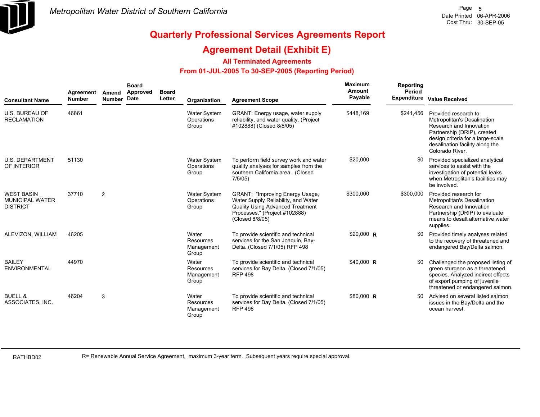

### **Agreement Detail (Exhibit E)**

### **All Terminated Agreements**

### **From 01-JUL-2005 To 30-SEP-2005 (Reporting Period)**

| <b>Consultant Name</b>                                         | Agreement<br><b>Number</b> | Amend<br>Number Date | <b>Board</b><br>Approved | <b>Board</b><br>Letter | Organization                                     | <b>Agreement Scope</b>                                                                                                                                                | <b>Maximum</b><br>Amount<br>Payable | Reporting<br>Period | <b>Expenditure Value Received</b>                                                                                                                                                                        |
|----------------------------------------------------------------|----------------------------|----------------------|--------------------------|------------------------|--------------------------------------------------|-----------------------------------------------------------------------------------------------------------------------------------------------------------------------|-------------------------------------|---------------------|----------------------------------------------------------------------------------------------------------------------------------------------------------------------------------------------------------|
| <b>U.S. BUREAU OF</b><br><b>RECLAMATION</b>                    | 46861                      |                      |                          |                        | Water System<br>Operations<br>Group              | GRANT: Energy usage, water supply<br>reliability, and water quality. (Project<br>#102888) (Closed 8/8/05)                                                             | \$448,169                           | \$241.456           | Provided research to<br>Metropolitan's Desalination<br>Research and Innovation<br>Partnership (DRIP), created<br>design criteria for a large-scale<br>desalination facility along the<br>Colorado River. |
| <b>U.S. DEPARTMENT</b><br>OF INTERIOR                          | 51130                      |                      |                          |                        | <b>Water System</b><br>Operations<br>Group       | To perform field survey work and water<br>quality analyses for samples from the<br>southern California area. (Closed<br>7/5/05                                        | \$20,000                            |                     | Provided specialized analytical<br>services to assist with the<br>investigation of potential leaks<br>when Metroplitan's facilities may<br>be involved.                                                  |
| <b>WEST BASIN</b><br><b>MUNICIPAL WATER</b><br><b>DISTRICT</b> | 37710                      | 2                    |                          |                        | <b>Water System</b><br>Operations<br>Group       | GRANT: "Improving Energy Usage,<br>Water Supply Reliability, and Water<br><b>Quality Using Advanced Treatment</b><br>Processes." (Project #102888)<br>(Closed 8/8/05) | \$300,000                           | \$300,000           | Provided research for<br>Metropolitan's Desalination<br>Research and Innovation<br>Partnership (DRIP) to evaluate<br>means to desalt alternative water<br>supplies.                                      |
| ALEVIZON, WILLIAM                                              | 46205                      |                      |                          |                        | Water<br><b>Resources</b><br>Management<br>Group | To provide scientific and technical<br>services for the San Joaquin, Bay-<br>Delta. (Closed 7/1/05) RFP 498                                                           | $$20,000$ R                         | \$0                 | Provided timely analyses related<br>to the recovery of threatened and<br>endangered Bay/Delta salmon.                                                                                                    |
| <b>BAILEY</b><br><b>ENVIRONMENTAL</b>                          | 44970                      |                      |                          |                        | Water<br>Resources<br>Management<br>Group        | To provide scientific and technical<br>services for Bay Delta. (Closed 7/1/05)<br><b>RFP 498</b>                                                                      | \$40,000 R                          | \$0                 | Challenged the proposed listing of<br>green sturgeon as a threatened<br>species. Analyzed indirect effects<br>of export pumping of juvenile<br>threatened or endangered salmon.                          |
| <b>BUELL &amp;</b><br>ASSOCIATES, INC.                         | 46204                      | 3                    |                          |                        | Water<br><b>Resources</b><br>Management<br>Group | To provide scientific and technical<br>services for Bay Delta. (Closed 7/1/05)<br><b>RFP 498</b>                                                                      | \$80,000 R                          | SO.                 | Advised on several listed salmon<br>issues in the Bay/Delta and the<br>ocean harvest.                                                                                                                    |

RATHBD02